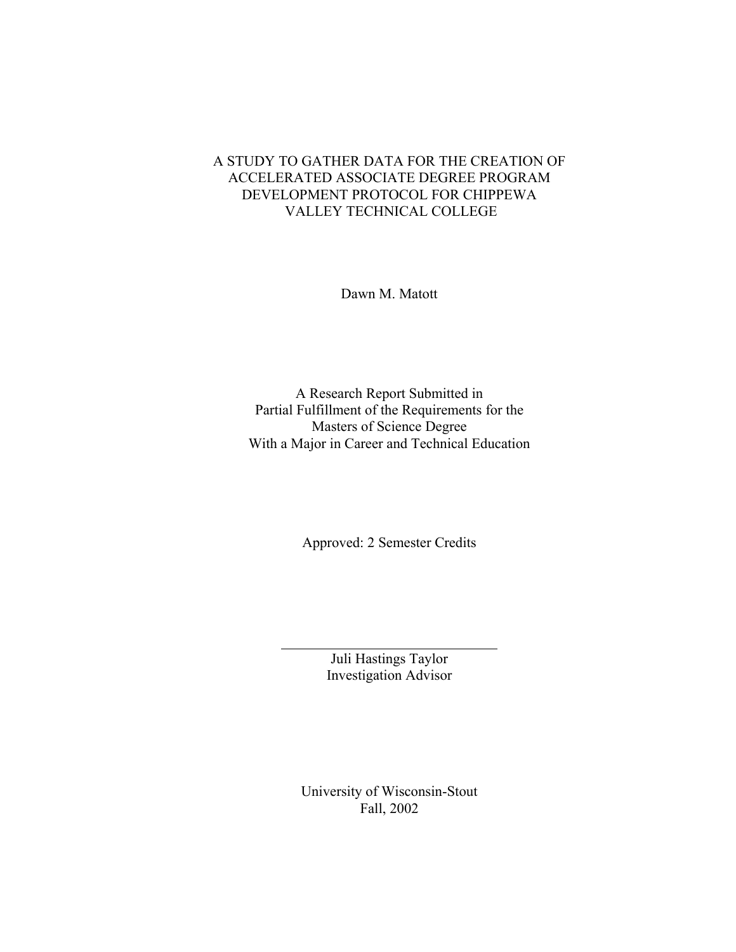# A STUDY TO GATHER DATA FOR THE CREATION OF ACCELERATED ASSOCIATE DEGREE PROGRAM DEVELOPMENT PROTOCOL FOR CHIPPEWA VALLEY TECHNICAL COLLEGE

Dawn M. Matott

A Research Report Submitted in Partial Fulfillment of the Requirements for the Masters of Science Degree With a Major in Career and Technical Education

Approved: 2 Semester Credits

Juli Hastings Taylor Investigation Advisor

 $\overline{a}$ 

University of Wisconsin-Stout Fall, 2002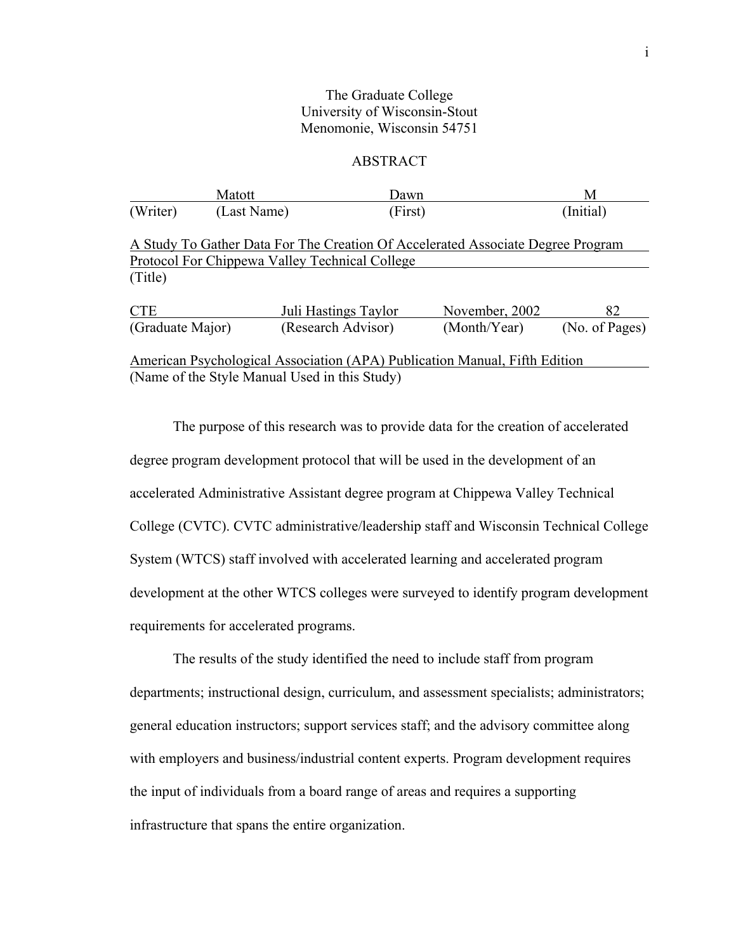## The Graduate College University of Wisconsin-Stout Menomonie, Wisconsin 54751

## ABSTRACT

|                                                                            | Matott      | Dawn                                                                                                          |                | М              |
|----------------------------------------------------------------------------|-------------|---------------------------------------------------------------------------------------------------------------|----------------|----------------|
| (Writer)                                                                   | (Last Name) | (First)                                                                                                       |                | (Initial)      |
|                                                                            |             | A Study To Gather Data For The Creation Of Accelerated Associate Degree Program                               |                |                |
|                                                                            |             | Protocol For Chippewa Valley Technical College                                                                |                |                |
| (Title)                                                                    |             |                                                                                                               |                |                |
| <b>CTE</b>                                                                 |             | Juli Hastings Taylor                                                                                          | November, 2002 | 82             |
| (Graduate Major)                                                           |             | (Research Advisor)                                                                                            | (Month/Year)   | (No. of Pages) |
| American Psychological Association (APA) Publication Manual, Fifth Edition |             |                                                                                                               |                |                |
|                                                                            |             | $\Delta I$ $\Delta I$ $\Delta I$ $\Delta I$ $\Delta I$ $\Delta I$ $\Delta I$ $\Delta I$ $\Delta I$ $\Delta I$ |                |                |

(Name of the Style Manual Used in this Study)

The purpose of this research was to provide data for the creation of accelerated degree program development protocol that will be used in the development of an accelerated Administrative Assistant degree program at Chippewa Valley Technical College (CVTC). CVTC administrative/leadership staff and Wisconsin Technical College System (WTCS) staff involved with accelerated learning and accelerated program development at the other WTCS colleges were surveyed to identify program development requirements for accelerated programs.

The results of the study identified the need to include staff from program departments; instructional design, curriculum, and assessment specialists; administrators; general education instructors; support services staff; and the advisory committee along with employers and business/industrial content experts. Program development requires the input of individuals from a board range of areas and requires a supporting infrastructure that spans the entire organization.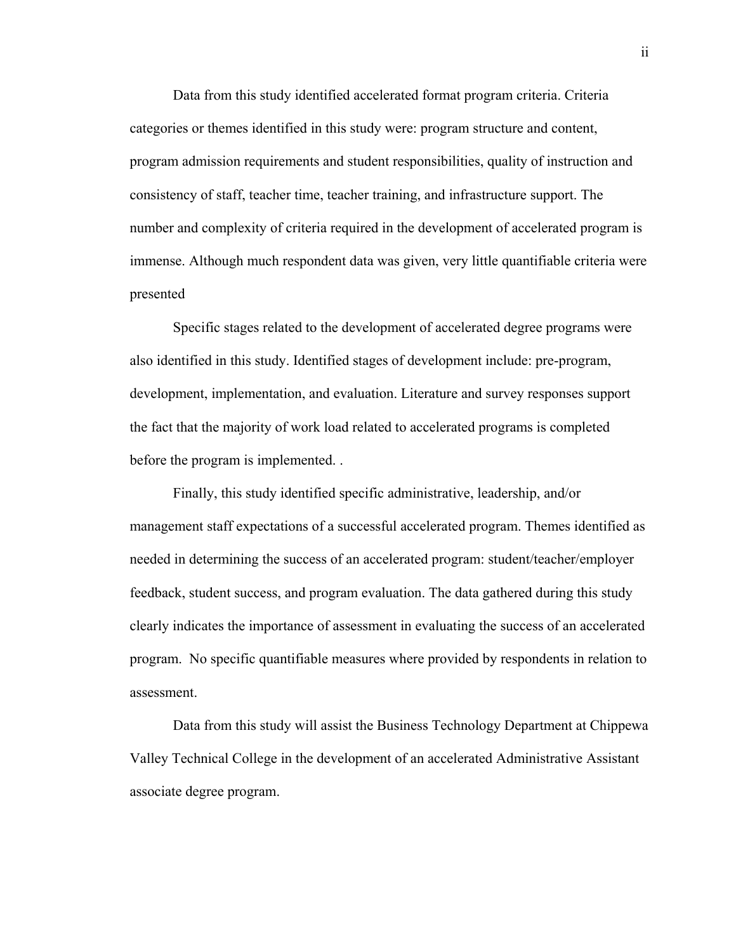Data from this study identified accelerated format program criteria. Criteria categories or themes identified in this study were: program structure and content, program admission requirements and student responsibilities, quality of instruction and consistency of staff, teacher time, teacher training, and infrastructure support. The number and complexity of criteria required in the development of accelerated program is immense. Although much respondent data was given, very little quantifiable criteria were presented

Specific stages related to the development of accelerated degree programs were also identified in this study. Identified stages of development include: pre-program, development, implementation, and evaluation. Literature and survey responses support the fact that the majority of work load related to accelerated programs is completed before the program is implemented. .

Finally, this study identified specific administrative, leadership, and/or management staff expectations of a successful accelerated program. Themes identified as needed in determining the success of an accelerated program: student/teacher/employer feedback, student success, and program evaluation. The data gathered during this study clearly indicates the importance of assessment in evaluating the success of an accelerated program. No specific quantifiable measures where provided by respondents in relation to assessment.

Data from this study will assist the Business Technology Department at Chippewa Valley Technical College in the development of an accelerated Administrative Assistant associate degree program.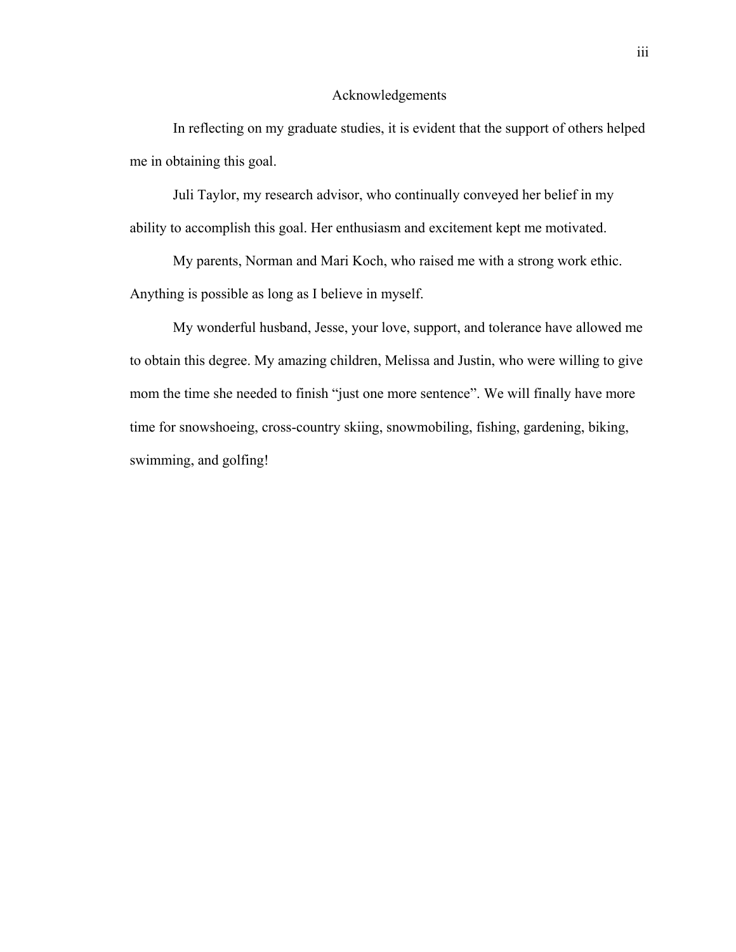### Acknowledgements

In reflecting on my graduate studies, it is evident that the support of others helped me in obtaining this goal.

Juli Taylor, my research advisor, who continually conveyed her belief in my ability to accomplish this goal. Her enthusiasm and excitement kept me motivated.

My parents, Norman and Mari Koch, who raised me with a strong work ethic. Anything is possible as long as I believe in myself.

My wonderful husband, Jesse, your love, support, and tolerance have allowed me to obtain this degree. My amazing children, Melissa and Justin, who were willing to give mom the time she needed to finish "just one more sentence". We will finally have more time for snowshoeing, cross-country skiing, snowmobiling, fishing, gardening, biking, swimming, and golfing!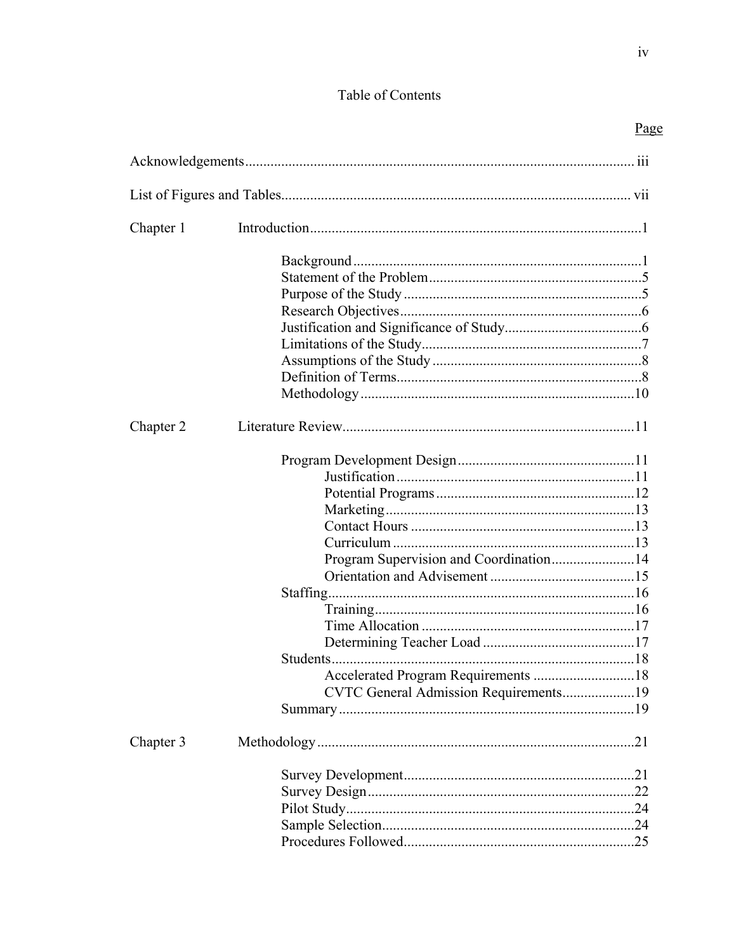# Table of Contents

| Chapter 1 |                                                                                 |  |
|-----------|---------------------------------------------------------------------------------|--|
|           |                                                                                 |  |
| Chapter 2 |                                                                                 |  |
|           | Program Supervision and Coordination14<br>CVTC General Admission Requirements19 |  |
| Chapter 3 |                                                                                 |  |
|           |                                                                                 |  |
|           |                                                                                 |  |
|           |                                                                                 |  |
|           |                                                                                 |  |
|           |                                                                                 |  |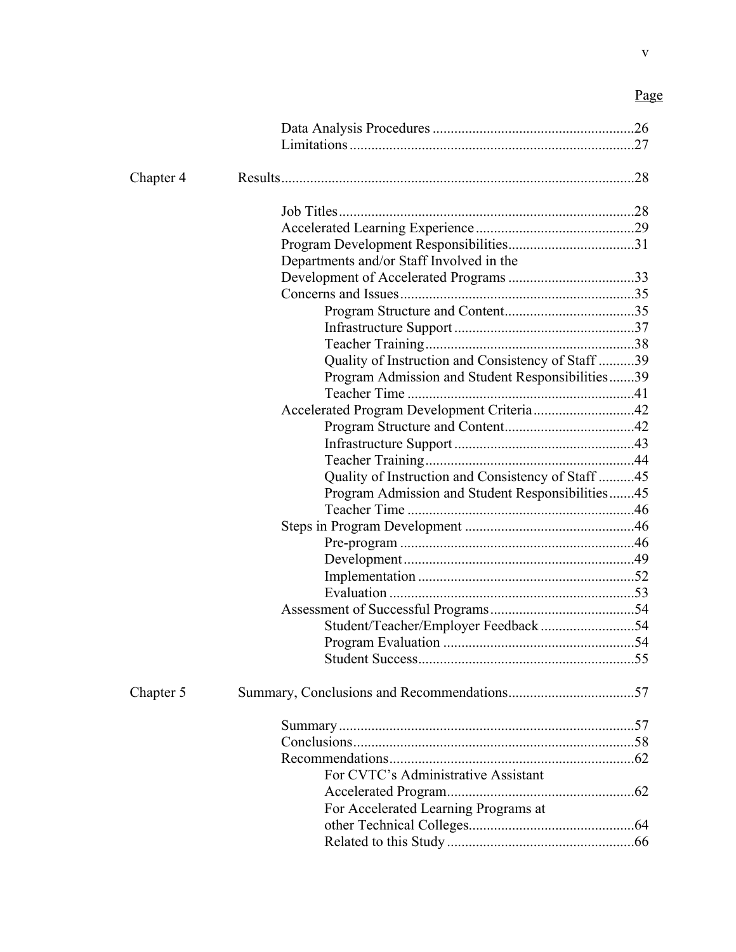| Chapter 4 |                                                    |  |
|-----------|----------------------------------------------------|--|
|           |                                                    |  |
|           |                                                    |  |
|           |                                                    |  |
|           | Departments and/or Staff Involved in the           |  |
|           |                                                    |  |
|           |                                                    |  |
|           |                                                    |  |
|           |                                                    |  |
|           |                                                    |  |
|           | Quality of Instruction and Consistency of Staff 39 |  |
|           | Program Admission and Student Responsibilities39   |  |
|           |                                                    |  |
|           | Accelerated Program Development Criteria42         |  |
|           |                                                    |  |
|           |                                                    |  |
|           |                                                    |  |
|           | Quality of Instruction and Consistency of Staff 45 |  |
|           | Program Admission and Student Responsibilities45   |  |
|           |                                                    |  |
|           |                                                    |  |
|           |                                                    |  |
|           |                                                    |  |
|           |                                                    |  |
|           |                                                    |  |
|           |                                                    |  |
|           |                                                    |  |
|           |                                                    |  |
|           |                                                    |  |
| Chapter 5 |                                                    |  |
|           |                                                    |  |
|           |                                                    |  |
|           |                                                    |  |
|           | For CVTC's Administrative Assistant                |  |
|           |                                                    |  |
|           | For Accelerated Learning Programs at               |  |
|           |                                                    |  |
|           |                                                    |  |
|           |                                                    |  |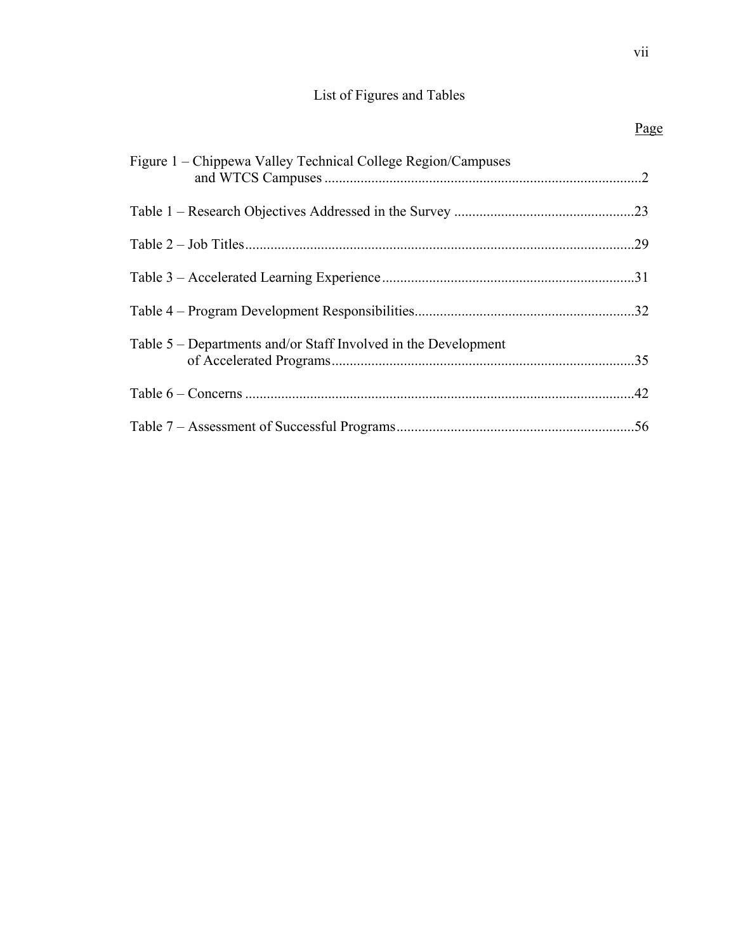# List of Figures and Tables

| Figure 1 – Chippewa Valley Technical College Region/Campuses   |  |
|----------------------------------------------------------------|--|
|                                                                |  |
|                                                                |  |
|                                                                |  |
|                                                                |  |
| Table 5 – Departments and/or Staff Involved in the Development |  |
|                                                                |  |
|                                                                |  |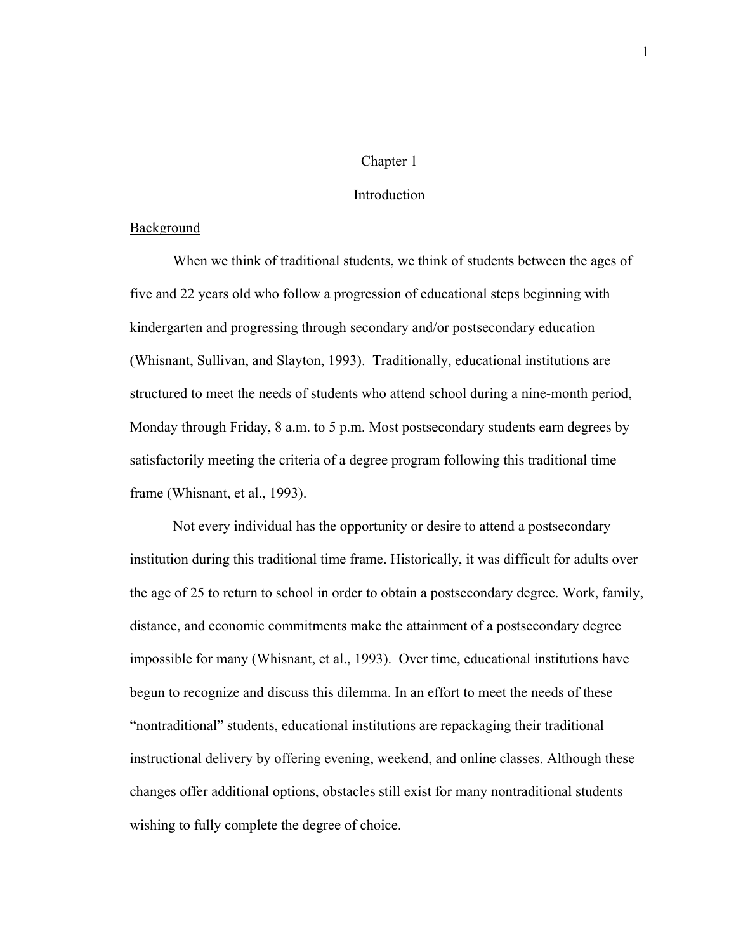#### Chapter 1

### **Introduction**

## **Background**

When we think of traditional students, we think of students between the ages of five and 22 years old who follow a progression of educational steps beginning with kindergarten and progressing through secondary and/or postsecondary education (Whisnant, Sullivan, and Slayton, 1993). Traditionally, educational institutions are structured to meet the needs of students who attend school during a nine-month period, Monday through Friday, 8 a.m. to 5 p.m. Most postsecondary students earn degrees by satisfactorily meeting the criteria of a degree program following this traditional time frame (Whisnant, et al., 1993).

Not every individual has the opportunity or desire to attend a postsecondary institution during this traditional time frame. Historically, it was difficult for adults over the age of 25 to return to school in order to obtain a postsecondary degree. Work, family, distance, and economic commitments make the attainment of a postsecondary degree impossible for many (Whisnant, et al., 1993). Over time, educational institutions have begun to recognize and discuss this dilemma. In an effort to meet the needs of these "nontraditional" students, educational institutions are repackaging their traditional instructional delivery by offering evening, weekend, and online classes. Although these changes offer additional options, obstacles still exist for many nontraditional students wishing to fully complete the degree of choice.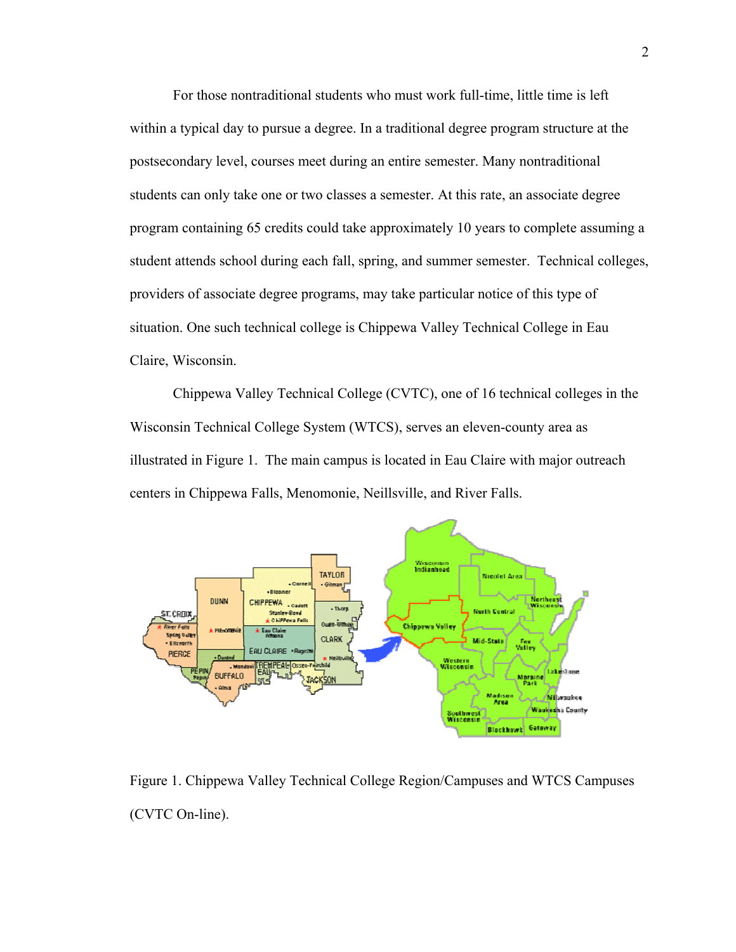For those nontraditional students who must work full-time, little time is left within a typical day to pursue a degree. In a traditional degree program structure at the postsecondary level, courses meet during an entire semester. Many nontraditional students can only take one or two classes a semester. At this rate, an associate degree program containing 65 credits could take approximately 10 years to complete assuming a student attends school during each fall, spring, and summer semester. Technical colleges, providers of associate degree programs, may take particular notice of this type of situation. One such technical college is Chippewa Valley Technical College in Eau Claire, Wisconsin.

Chippewa Valley Technical College (CVTC), one of 16 technical colleges in the [Wisconsin Technical College System](http://www.witechcolleges.com/) (WTCS), serves an eleven-county area as illustrated in Figure 1. The main campus is located in Eau Claire with major outreach centers in Chippewa Falls, Menomonie, Neillsville, and River Falls.



Figure 1. Chippewa Valley Technical College Region/Campuses and WTCS Campuses (CVTC On-line).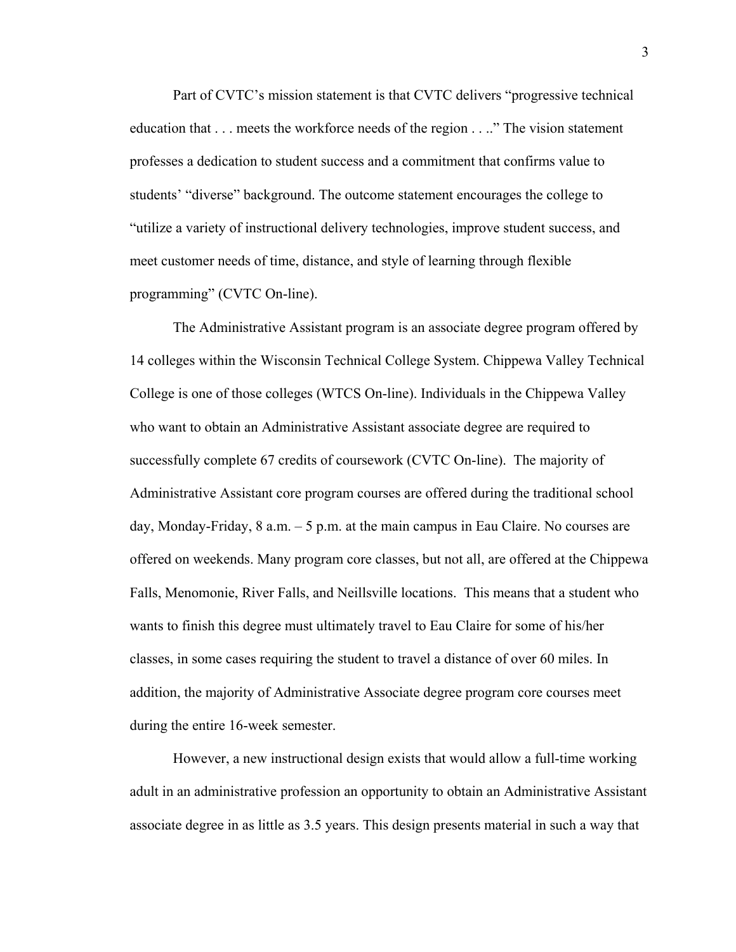Part of CVTC's mission statement is that CVTC delivers "progressive technical education that . . . meets the workforce needs of the region . . .." The vision statement professes a dedication to student success and a commitment that confirms value to students' "diverse" background. The outcome statement encourages the college to "utilize a variety of instructional delivery technologies, improve student success, and meet customer needs of time, distance, and style of learning through flexible programming" (CVTC On-line).

The Administrative Assistant program is an associate degree program offered by 14 colleges within the Wisconsin Technical College System. Chippewa Valley Technical College is one of those colleges (WTCS On-line). Individuals in the Chippewa Valley who want to obtain an Administrative Assistant associate degree are required to successfully complete 67 credits of coursework (CVTC On-line). The majority of Administrative Assistant core program courses are offered during the traditional school day, Monday-Friday,  $8$  a.m.  $-5$  p.m. at the main campus in Eau Claire. No courses are offered on weekends. Many program core classes, but not all, are offered at the Chippewa Falls, Menomonie, River Falls, and Neillsville locations. This means that a student who wants to finish this degree must ultimately travel to Eau Claire for some of his/her classes, in some cases requiring the student to travel a distance of over 60 miles. In addition, the majority of Administrative Associate degree program core courses meet during the entire 16-week semester.

However, a new instructional design exists that would allow a full-time working adult in an administrative profession an opportunity to obtain an Administrative Assistant associate degree in as little as 3.5 years. This design presents material in such a way that

3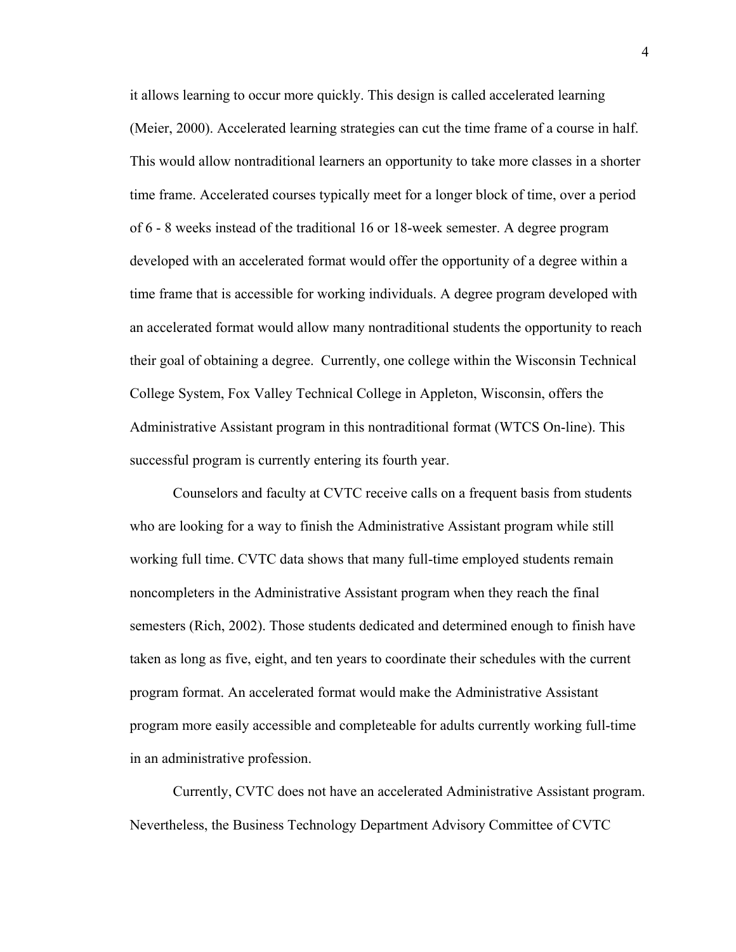it allows learning to occur more quickly. This design is called accelerated learning (Meier, 2000). Accelerated learning strategies can cut the time frame of a course in half. This would allow nontraditional learners an opportunity to take more classes in a shorter time frame. Accelerated courses typically meet for a longer block of time, over a period of 6 - 8 weeks instead of the traditional 16 or 18-week semester. A degree program developed with an accelerated format would offer the opportunity of a degree within a time frame that is accessible for working individuals. A degree program developed with an accelerated format would allow many nontraditional students the opportunity to reach their goal of obtaining a degree. Currently, one college within the Wisconsin Technical College System, Fox Valley Technical College in Appleton, Wisconsin, offers the Administrative Assistant program in this nontraditional format (WTCS On-line). This successful program is currently entering its fourth year.

Counselors and faculty at CVTC receive calls on a frequent basis from students who are looking for a way to finish the Administrative Assistant program while still working full time. CVTC data shows that many full-time employed students remain noncompleters in the Administrative Assistant program when they reach the final semesters (Rich, 2002). Those students dedicated and determined enough to finish have taken as long as five, eight, and ten years to coordinate their schedules with the current program format. An accelerated format would make the Administrative Assistant program more easily accessible and completeable for adults currently working full-time in an administrative profession.

Currently, CVTC does not have an accelerated Administrative Assistant program. Nevertheless, the Business Technology Department Advisory Committee of CVTC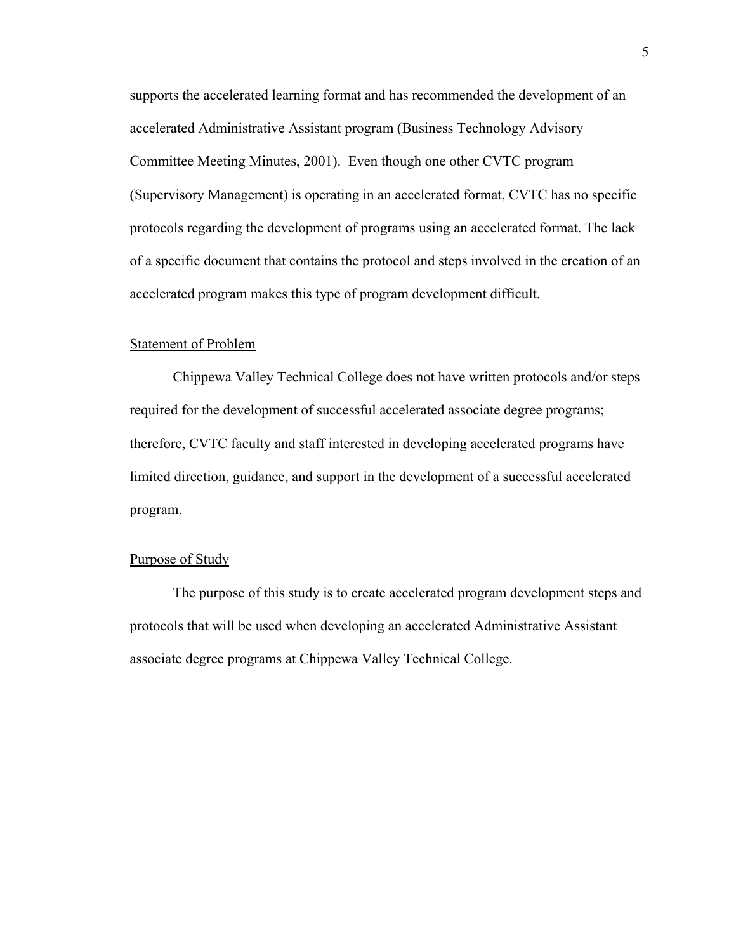supports the accelerated learning format and has recommended the development of an accelerated Administrative Assistant program (Business Technology Advisory Committee Meeting Minutes, 2001). Even though one other CVTC program (Supervisory Management) is operating in an accelerated format, CVTC has no specific protocols regarding the development of programs using an accelerated format. The lack of a specific document that contains the protocol and steps involved in the creation of an accelerated program makes this type of program development difficult.

#### Statement of Problem

Chippewa Valley Technical College does not have written protocols and/or steps required for the development of successful accelerated associate degree programs; therefore, CVTC faculty and staff interested in developing accelerated programs have limited direction, guidance, and support in the development of a successful accelerated program.

### Purpose of Study

The purpose of this study is to create accelerated program development steps and protocols that will be used when developing an accelerated Administrative Assistant associate degree programs at Chippewa Valley Technical College.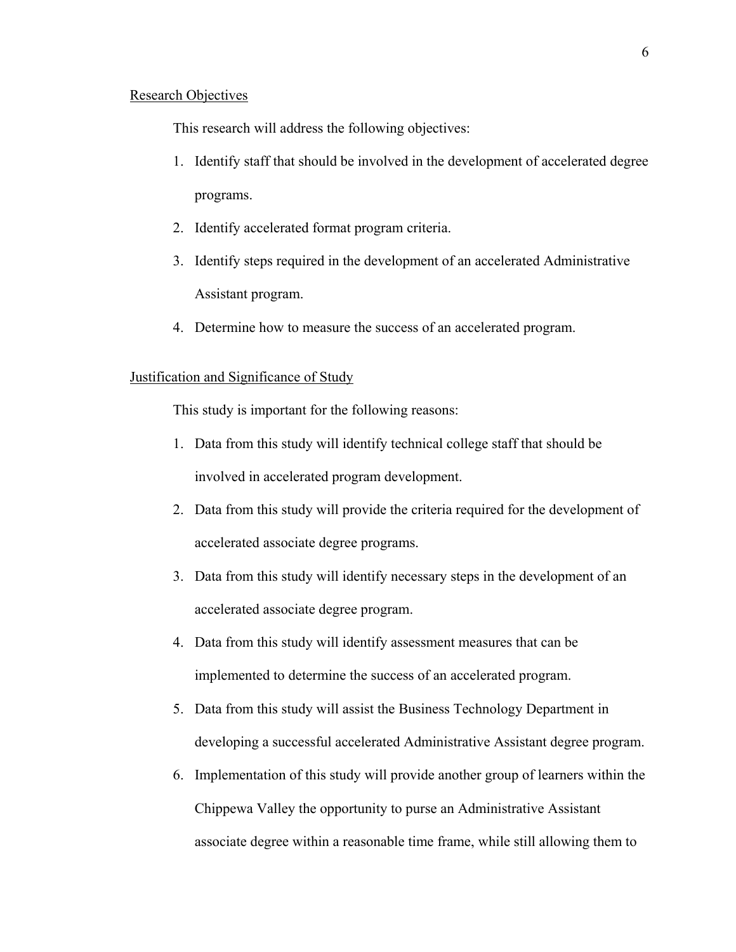### Research Objectives

This research will address the following objectives:

- 1. Identify staff that should be involved in the development of accelerated degree programs.
- 2. Identify accelerated format program criteria.
- 3. Identify steps required in the development of an accelerated Administrative Assistant program.
- 4. Determine how to measure the success of an accelerated program.

## Justification and Significance of Study

This study is important for the following reasons:

- 1. Data from this study will identify technical college staff that should be involved in accelerated program development.
- 2. Data from this study will provide the criteria required for the development of accelerated associate degree programs.
- 3. Data from this study will identify necessary steps in the development of an accelerated associate degree program.
- 4. Data from this study will identify assessment measures that can be implemented to determine the success of an accelerated program.
- 5. Data from this study will assist the Business Technology Department in developing a successful accelerated Administrative Assistant degree program.
- 6. Implementation of this study will provide another group of learners within the Chippewa Valley the opportunity to purse an Administrative Assistant associate degree within a reasonable time frame, while still allowing them to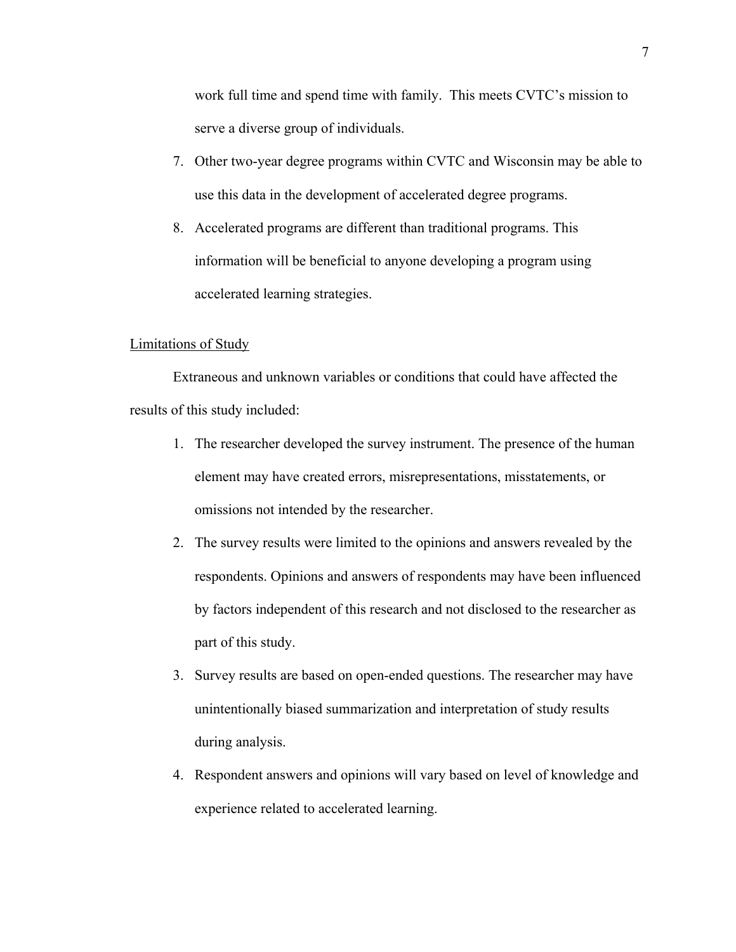work full time and spend time with family. This meets CVTC's mission to serve a diverse group of individuals.

- 7. Other two-year degree programs within CVTC and Wisconsin may be able to use this data in the development of accelerated degree programs.
- 8. Accelerated programs are different than traditional programs. This information will be beneficial to anyone developing a program using accelerated learning strategies.

## Limitations of Study

Extraneous and unknown variables or conditions that could have affected the results of this study included:

- 1. The researcher developed the survey instrument. The presence of the human element may have created errors, misrepresentations, misstatements, or omissions not intended by the researcher.
- 2. The survey results were limited to the opinions and answers revealed by the respondents. Opinions and answers of respondents may have been influenced by factors independent of this research and not disclosed to the researcher as part of this study.
- 3. Survey results are based on open-ended questions. The researcher may have unintentionally biased summarization and interpretation of study results during analysis.
- 4. Respondent answers and opinions will vary based on level of knowledge and experience related to accelerated learning.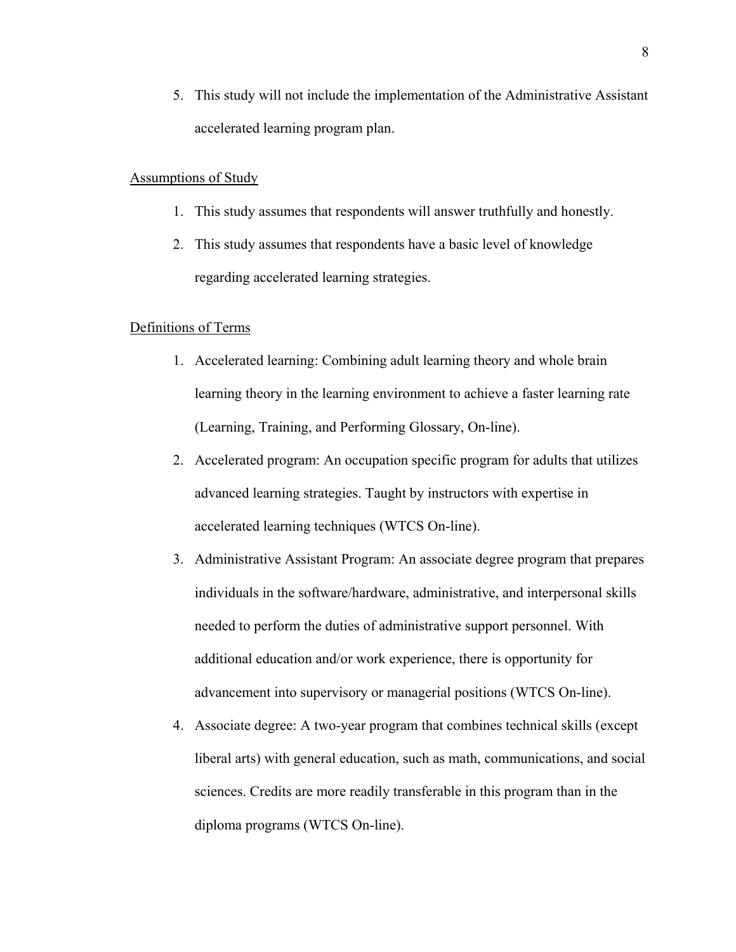5. This study will not include the implementation of the Administrative Assistant accelerated learning program plan.

### Assumptions of Study

- 1. This study assumes that respondents will answer truthfully and honestly.
- 2. This study assumes that respondents have a basic level of knowledge regarding accelerated learning strategies.

### Definitions of Terms

- 1. Accelerated learning: Combining adult learning theory and whole brain learning theory in the learning environment to achieve a faster learning rate (Learning, Training, and Performing Glossary, On-line).
- 2. Accelerated program: An occupation specific program for adults that utilizes advanced learning strategies. Taught by instructors with expertise in accelerated learning techniques (WTCS On-line).
- 3. Administrative Assistant Program: An associate degree program that prepares individuals in the software/hardware, administrative, and interpersonal skills needed to perform the duties of administrative support personnel. With additional education and/or work experience, there is opportunity for advancement into supervisory or managerial positions (WTCS On-line).
- 4. Associate degree: A two-year program that combines technical skills (except liberal arts) with general education, such as math, communications, and social sciences. Credits are more readily transferable in this program than in the diploma programs (WTCS On-line).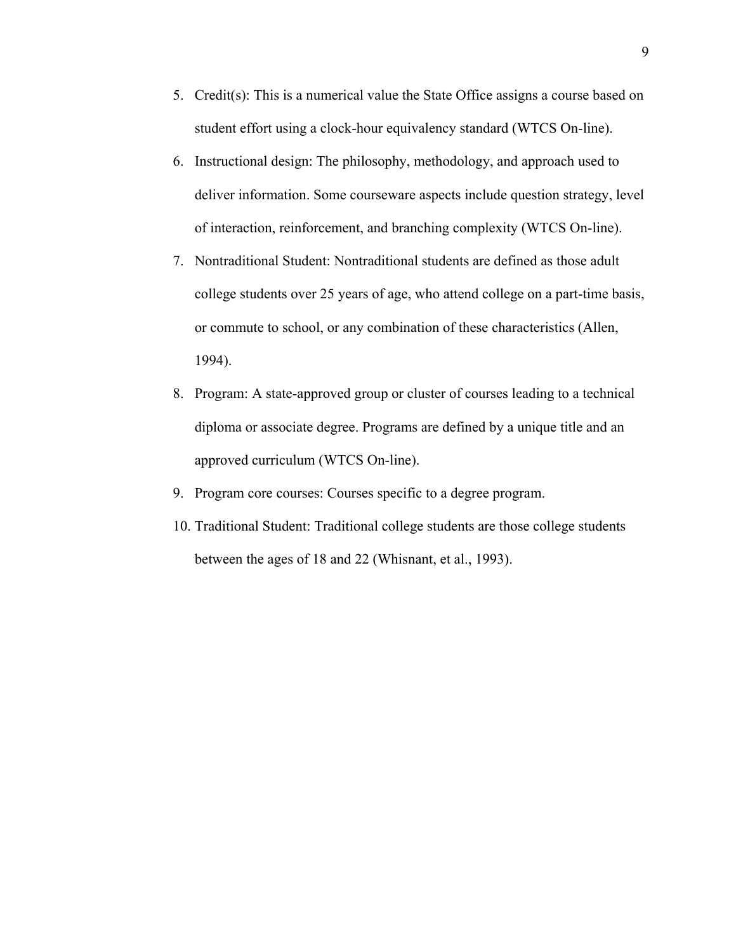- 5. Credit(s): This is a numerical value the State Office assigns a course based on student effort using a clock-hour equivalency standard (WTCS On-line).
- 6. Instructional design: The philosophy, methodology, and approach used to deliver information. Some courseware aspects include question strategy, level of interaction, reinforcement, and branching complexity (WTCS On-line).
- 7. Nontraditional Student: Nontraditional students are defined as those adult college students over 25 years of age, who attend college on a part-time basis, or commute to school, or any combination of these characteristics (Allen, 1994).
- 8. Program: A state-approved group or cluster of courses leading to a technical diploma or associate degree. Programs are defined by a unique title and an approved curriculum (WTCS On-line).
- 9. Program core courses: Courses specific to a degree program.
- 10. Traditional Student: Traditional college students are those college students between the ages of 18 and 22 (Whisnant, et al., 1993).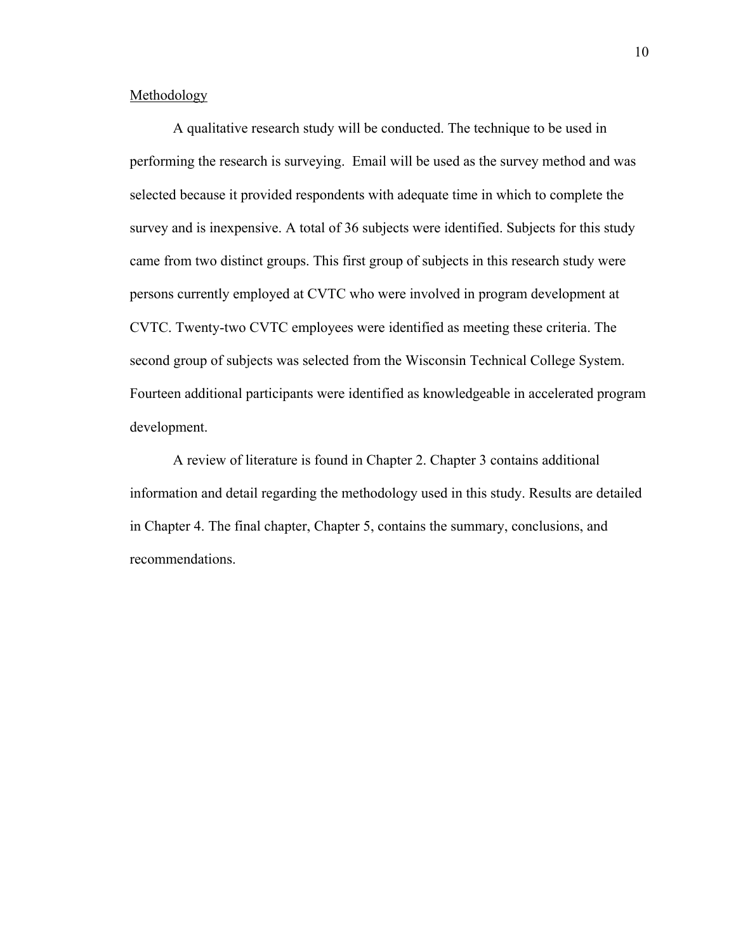## Methodology

A qualitative research study will be conducted. The technique to be used in performing the research is surveying. Email will be used as the survey method and was selected because it provided respondents with adequate time in which to complete the survey and is inexpensive. A total of 36 subjects were identified. Subjects for this study came from two distinct groups. This first group of subjects in this research study were persons currently employed at CVTC who were involved in program development at CVTC. Twenty-two CVTC employees were identified as meeting these criteria. The second group of subjects was selected from the Wisconsin Technical College System. Fourteen additional participants were identified as knowledgeable in accelerated program development.

A review of literature is found in Chapter 2. Chapter 3 contains additional information and detail regarding the methodology used in this study. Results are detailed in Chapter 4. The final chapter, Chapter 5, contains the summary, conclusions, and recommendations.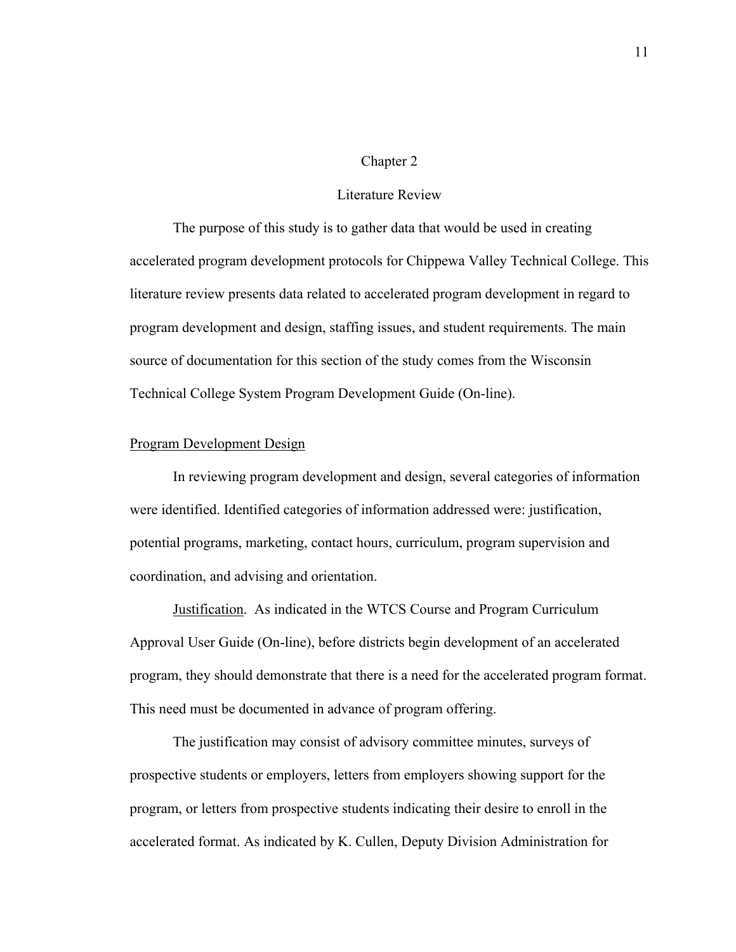#### Chapter 2

### Literature Review

The purpose of this study is to gather data that would be used in creating accelerated program development protocols for Chippewa Valley Technical College. This literature review presents data related to accelerated program development in regard to program development and design, staffing issues, and student requirements. The main source of documentation for this section of the study comes from the Wisconsin Technical College System Program Development Guide (On-line).

## Program Development Design

In reviewing program development and design, several categories of information were identified. Identified categories of information addressed were: justification, potential programs, marketing, contact hours, curriculum, program supervision and coordination, and advising and orientation.

Justification. As indicated in the WTCS Course and Program Curriculum Approval User Guide (On-line), before districts begin development of an accelerated program, they should demonstrate that there is a need for the accelerated program format. This need must be documented in advance of program offering.

The justification may consist of advisory committee minutes, surveys of prospective students or employers, letters from employers showing support for the program, or letters from prospective students indicating their desire to enroll in the accelerated format. As indicated by K. Cullen, Deputy Division Administration for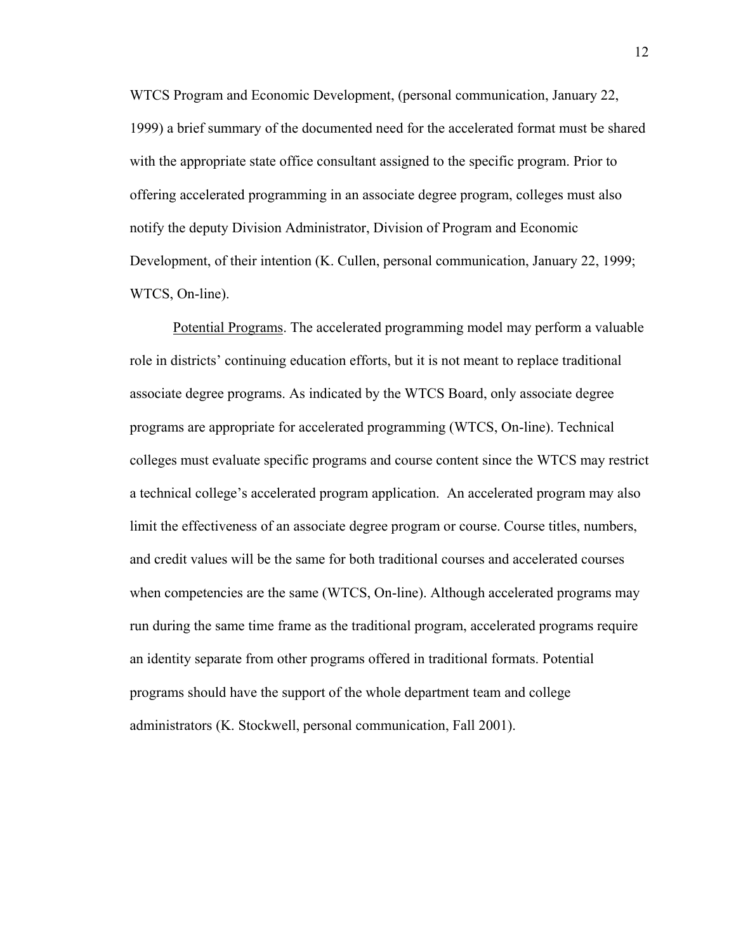WTCS Program and Economic Development, (personal communication, January 22, 1999) a brief summary of the documented need for the accelerated format must be shared with the appropriate state office consultant assigned to the specific program. Prior to offering accelerated programming in an associate degree program, colleges must also notify the deputy Division Administrator, Division of Program and Economic Development, of their intention (K. Cullen, personal communication, January 22, 1999; WTCS, On-line).

Potential Programs. The accelerated programming model may perform a valuable role in districts' continuing education efforts, but it is not meant to replace traditional associate degree programs. As indicated by the WTCS Board, only associate degree programs are appropriate for accelerated programming (WTCS, On-line). Technical colleges must evaluate specific programs and course content since the WTCS may restrict a technical college's accelerated program application. An accelerated program may also limit the effectiveness of an associate degree program or course. Course titles, numbers, and credit values will be the same for both traditional courses and accelerated courses when competencies are the same (WTCS, On-line). Although accelerated programs may run during the same time frame as the traditional program, accelerated programs require an identity separate from other programs offered in traditional formats. Potential programs should have the support of the whole department team and college administrators (K. Stockwell, personal communication, Fall 2001).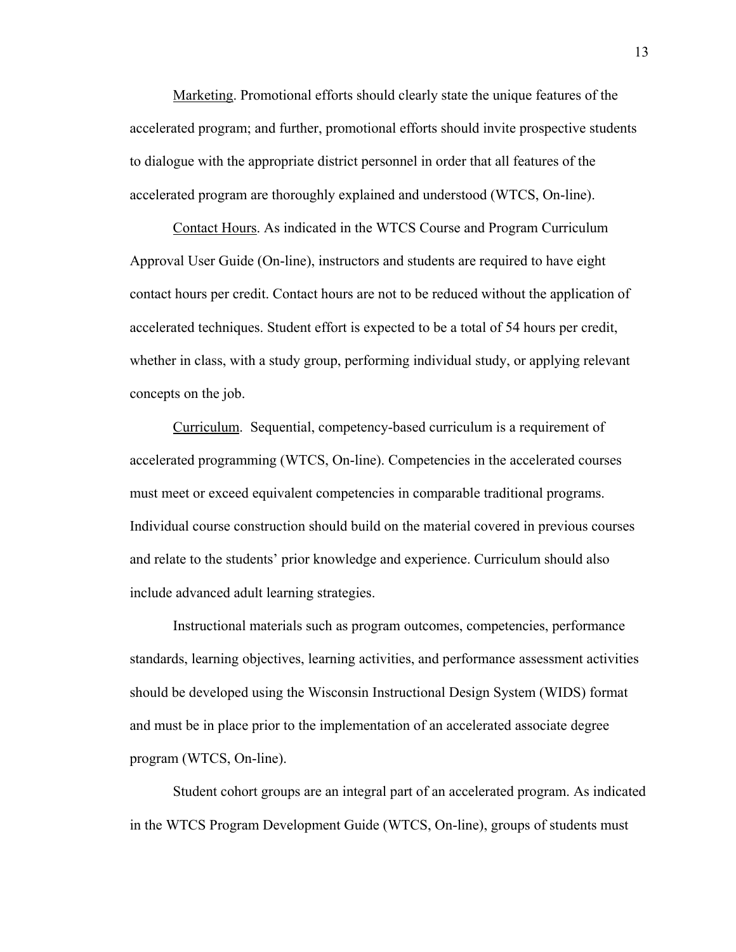Marketing. Promotional efforts should clearly state the unique features of the accelerated program; and further, promotional efforts should invite prospective students to dialogue with the appropriate district personnel in order that all features of the accelerated program are thoroughly explained and understood (WTCS, On-line).

Contact Hours. As indicated in the WTCS Course and Program Curriculum Approval User Guide (On-line), instructors and students are required to have eight contact hours per credit. Contact hours are not to be reduced without the application of accelerated techniques. Student effort is expected to be a total of 54 hours per credit, whether in class, with a study group, performing individual study, or applying relevant concepts on the job.

Curriculum. Sequential, competency-based curriculum is a requirement of accelerated programming (WTCS, On-line). Competencies in the accelerated courses must meet or exceed equivalent competencies in comparable traditional programs. Individual course construction should build on the material covered in previous courses and relate to the students' prior knowledge and experience. Curriculum should also include advanced adult learning strategies.

Instructional materials such as program outcomes, competencies, performance standards, learning objectives, learning activities, and performance assessment activities should be developed using the Wisconsin Instructional Design System (WIDS) format and must be in place prior to the implementation of an accelerated associate degree program (WTCS, On-line).

Student cohort groups are an integral part of an accelerated program. As indicated in the WTCS Program Development Guide (WTCS, On-line), groups of students must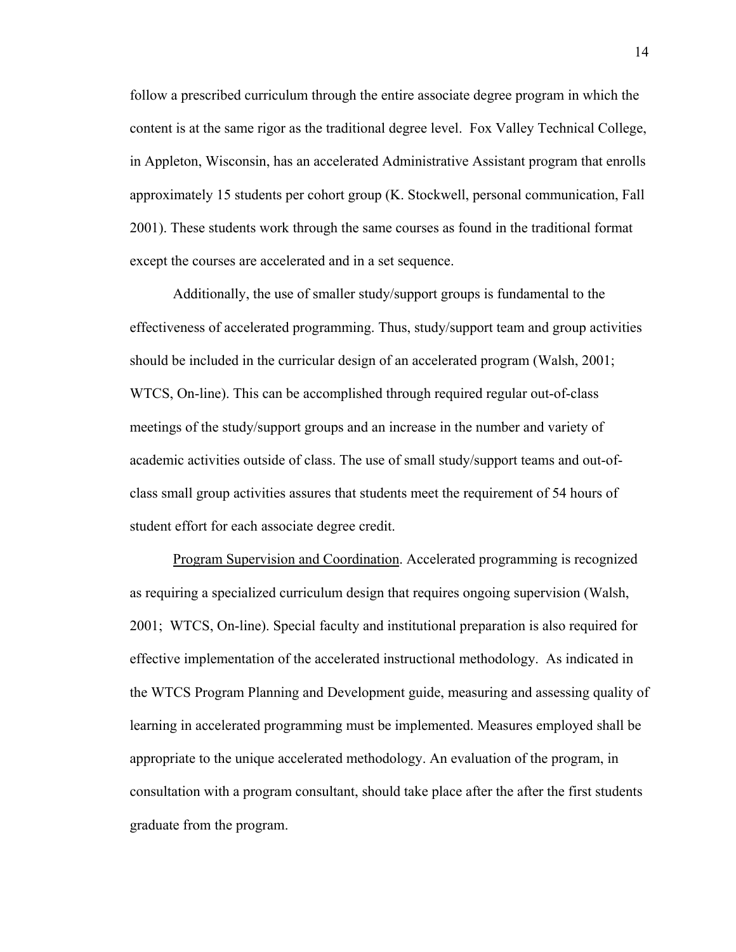follow a prescribed curriculum through the entire associate degree program in which the content is at the same rigor as the traditional degree level. Fox Valley Technical College, in Appleton, Wisconsin, has an accelerated Administrative Assistant program that enrolls approximately 15 students per cohort group (K. Stockwell, personal communication, Fall 2001). These students work through the same courses as found in the traditional format except the courses are accelerated and in a set sequence.

Additionally, the use of smaller study/support groups is fundamental to the effectiveness of accelerated programming. Thus, study/support team and group activities should be included in the curricular design of an accelerated program (Walsh, 2001; WTCS, On-line). This can be accomplished through required regular out-of-class meetings of the study/support groups and an increase in the number and variety of academic activities outside of class. The use of small study/support teams and out-ofclass small group activities assures that students meet the requirement of 54 hours of student effort for each associate degree credit.

Program Supervision and Coordination. Accelerated programming is recognized as requiring a specialized curriculum design that requires ongoing supervision (Walsh, 2001; WTCS, On-line). Special faculty and institutional preparation is also required for effective implementation of the accelerated instructional methodology. As indicated in the WTCS Program Planning and Development guide, measuring and assessing quality of learning in accelerated programming must be implemented. Measures employed shall be appropriate to the unique accelerated methodology. An evaluation of the program, in consultation with a program consultant, should take place after the after the first students graduate from the program.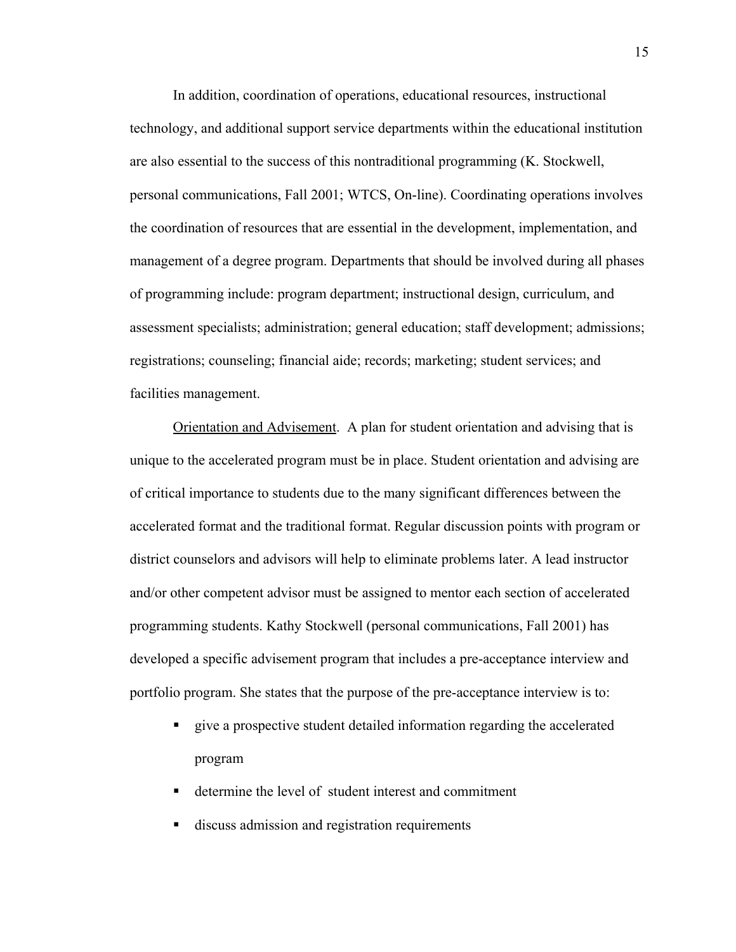In addition, coordination of operations, educational resources, instructional technology, and additional support service departments within the educational institution are also essential to the success of this nontraditional programming (K. Stockwell, personal communications, Fall 2001; WTCS, On-line). Coordinating operations involves the coordination of resources that are essential in the development, implementation, and management of a degree program. Departments that should be involved during all phases of programming include: program department; instructional design, curriculum, and assessment specialists; administration; general education; staff development; admissions; registrations; counseling; financial aide; records; marketing; student services; and facilities management.

Orientation and Advisement. A plan for student orientation and advising that is unique to the accelerated program must be in place. Student orientation and advising are of critical importance to students due to the many significant differences between the accelerated format and the traditional format. Regular discussion points with program or district counselors and advisors will help to eliminate problems later. A lead instructor and/or other competent advisor must be assigned to mentor each section of accelerated programming students. Kathy Stockwell (personal communications, Fall 2001) has developed a specific advisement program that includes a pre-acceptance interview and portfolio program. She states that the purpose of the pre-acceptance interview is to:

- give a prospective student detailed information regarding the accelerated program
- determine the level of student interest and commitment
- discuss admission and registration requirements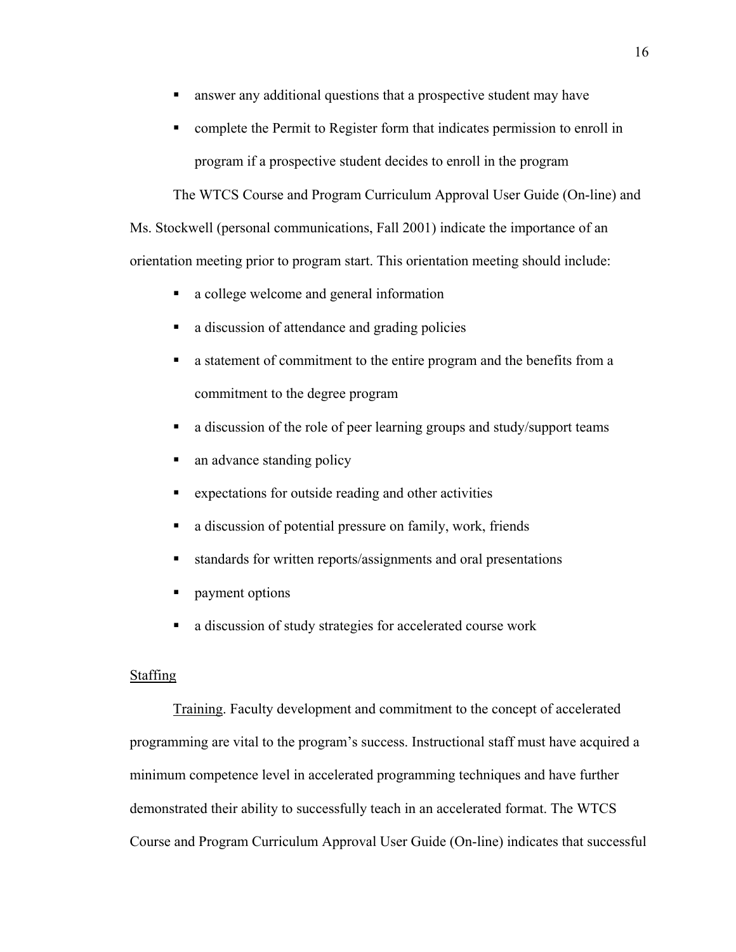- answer any additional questions that a prospective student may have
- complete the Permit to Register form that indicates permission to enroll in program if a prospective student decides to enroll in the program

The WTCS Course and Program Curriculum Approval User Guide (On-line) and Ms. Stockwell (personal communications, Fall 2001) indicate the importance of an orientation meeting prior to program start. This orientation meeting should include:

- a college welcome and general information
- a discussion of attendance and grading policies
- a statement of commitment to the entire program and the benefits from a commitment to the degree program
- a discussion of the role of peer learning groups and study/support teams
- an advance standing policy
- expectations for outside reading and other activities
- a discussion of potential pressure on family, work, friends
- standards for written reports/assignments and oral presentations
- **payment options**
- a discussion of study strategies for accelerated course work

## Staffing

Training. Faculty development and commitment to the concept of accelerated programming are vital to the program's success. Instructional staff must have acquired a minimum competence level in accelerated programming techniques and have further demonstrated their ability to successfully teach in an accelerated format. The WTCS Course and Program Curriculum Approval User Guide (On-line) indicates that successful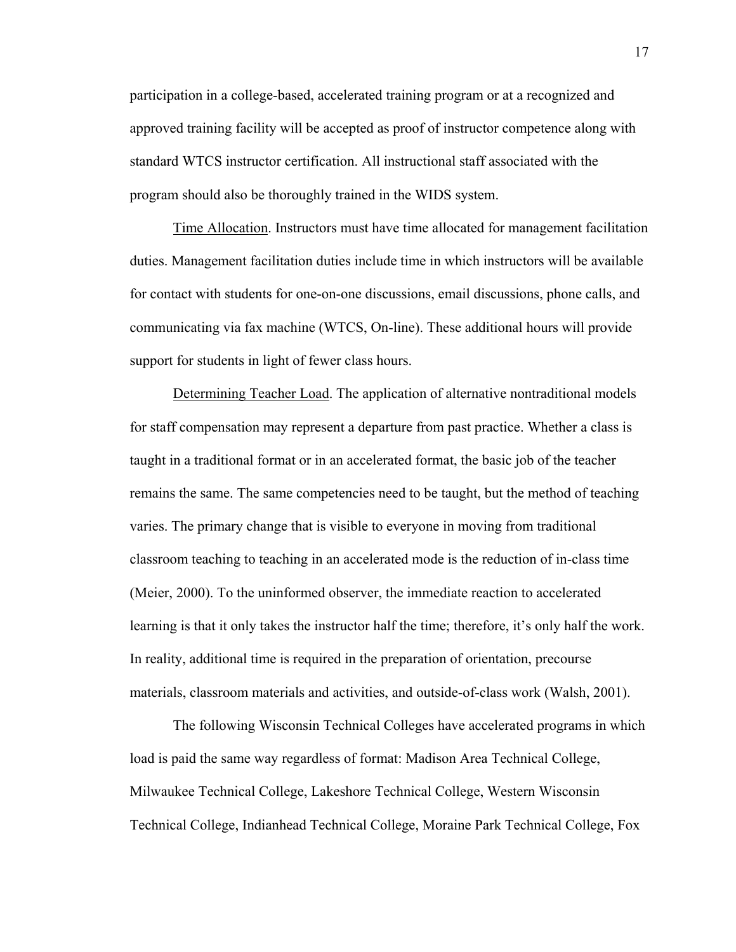participation in a college-based, accelerated training program or at a recognized and approved training facility will be accepted as proof of instructor competence along with standard WTCS instructor certification. All instructional staff associated with the program should also be thoroughly trained in the WIDS system.

Time Allocation. Instructors must have time allocated for management facilitation duties. Management facilitation duties include time in which instructors will be available for contact with students for one-on-one discussions, email discussions, phone calls, and communicating via fax machine (WTCS, On-line). These additional hours will provide support for students in light of fewer class hours.

Determining Teacher Load. The application of alternative nontraditional models for staff compensation may represent a departure from past practice. Whether a class is taught in a traditional format or in an accelerated format, the basic job of the teacher remains the same. The same competencies need to be taught, but the method of teaching varies. The primary change that is visible to everyone in moving from traditional classroom teaching to teaching in an accelerated mode is the reduction of in-class time (Meier, 2000). To the uninformed observer, the immediate reaction to accelerated learning is that it only takes the instructor half the time; therefore, it's only half the work. In reality, additional time is required in the preparation of orientation, precourse materials, classroom materials and activities, and outside-of-class work (Walsh, 2001).

The following Wisconsin Technical Colleges have accelerated programs in which load is paid the same way regardless of format: Madison Area Technical College, Milwaukee Technical College, Lakeshore Technical College, Western Wisconsin Technical College, Indianhead Technical College, Moraine Park Technical College, Fox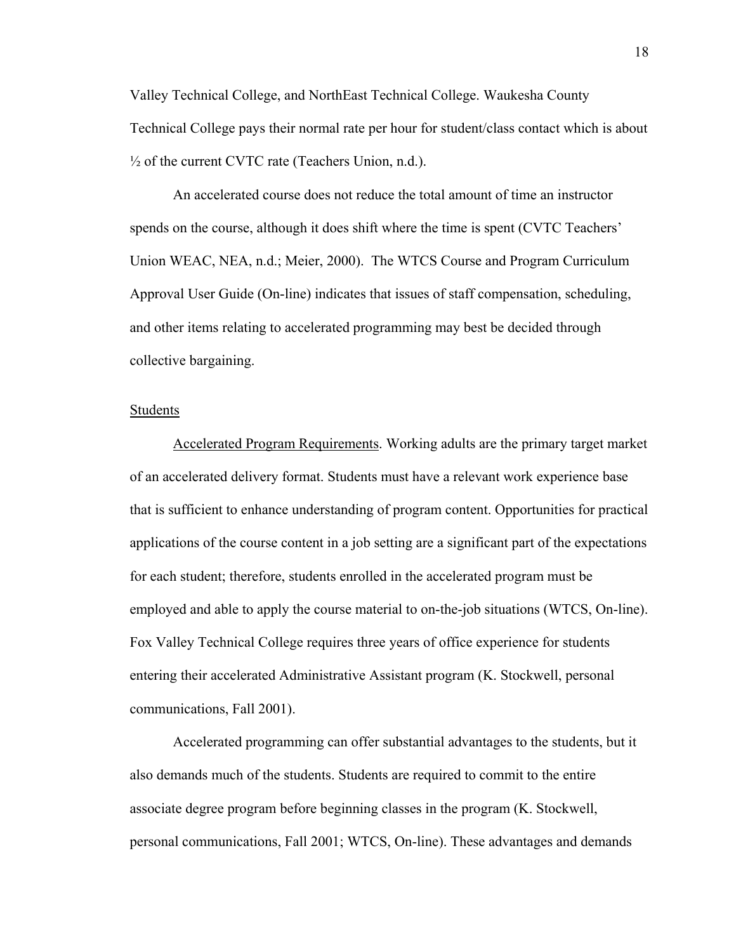Valley Technical College, and NorthEast Technical College. Waukesha County Technical College pays their normal rate per hour for student/class contact which is about  $\frac{1}{2}$  of the current CVTC rate (Teachers Union, n.d.).

An accelerated course does not reduce the total amount of time an instructor spends on the course, although it does shift where the time is spent (CVTC Teachers' Union WEAC, NEA, n.d.; Meier, 2000). The WTCS Course and Program Curriculum Approval User Guide (On-line) indicates that issues of staff compensation, scheduling, and other items relating to accelerated programming may best be decided through collective bargaining.

## Students

Accelerated Program Requirements. Working adults are the primary target market of an accelerated delivery format. Students must have a relevant work experience base that is sufficient to enhance understanding of program content. Opportunities for practical applications of the course content in a job setting are a significant part of the expectations for each student; therefore, students enrolled in the accelerated program must be employed and able to apply the course material to on-the-job situations (WTCS, On-line). Fox Valley Technical College requires three years of office experience for students entering their accelerated Administrative Assistant program (K. Stockwell, personal communications, Fall 2001).

Accelerated programming can offer substantial advantages to the students, but it also demands much of the students. Students are required to commit to the entire associate degree program before beginning classes in the program (K. Stockwell, personal communications, Fall 2001; WTCS, On-line). These advantages and demands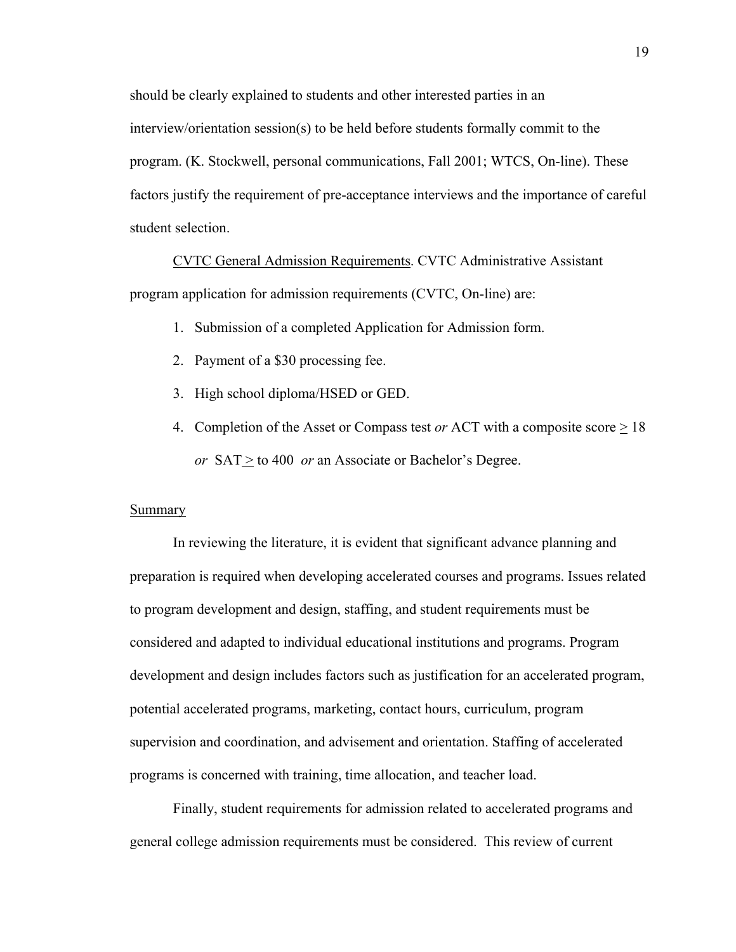should be clearly explained to students and other interested parties in an interview/orientation session(s) to be held before students formally commit to the program. (K. Stockwell, personal communications, Fall 2001; WTCS, On-line). These factors justify the requirement of pre-acceptance interviews and the importance of careful student selection.

CVTC General Admission Requirements. CVTC Administrative Assistant program application for admission requirements (CVTC, On-line) are:

- 1. Submission of a completed Application for Admission form.
- 2. Payment of a \$30 processing fee.
- 3. High school diploma/HSED or GED.
- 4. Completion of the Asset or Compass test *or* ACT with a composite score  $\geq$  18 *or* SAT  $\geq$  to 400 *or* an Associate or Bachelor's Degree.

#### Summary

In reviewing the literature, it is evident that significant advance planning and preparation is required when developing accelerated courses and programs. Issues related to program development and design, staffing, and student requirements must be considered and adapted to individual educational institutions and programs. Program development and design includes factors such as justification for an accelerated program, potential accelerated programs, marketing, contact hours, curriculum, program supervision and coordination, and advisement and orientation. Staffing of accelerated programs is concerned with training, time allocation, and teacher load.

Finally, student requirements for admission related to accelerated programs and general college admission requirements must be considered. This review of current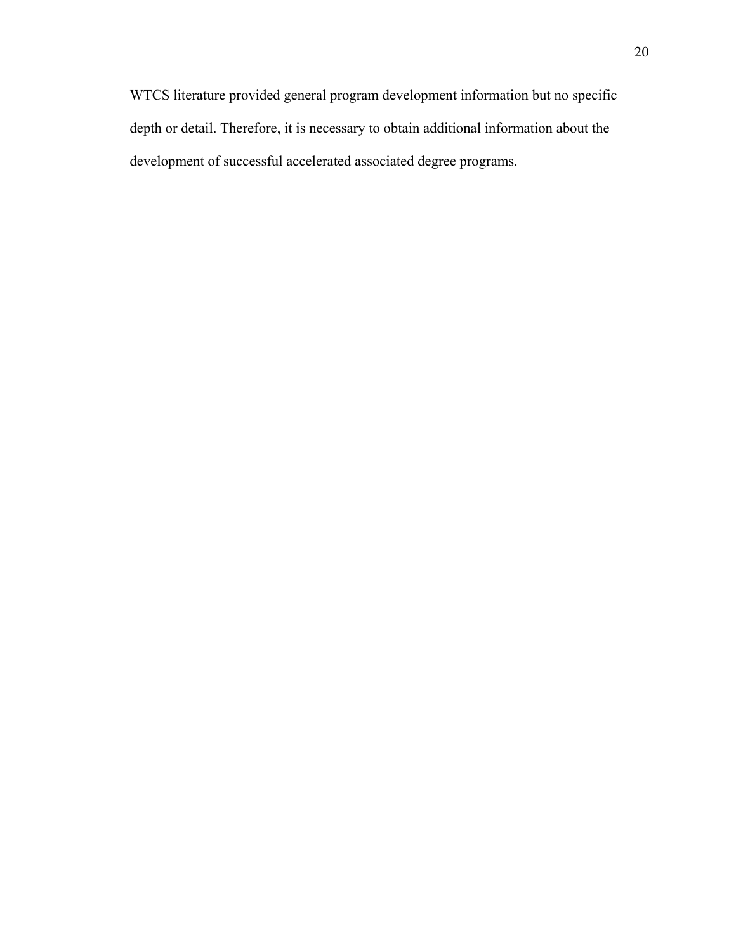WTCS literature provided general program development information but no specific depth or detail. Therefore, it is necessary to obtain additional information about the development of successful accelerated associated degree programs.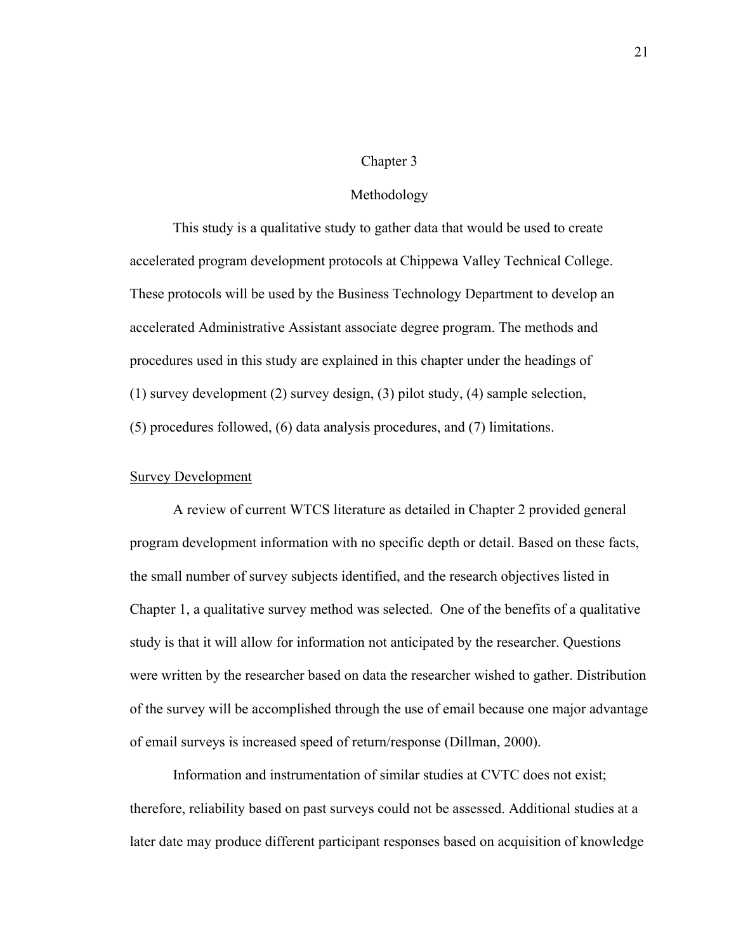#### Chapter 3

#### Methodology

This study is a qualitative study to gather data that would be used to create accelerated program development protocols at Chippewa Valley Technical College. These protocols will be used by the Business Technology Department to develop an accelerated Administrative Assistant associate degree program. The methods and procedures used in this study are explained in this chapter under the headings of (1) survey development (2) survey design, (3) pilot study, (4) sample selection, (5) procedures followed, (6) data analysis procedures, and (7) limitations.

## Survey Development

A review of current WTCS literature as detailed in Chapter 2 provided general program development information with no specific depth or detail. Based on these facts, the small number of survey subjects identified, and the research objectives listed in Chapter 1, a qualitative survey method was selected. One of the benefits of a qualitative study is that it will allow for information not anticipated by the researcher. Questions were written by the researcher based on data the researcher wished to gather. Distribution of the survey will be accomplished through the use of email because one major advantage of email surveys is increased speed of return/response (Dillman, 2000).

Information and instrumentation of similar studies at CVTC does not exist; therefore, reliability based on past surveys could not be assessed. Additional studies at a later date may produce different participant responses based on acquisition of knowledge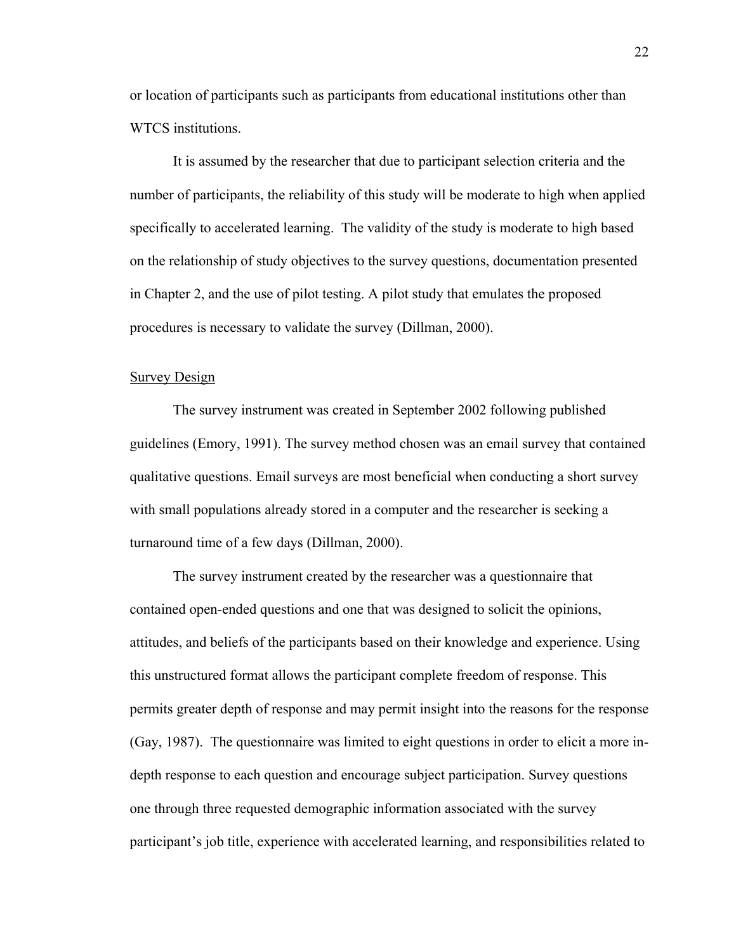or location of participants such as participants from educational institutions other than WTCS institutions.

It is assumed by the researcher that due to participant selection criteria and the number of participants, the reliability of this study will be moderate to high when applied specifically to accelerated learning. The validity of the study is moderate to high based on the relationship of study objectives to the survey questions, documentation presented in Chapter 2, and the use of pilot testing. A pilot study that emulates the proposed procedures is necessary to validate the survey (Dillman, 2000).

#### Survey Design

The survey instrument was created in September 2002 following published guidelines (Emory, 1991). The survey method chosen was an email survey that contained qualitative questions. Email surveys are most beneficial when conducting a short survey with small populations already stored in a computer and the researcher is seeking a turnaround time of a few days (Dillman, 2000).

The survey instrument created by the researcher was a questionnaire that contained open-ended questions and one that was designed to solicit the opinions, attitudes, and beliefs of the participants based on their knowledge and experience. Using this unstructured format allows the participant complete freedom of response. This permits greater depth of response and may permit insight into the reasons for the response (Gay, 1987). The questionnaire was limited to eight questions in order to elicit a more indepth response to each question and encourage subject participation. Survey questions one through three requested demographic information associated with the survey participant's job title, experience with accelerated learning, and responsibilities related to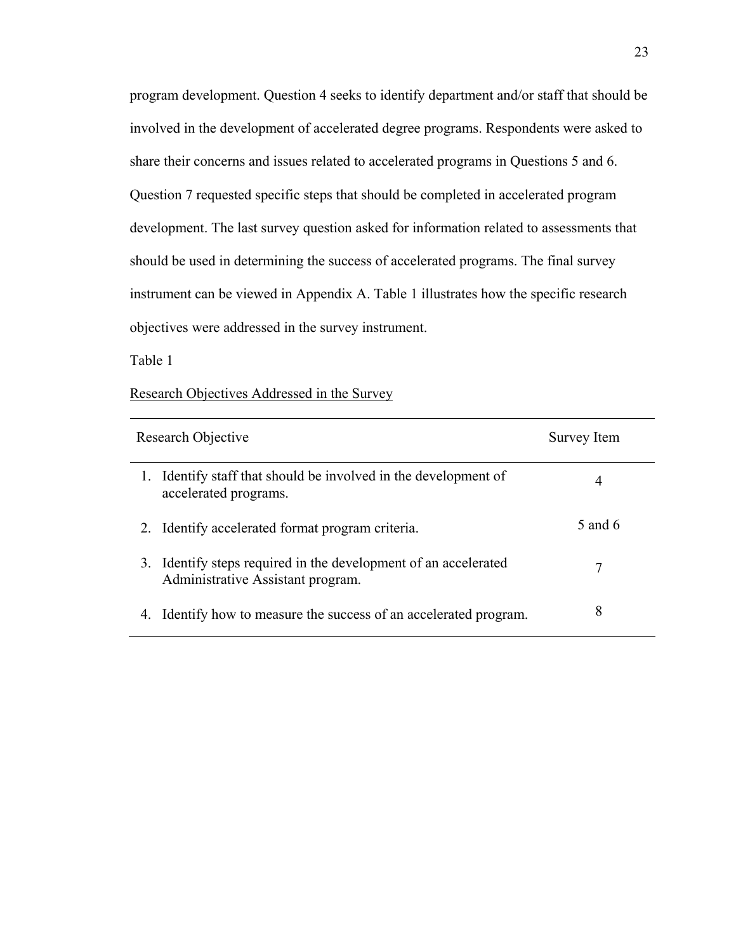program development. Question 4 seeks to identify department and/or staff that should be involved in the development of accelerated degree programs. Respondents were asked to share their concerns and issues related to accelerated programs in Questions 5 and 6. Question 7 requested specific steps that should be completed in accelerated program development. The last survey question asked for information related to assessments that should be used in determining the success of accelerated programs. The final survey instrument can be viewed in Appendix A. Table 1 illustrates how the specific research objectives were addressed in the survey instrument.

Table 1

## Research Objectives Addressed in the Survey

| Research Objective |                                                                                                   | Survey Item |
|--------------------|---------------------------------------------------------------------------------------------------|-------------|
| 1.                 | Identify staff that should be involved in the development of<br>accelerated programs.             | 4           |
| 2.                 | Identify accelerated format program criteria.                                                     | 5 and 6     |
| 3.                 | Identify steps required in the development of an accelerated<br>Administrative Assistant program. | 7           |
| 4.                 | Identify how to measure the success of an accelerated program.                                    | 8           |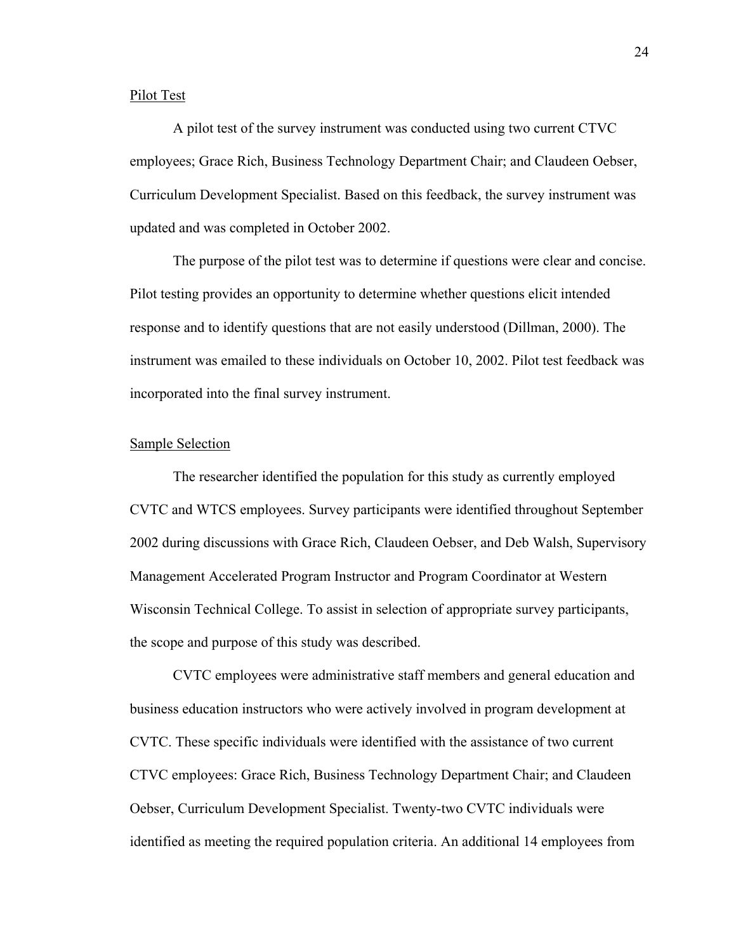## Pilot Test

A pilot test of the survey instrument was conducted using two current CTVC employees; Grace Rich, Business Technology Department Chair; and Claudeen Oebser, Curriculum Development Specialist. Based on this feedback, the survey instrument was updated and was completed in October 2002.

The purpose of the pilot test was to determine if questions were clear and concise. Pilot testing provides an opportunity to determine whether questions elicit intended response and to identify questions that are not easily understood (Dillman, 2000). The instrument was emailed to these individuals on October 10, 2002. Pilot test feedback was incorporated into the final survey instrument.

## Sample Selection

The researcher identified the population for this study as currently employed CVTC and WTCS employees. Survey participants were identified throughout September 2002 during discussions with Grace Rich, Claudeen Oebser, and Deb Walsh, Supervisory Management Accelerated Program Instructor and Program Coordinator at Western Wisconsin Technical College. To assist in selection of appropriate survey participants, the scope and purpose of this study was described.

CVTC employees were administrative staff members and general education and business education instructors who were actively involved in program development at CVTC. These specific individuals were identified with the assistance of two current CTVC employees: Grace Rich, Business Technology Department Chair; and Claudeen Oebser, Curriculum Development Specialist. Twenty-two CVTC individuals were identified as meeting the required population criteria. An additional 14 employees from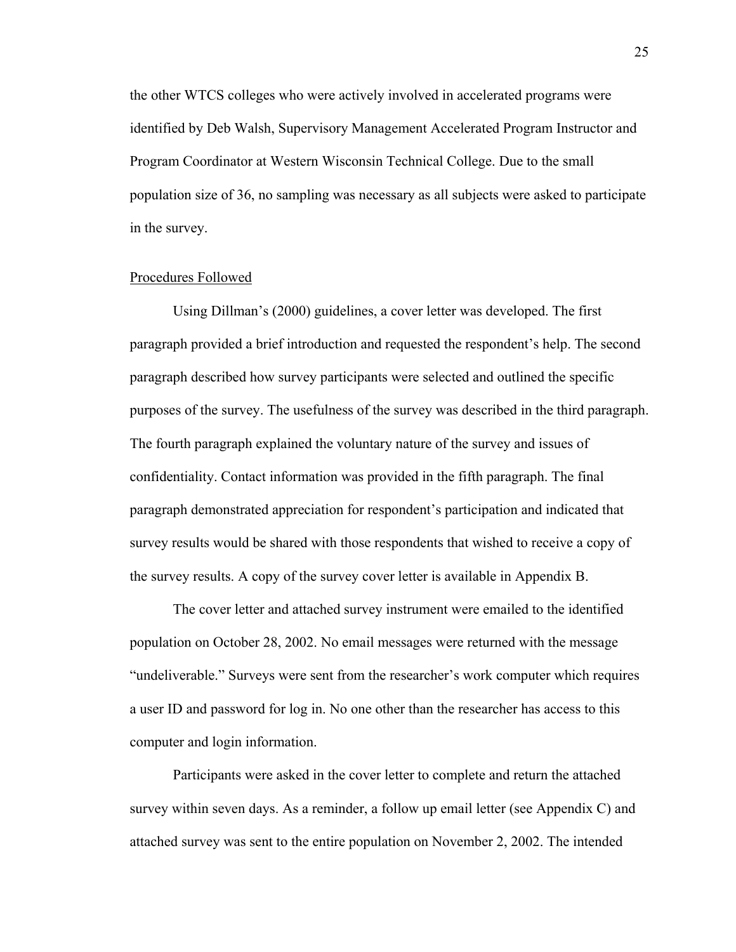the other WTCS colleges who were actively involved in accelerated programs were identified by Deb Walsh, Supervisory Management Accelerated Program Instructor and Program Coordinator at Western Wisconsin Technical College. Due to the small population size of 36, no sampling was necessary as all subjects were asked to participate in the survey.

#### Procedures Followed

Using Dillman's (2000) guidelines, a cover letter was developed. The first paragraph provided a brief introduction and requested the respondent's help. The second paragraph described how survey participants were selected and outlined the specific purposes of the survey. The usefulness of the survey was described in the third paragraph. The fourth paragraph explained the voluntary nature of the survey and issues of confidentiality. Contact information was provided in the fifth paragraph. The final paragraph demonstrated appreciation for respondent's participation and indicated that survey results would be shared with those respondents that wished to receive a copy of the survey results. A copy of the survey cover letter is available in Appendix B.

The cover letter and attached survey instrument were emailed to the identified population on October 28, 2002. No email messages were returned with the message "undeliverable." Surveys were sent from the researcher's work computer which requires a user ID and password for log in. No one other than the researcher has access to this computer and login information.

Participants were asked in the cover letter to complete and return the attached survey within seven days. As a reminder, a follow up email letter (see Appendix C) and attached survey was sent to the entire population on November 2, 2002. The intended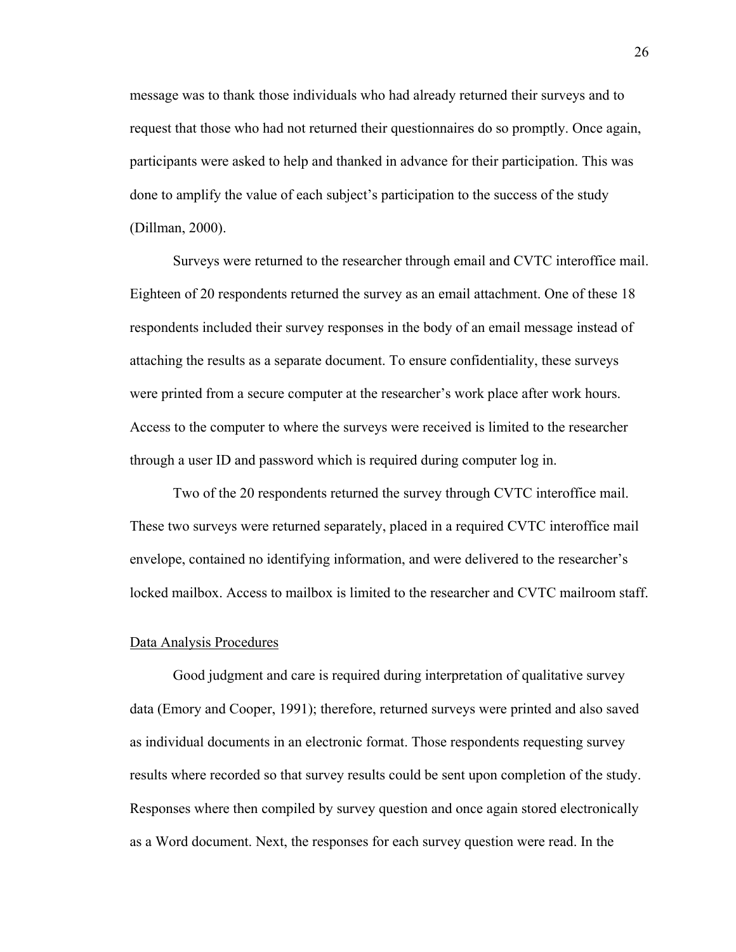message was to thank those individuals who had already returned their surveys and to request that those who had not returned their questionnaires do so promptly. Once again, participants were asked to help and thanked in advance for their participation. This was done to amplify the value of each subject's participation to the success of the study (Dillman, 2000).

Surveys were returned to the researcher through email and CVTC interoffice mail. Eighteen of 20 respondents returned the survey as an email attachment. One of these 18 respondents included their survey responses in the body of an email message instead of attaching the results as a separate document. To ensure confidentiality, these surveys were printed from a secure computer at the researcher's work place after work hours. Access to the computer to where the surveys were received is limited to the researcher through a user ID and password which is required during computer log in.

Two of the 20 respondents returned the survey through CVTC interoffice mail. These two surveys were returned separately, placed in a required CVTC interoffice mail envelope, contained no identifying information, and were delivered to the researcher's locked mailbox. Access to mailbox is limited to the researcher and CVTC mailroom staff.

#### Data Analysis Procedures

Good judgment and care is required during interpretation of qualitative survey data (Emory and Cooper, 1991); therefore, returned surveys were printed and also saved as individual documents in an electronic format. Those respondents requesting survey results where recorded so that survey results could be sent upon completion of the study. Responses where then compiled by survey question and once again stored electronically as a Word document. Next, the responses for each survey question were read. In the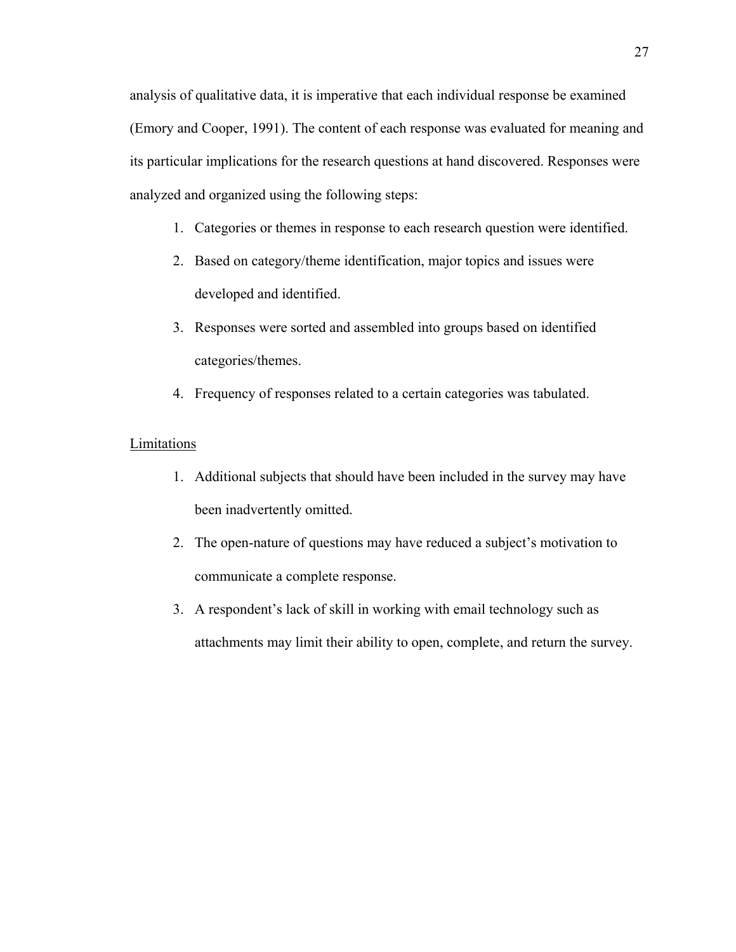analysis of qualitative data, it is imperative that each individual response be examined (Emory and Cooper, 1991). The content of each response was evaluated for meaning and its particular implications for the research questions at hand discovered. Responses were analyzed and organized using the following steps:

- 1. Categories or themes in response to each research question were identified.
- 2. Based on category/theme identification, major topics and issues were developed and identified.
- 3. Responses were sorted and assembled into groups based on identified categories/themes.
- 4. Frequency of responses related to a certain categories was tabulated.

## Limitations

- 1. Additional subjects that should have been included in the survey may have been inadvertently omitted.
- 2. The open-nature of questions may have reduced a subject's motivation to communicate a complete response.
- 3. A respondent's lack of skill in working with email technology such as attachments may limit their ability to open, complete, and return the survey.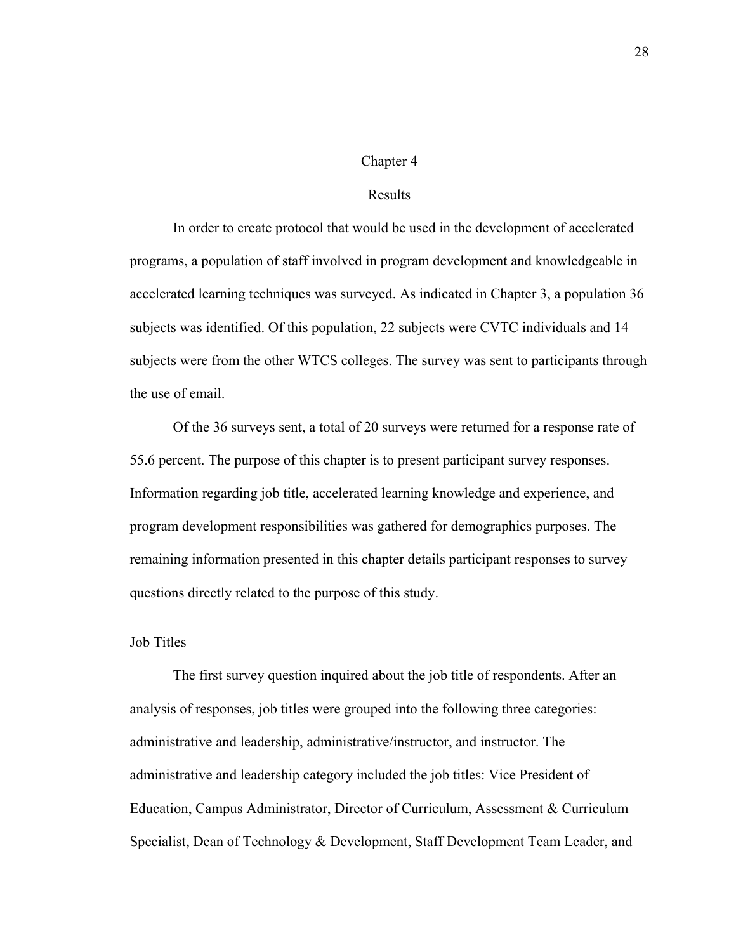#### Chapter 4

## Results

In order to create protocol that would be used in the development of accelerated programs, a population of staff involved in program development and knowledgeable in accelerated learning techniques was surveyed. As indicated in Chapter 3, a population 36 subjects was identified. Of this population, 22 subjects were CVTC individuals and 14 subjects were from the other WTCS colleges. The survey was sent to participants through the use of email.

Of the 36 surveys sent, a total of 20 surveys were returned for a response rate of 55.6 percent. The purpose of this chapter is to present participant survey responses. Information regarding job title, accelerated learning knowledge and experience, and program development responsibilities was gathered for demographics purposes. The remaining information presented in this chapter details participant responses to survey questions directly related to the purpose of this study.

#### Job Titles

The first survey question inquired about the job title of respondents. After an analysis of responses, job titles were grouped into the following three categories: administrative and leadership, administrative/instructor, and instructor. The administrative and leadership category included the job titles: Vice President of Education, Campus Administrator, Director of Curriculum, Assessment & Curriculum Specialist, Dean of Technology & Development, Staff Development Team Leader, and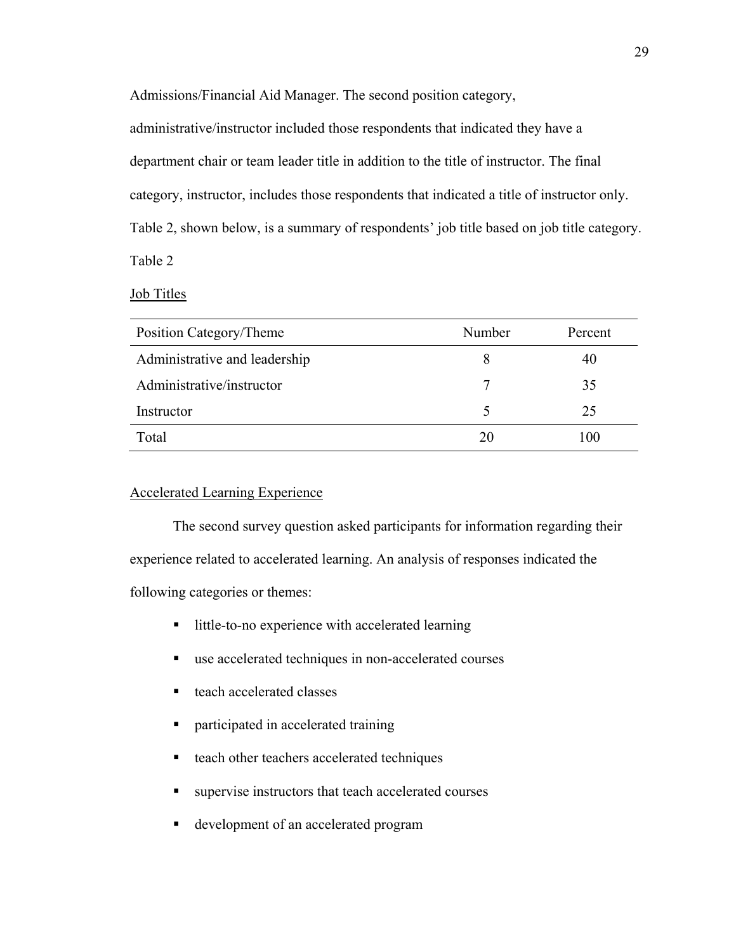Admissions/Financial Aid Manager. The second position category,

administrative/instructor included those respondents that indicated they have a department chair or team leader title in addition to the title of instructor. The final category, instructor, includes those respondents that indicated a title of instructor only. Table 2, shown below, is a summary of respondents' job title based on job title category. Table 2

Job Titles

| Position Category/Theme       | Number | Percent |
|-------------------------------|--------|---------|
| Administrative and leadership | 8      | 40      |
| Administrative/instructor     |        | 35      |
| Instructor                    |        | 25      |
| Total                         | 20     | 00      |

# Accelerated Learning Experience

The second survey question asked participants for information regarding their experience related to accelerated learning. An analysis of responses indicated the following categories or themes:

- little-to-no experience with accelerated learning
- use accelerated techniques in non-accelerated courses
- teach accelerated classes
- participated in accelerated training
- teach other teachers accelerated techniques
- supervise instructors that teach accelerated courses
- development of an accelerated program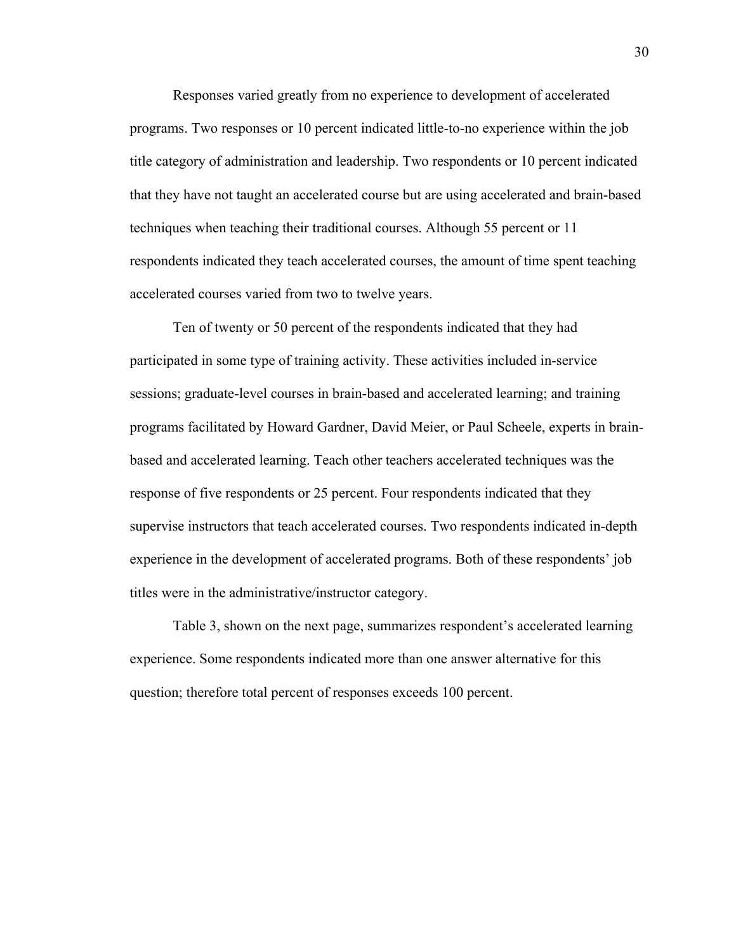Responses varied greatly from no experience to development of accelerated programs. Two responses or 10 percent indicated little-to-no experience within the job title category of administration and leadership. Two respondents or 10 percent indicated that they have not taught an accelerated course but are using accelerated and brain-based techniques when teaching their traditional courses. Although 55 percent or 11 respondents indicated they teach accelerated courses, the amount of time spent teaching accelerated courses varied from two to twelve years.

Ten of twenty or 50 percent of the respondents indicated that they had participated in some type of training activity. These activities included in-service sessions; graduate-level courses in brain-based and accelerated learning; and training programs facilitated by Howard Gardner, David Meier, or Paul Scheele, experts in brainbased and accelerated learning. Teach other teachers accelerated techniques was the response of five respondents or 25 percent. Four respondents indicated that they supervise instructors that teach accelerated courses. Two respondents indicated in-depth experience in the development of accelerated programs. Both of these respondents' job titles were in the administrative/instructor category.

Table 3, shown on the next page, summarizes respondent's accelerated learning experience. Some respondents indicated more than one answer alternative for this question; therefore total percent of responses exceeds 100 percent.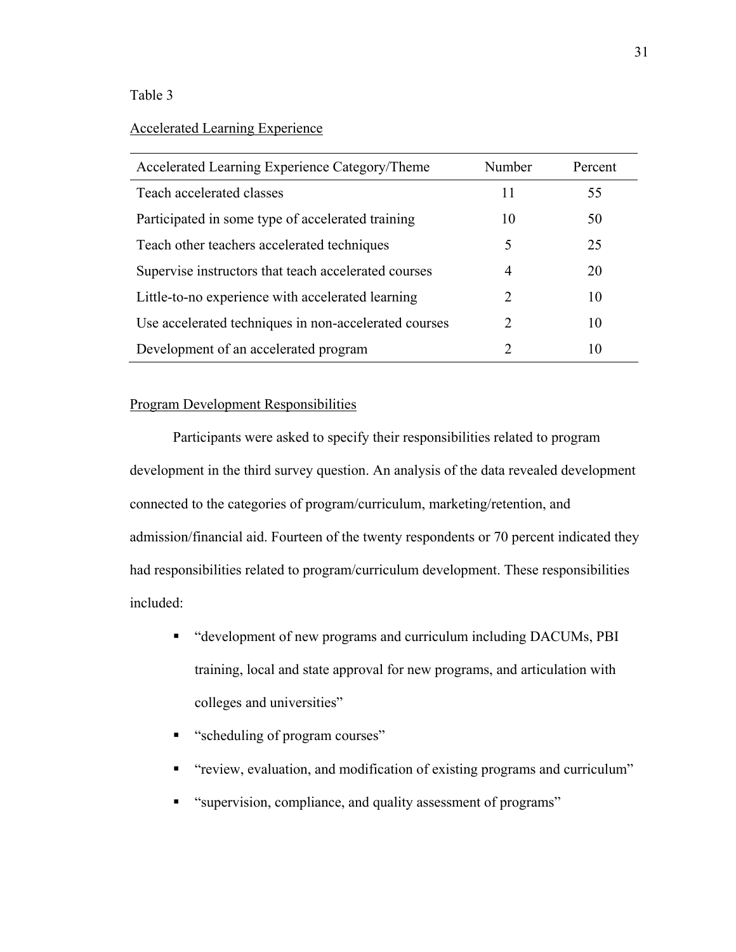# Table 3

Accelerated Learning Experience

| Accelerated Learning Experience Category/Theme        | Number                      | Percent |
|-------------------------------------------------------|-----------------------------|---------|
| Teach accelerated classes                             | 11                          | 55      |
| Participated in some type of accelerated training     | 10                          | 50      |
| Teach other teachers accelerated techniques           | 5                           | 25      |
| Supervise instructors that teach accelerated courses  | 4                           | 20      |
| Little-to-no experience with accelerated learning     | $\mathcal{D}_{\mathcal{L}}$ | 10      |
| Use accelerated techniques in non-accelerated courses | $\mathcal{D}_{\mathcal{L}}$ | 10      |
| Development of an accelerated program                 |                             | 10      |

# Program Development Responsibilities

Participants were asked to specify their responsibilities related to program development in the third survey question. An analysis of the data revealed development connected to the categories of program/curriculum, marketing/retention, and admission/financial aid. Fourteen of the twenty respondents or 70 percent indicated they had responsibilities related to program/curriculum development. These responsibilities included:

- "development of new programs and curriculum including DACUMs, PBI training, local and state approval for new programs, and articulation with colleges and universities"
- " "scheduling of program courses"
- "review, evaluation, and modification of existing programs and curriculum"
- **Example 1** "supervision, compliance, and quality assessment of programs"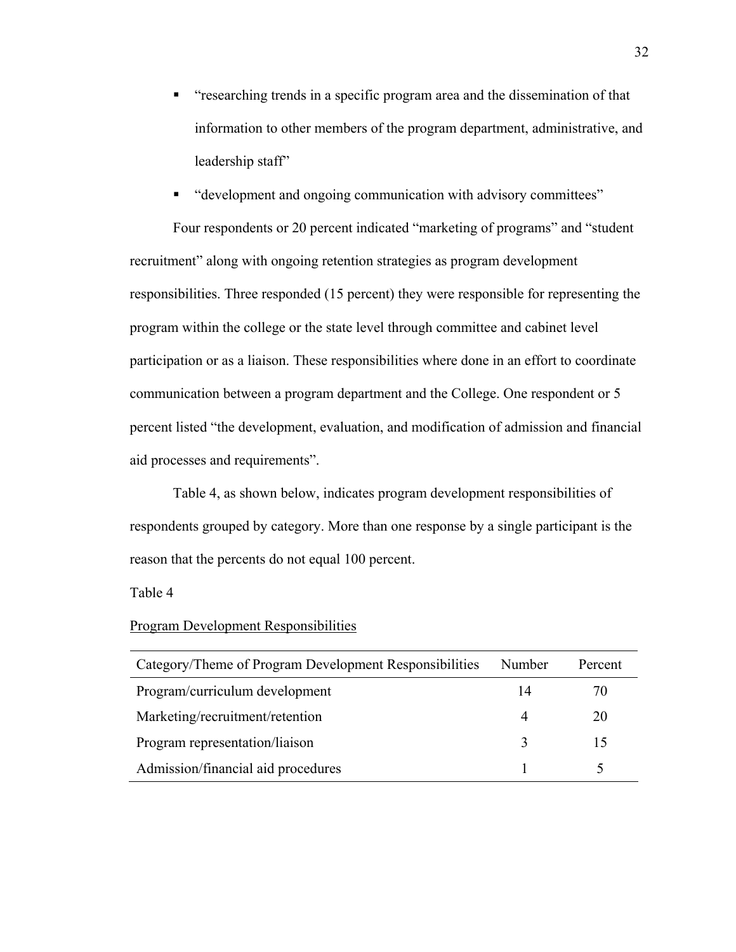- "researching trends in a specific program area and the dissemination of that information to other members of the program department, administrative, and leadership staff"
- "development and ongoing communication with advisory committees"

Four respondents or 20 percent indicated "marketing of programs" and "student recruitment" along with ongoing retention strategies as program development responsibilities. Three responded (15 percent) they were responsible for representing the program within the college or the state level through committee and cabinet level participation or as a liaison. These responsibilities where done in an effort to coordinate communication between a program department and the College. One respondent or 5 percent listed "the development, evaluation, and modification of admission and financial aid processes and requirements".

Table 4, as shown below, indicates program development responsibilities of respondents grouped by category. More than one response by a single participant is the reason that the percents do not equal 100 percent.

#### Table 4

#### Program Development Responsibilities

| Category/Theme of Program Development Responsibilities | Number | Percent |
|--------------------------------------------------------|--------|---------|
| Program/curriculum development                         | 14     | 70      |
| Marketing/recruitment/retention                        | 4      | 20      |
| Program representation/liaison                         |        |         |
| Admission/financial aid procedures                     |        |         |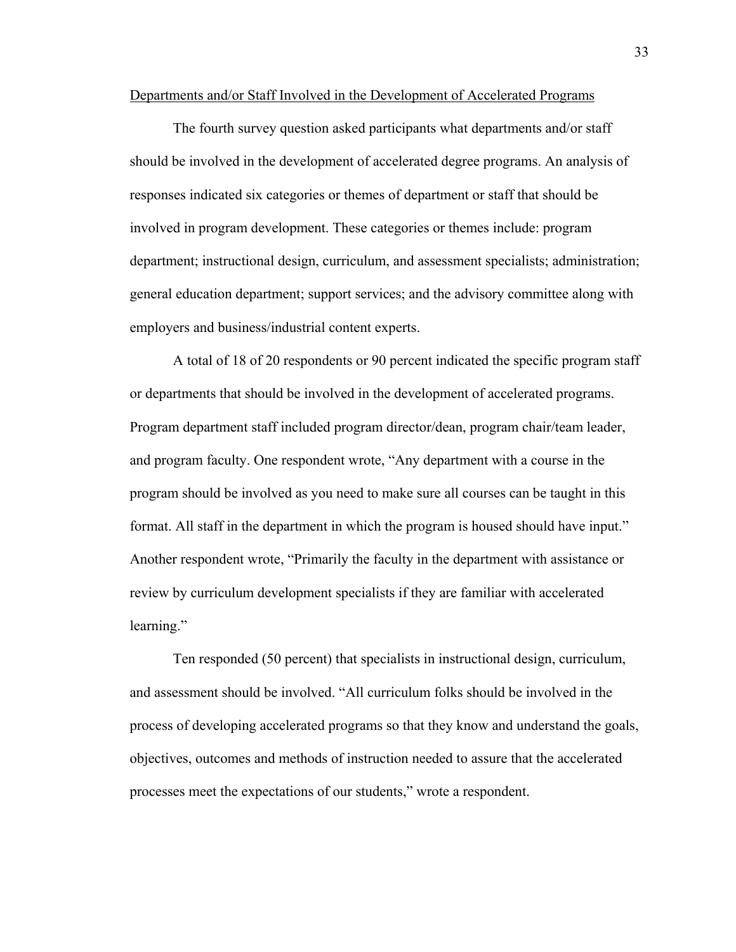Departments and/or Staff Involved in the Development of Accelerated Programs

The fourth survey question asked participants what departments and/or staff should be involved in the development of accelerated degree programs. An analysis of responses indicated six categories or themes of department or staff that should be involved in program development. These categories or themes include: program department; instructional design, curriculum, and assessment specialists; administration; general education department; support services; and the advisory committee along with employers and business/industrial content experts.

A total of 18 of 20 respondents or 90 percent indicated the specific program staff or departments that should be involved in the development of accelerated programs. Program department staff included program director/dean, program chair/team leader, and program faculty. One respondent wrote, "Any department with a course in the program should be involved as you need to make sure all courses can be taught in this format. All staff in the department in which the program is housed should have input." Another respondent wrote, "Primarily the faculty in the department with assistance or review by curriculum development specialists if they are familiar with accelerated learning."

Ten responded (50 percent) that specialists in instructional design, curriculum, and assessment should be involved. "All curriculum folks should be involved in the process of developing accelerated programs so that they know and understand the goals, objectives, outcomes and methods of instruction needed to assure that the accelerated processes meet the expectations of our students," wrote a respondent.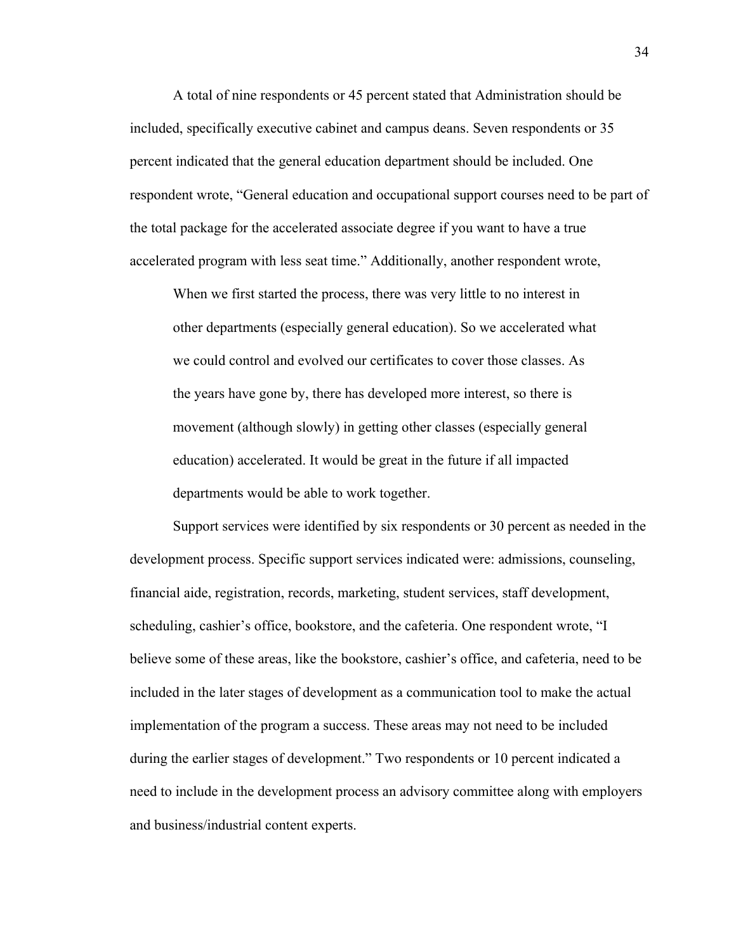A total of nine respondents or 45 percent stated that Administration should be included, specifically executive cabinet and campus deans. Seven respondents or 35 percent indicated that the general education department should be included. One respondent wrote, "General education and occupational support courses need to be part of the total package for the accelerated associate degree if you want to have a true accelerated program with less seat time." Additionally, another respondent wrote,

When we first started the process, there was very little to no interest in other departments (especially general education). So we accelerated what we could control and evolved our certificates to cover those classes. As the years have gone by, there has developed more interest, so there is movement (although slowly) in getting other classes (especially general education) accelerated. It would be great in the future if all impacted departments would be able to work together.

Support services were identified by six respondents or 30 percent as needed in the development process. Specific support services indicated were: admissions, counseling, financial aide, registration, records, marketing, student services, staff development, scheduling, cashier's office, bookstore, and the cafeteria. One respondent wrote, "I believe some of these areas, like the bookstore, cashier's office, and cafeteria, need to be included in the later stages of development as a communication tool to make the actual implementation of the program a success. These areas may not need to be included during the earlier stages of development." Two respondents or 10 percent indicated a need to include in the development process an advisory committee along with employers and business/industrial content experts.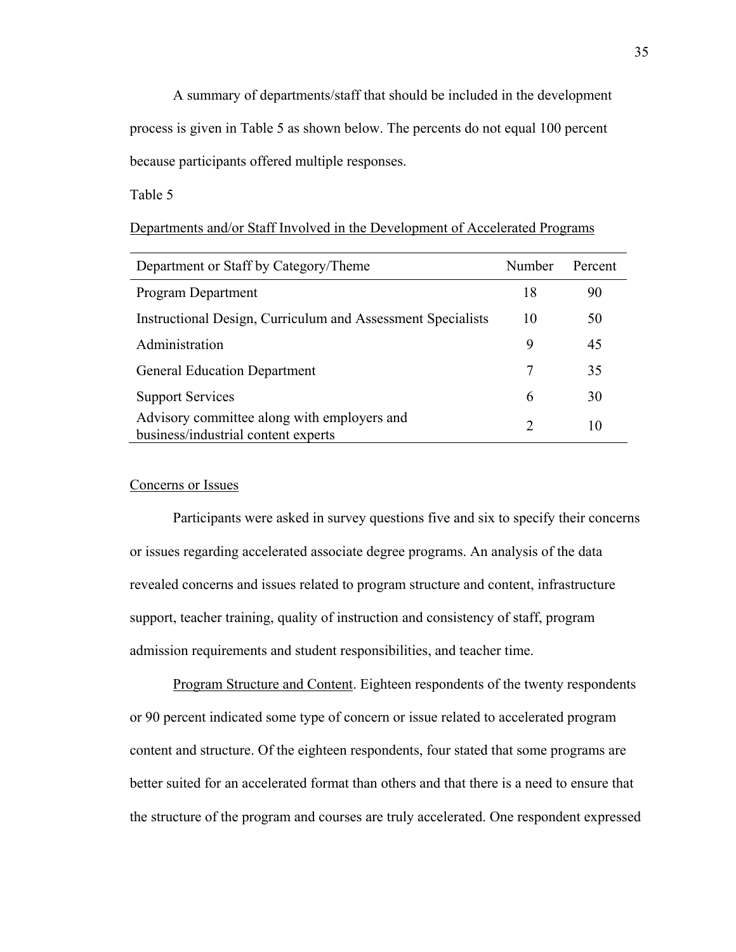A summary of departments/staff that should be included in the development process is given in Table 5 as shown below. The percents do not equal 100 percent because participants offered multiple responses.

Table 5

| Department or Staff by Category/Theme                                              | Number        | Percent |
|------------------------------------------------------------------------------------|---------------|---------|
| Program Department                                                                 | 18            | 90      |
| Instructional Design, Curriculum and Assessment Specialists                        | 10            | 50      |
| Administration                                                                     | 9             | 45      |
| <b>General Education Department</b>                                                | 7             | 35      |
| <b>Support Services</b>                                                            | 6             | 30      |
| Advisory committee along with employers and<br>business/industrial content experts | $\mathcal{D}$ | 10      |

# Departments and/or Staff Involved in the Development of Accelerated Programs

## Concerns or Issues

Participants were asked in survey questions five and six to specify their concerns or issues regarding accelerated associate degree programs. An analysis of the data revealed concerns and issues related to program structure and content, infrastructure support, teacher training, quality of instruction and consistency of staff, program admission requirements and student responsibilities, and teacher time.

Program Structure and Content. Eighteen respondents of the twenty respondents or 90 percent indicated some type of concern or issue related to accelerated program content and structure. Of the eighteen respondents, four stated that some programs are better suited for an accelerated format than others and that there is a need to ensure that the structure of the program and courses are truly accelerated. One respondent expressed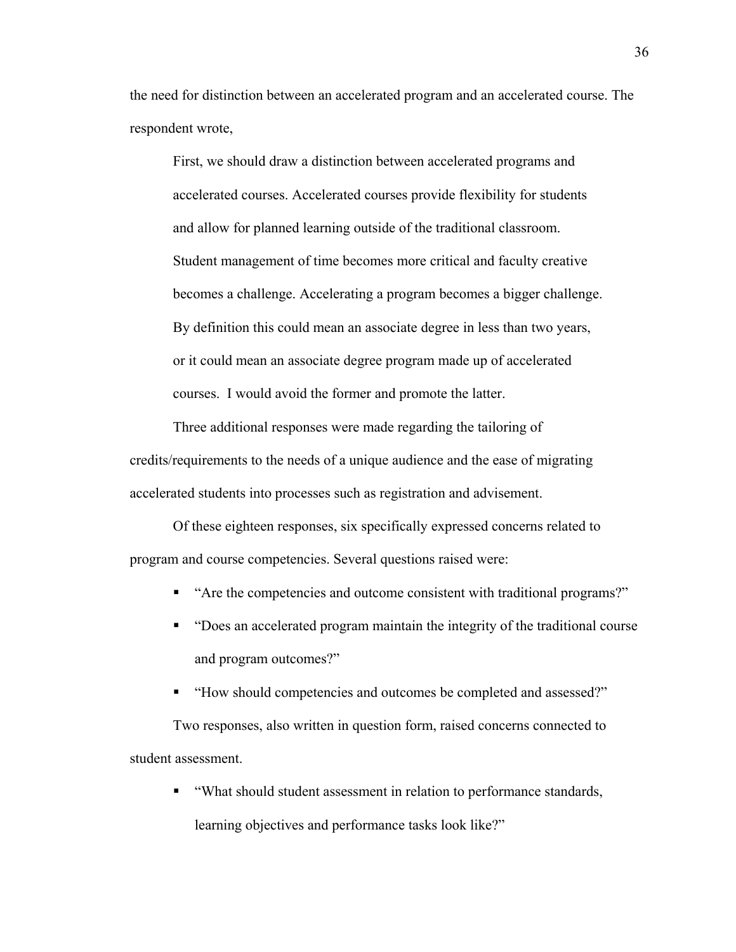the need for distinction between an accelerated program and an accelerated course. The respondent wrote,

First, we should draw a distinction between accelerated programs and accelerated courses. Accelerated courses provide flexibility for students and allow for planned learning outside of the traditional classroom. Student management of time becomes more critical and faculty creative becomes a challenge. Accelerating a program becomes a bigger challenge. By definition this could mean an associate degree in less than two years, or it could mean an associate degree program made up of accelerated courses. I would avoid the former and promote the latter.

Three additional responses were made regarding the tailoring of credits/requirements to the needs of a unique audience and the ease of migrating accelerated students into processes such as registration and advisement.

Of these eighteen responses, six specifically expressed concerns related to program and course competencies. Several questions raised were:

- "Are the competencies and outcome consistent with traditional programs?"
- "Does an accelerated program maintain the integrity of the traditional course and program outcomes?"
- "How should competencies and outcomes be completed and assessed?"

Two responses, also written in question form, raised concerns connected to student assessment.

 "What should student assessment in relation to performance standards, learning objectives and performance tasks look like?"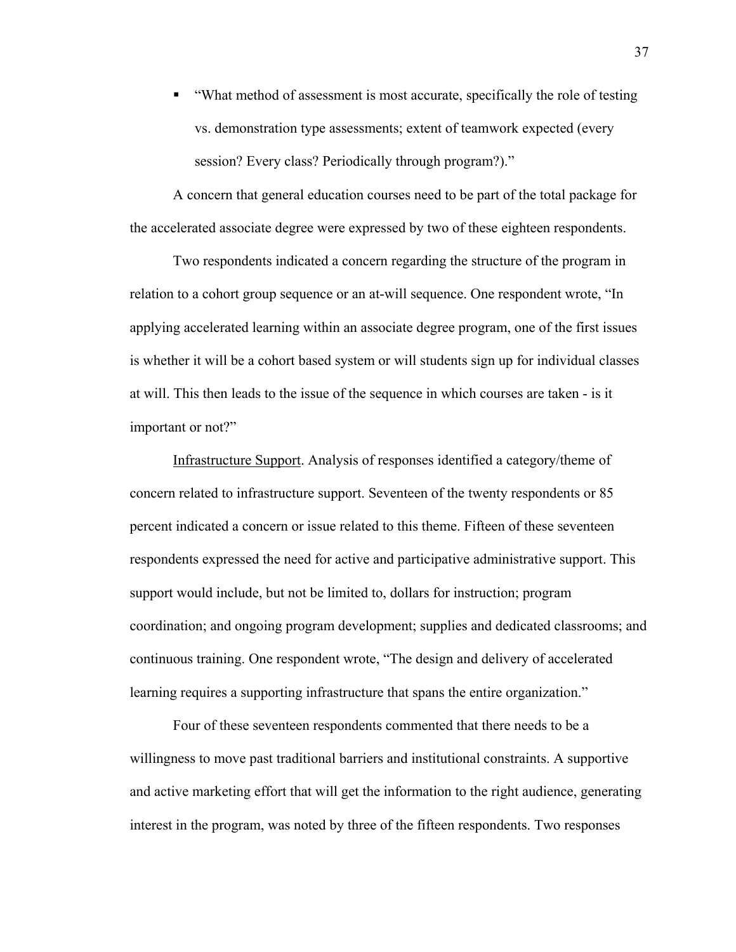"What method of assessment is most accurate, specifically the role of testing vs. demonstration type assessments; extent of teamwork expected (every session? Every class? Periodically through program?)."

A concern that general education courses need to be part of the total package for the accelerated associate degree were expressed by two of these eighteen respondents.

Two respondents indicated a concern regarding the structure of the program in relation to a cohort group sequence or an at-will sequence. One respondent wrote, "In applying accelerated learning within an associate degree program, one of the first issues is whether it will be a cohort based system or will students sign up for individual classes at will. This then leads to the issue of the sequence in which courses are taken - is it important or not?"

Infrastructure Support. Analysis of responses identified a category/theme of concern related to infrastructure support. Seventeen of the twenty respondents or 85 percent indicated a concern or issue related to this theme. Fifteen of these seventeen respondents expressed the need for active and participative administrative support. This support would include, but not be limited to, dollars for instruction; program coordination; and ongoing program development; supplies and dedicated classrooms; and continuous training. One respondent wrote, "The design and delivery of accelerated learning requires a supporting infrastructure that spans the entire organization."

Four of these seventeen respondents commented that there needs to be a willingness to move past traditional barriers and institutional constraints. A supportive and active marketing effort that will get the information to the right audience, generating interest in the program, was noted by three of the fifteen respondents. Two responses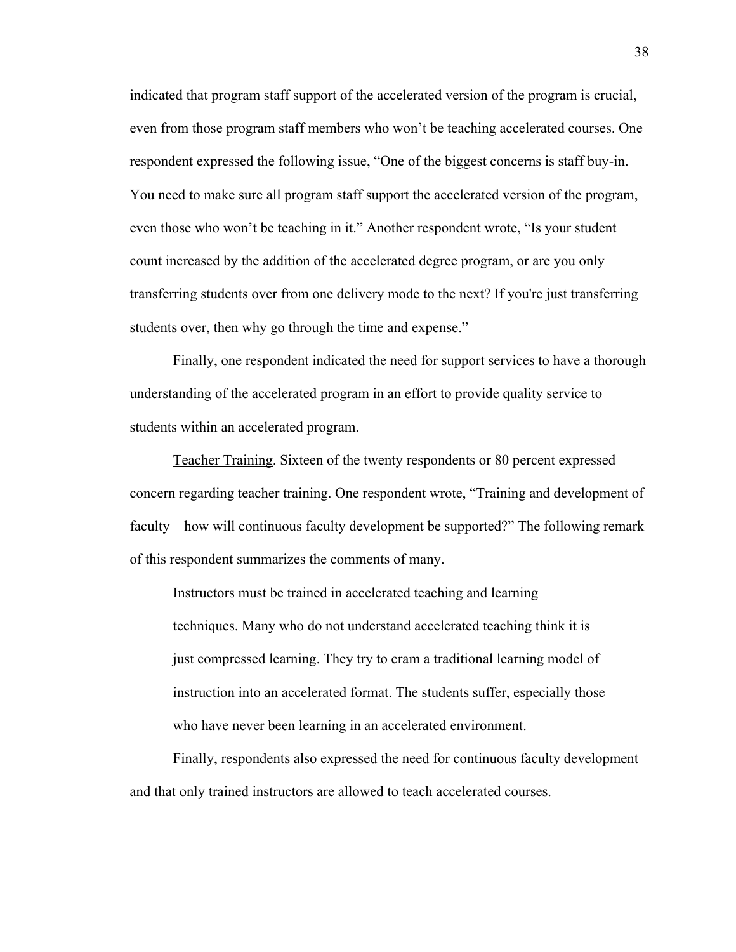indicated that program staff support of the accelerated version of the program is crucial, even from those program staff members who won't be teaching accelerated courses. One respondent expressed the following issue, "One of the biggest concerns is staff buy-in. You need to make sure all program staff support the accelerated version of the program, even those who won't be teaching in it." Another respondent wrote, "Is your student count increased by the addition of the accelerated degree program, or are you only transferring students over from one delivery mode to the next? If you're just transferring students over, then why go through the time and expense."

Finally, one respondent indicated the need for support services to have a thorough understanding of the accelerated program in an effort to provide quality service to students within an accelerated program.

Teacher Training. Sixteen of the twenty respondents or 80 percent expressed concern regarding teacher training. One respondent wrote, "Training and development of faculty – how will continuous faculty development be supported?" The following remark of this respondent summarizes the comments of many.

Instructors must be trained in accelerated teaching and learning techniques. Many who do not understand accelerated teaching think it is just compressed learning. They try to cram a traditional learning model of instruction into an accelerated format. The students suffer, especially those who have never been learning in an accelerated environment.

Finally, respondents also expressed the need for continuous faculty development and that only trained instructors are allowed to teach accelerated courses.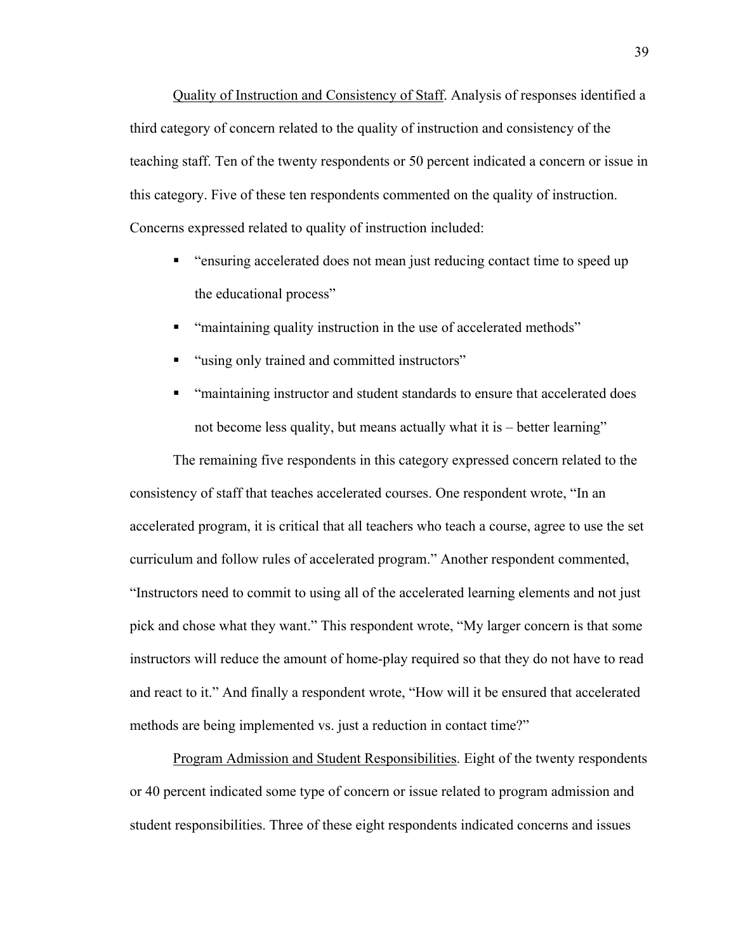Quality of Instruction and Consistency of Staff. Analysis of responses identified a third category of concern related to the quality of instruction and consistency of the teaching staff. Ten of the twenty respondents or 50 percent indicated a concern or issue in this category. Five of these ten respondents commented on the quality of instruction. Concerns expressed related to quality of instruction included:

- "ensuring accelerated does not mean just reducing contact time to speed up the educational process"
- "maintaining quality instruction in the use of accelerated methods"
- "using only trained and committed instructors"
- "maintaining instructor and student standards to ensure that accelerated does not become less quality, but means actually what it is – better learning"

The remaining five respondents in this category expressed concern related to the consistency of staff that teaches accelerated courses. One respondent wrote, "In an accelerated program, it is critical that all teachers who teach a course, agree to use the set curriculum and follow rules of accelerated program." Another respondent commented, "Instructors need to commit to using all of the accelerated learning elements and not just pick and chose what they want." This respondent wrote, "My larger concern is that some instructors will reduce the amount of home-play required so that they do not have to read and react to it." And finally a respondent wrote, "How will it be ensured that accelerated methods are being implemented vs. just a reduction in contact time?"

Program Admission and Student Responsibilities. Eight of the twenty respondents or 40 percent indicated some type of concern or issue related to program admission and student responsibilities. Three of these eight respondents indicated concerns and issues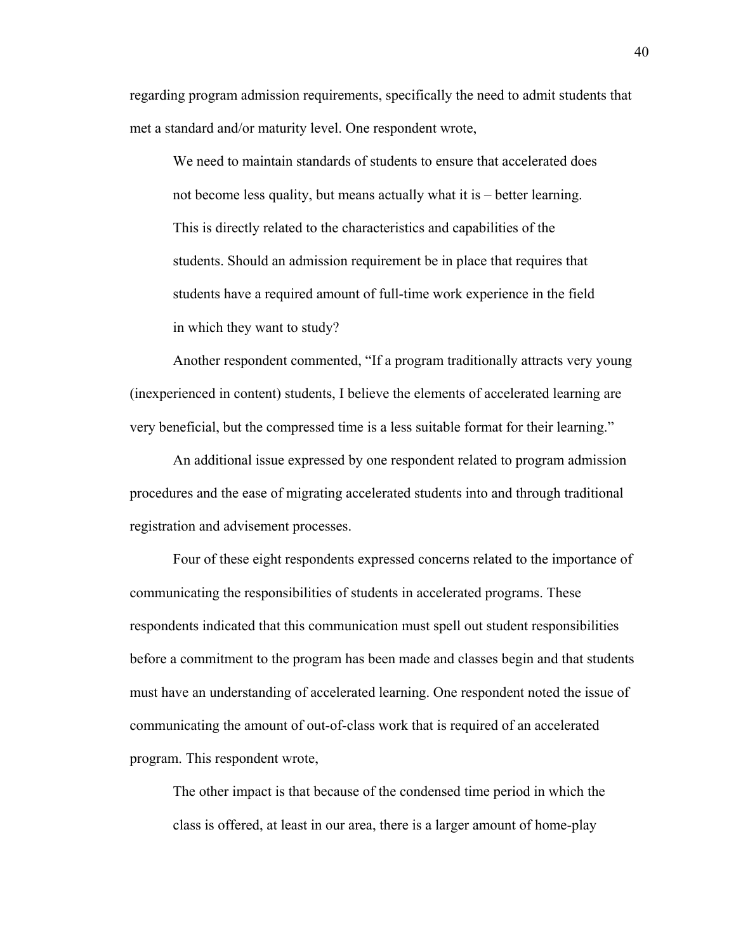regarding program admission requirements, specifically the need to admit students that met a standard and/or maturity level. One respondent wrote,

We need to maintain standards of students to ensure that accelerated does not become less quality, but means actually what it is – better learning. This is directly related to the characteristics and capabilities of the students. Should an admission requirement be in place that requires that students have a required amount of full-time work experience in the field in which they want to study?

Another respondent commented, "If a program traditionally attracts very young (inexperienced in content) students, I believe the elements of accelerated learning are very beneficial, but the compressed time is a less suitable format for their learning."

An additional issue expressed by one respondent related to program admission procedures and the ease of migrating accelerated students into and through traditional registration and advisement processes.

Four of these eight respondents expressed concerns related to the importance of communicating the responsibilities of students in accelerated programs. These respondents indicated that this communication must spell out student responsibilities before a commitment to the program has been made and classes begin and that students must have an understanding of accelerated learning. One respondent noted the issue of communicating the amount of out-of-class work that is required of an accelerated program. This respondent wrote,

The other impact is that because of the condensed time period in which the class is offered, at least in our area, there is a larger amount of home-play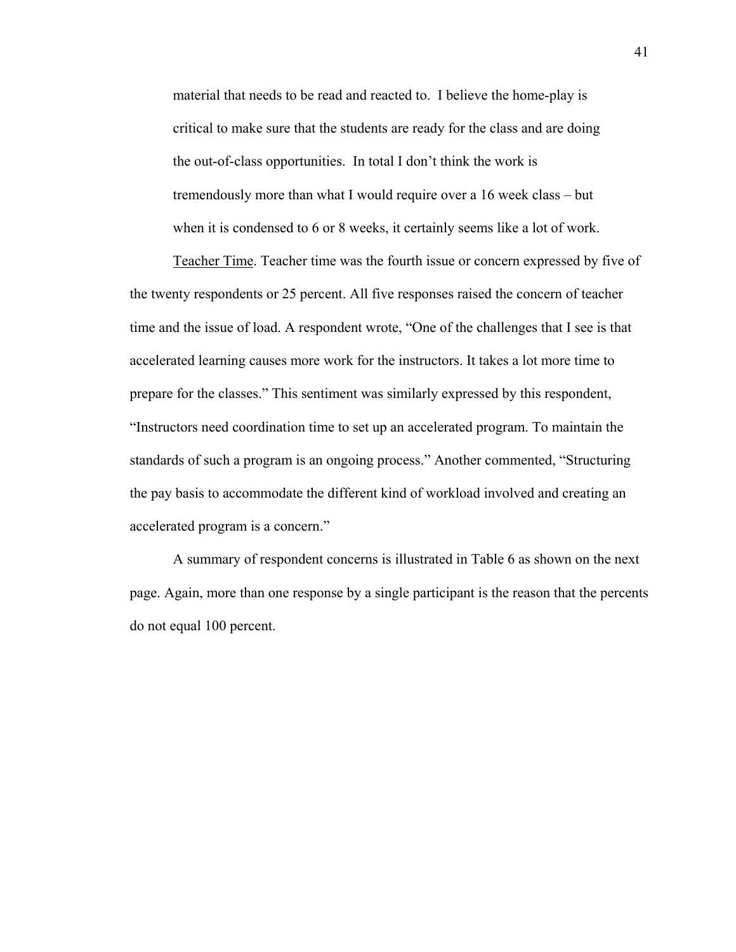material that needs to be read and reacted to. I believe the home-play is critical to make sure that the students are ready for the class and are doing the out-of-class opportunities. In total I don't think the work is tremendously more than what I would require over a 16 week class – but when it is condensed to 6 or 8 weeks, it certainly seems like a lot of work.

Teacher Time. Teacher time was the fourth issue or concern expressed by five of the twenty respondents or 25 percent. All five responses raised the concern of teacher time and the issue of load. A respondent wrote, "One of the challenges that I see is that accelerated learning causes more work for the instructors. It takes a lot more time to prepare for the classes." This sentiment was similarly expressed by this respondent, "Instructors need coordination time to set up an accelerated program. To maintain the standards of such a program is an ongoing process." Another commented, "Structuring the pay basis to accommodate the different kind of workload involved and creating an accelerated program is a concern."

A summary of respondent concerns is illustrated in Table 6 as shown on the next page. Again, more than one response by a single participant is the reason that the percents do not equal 100 percent.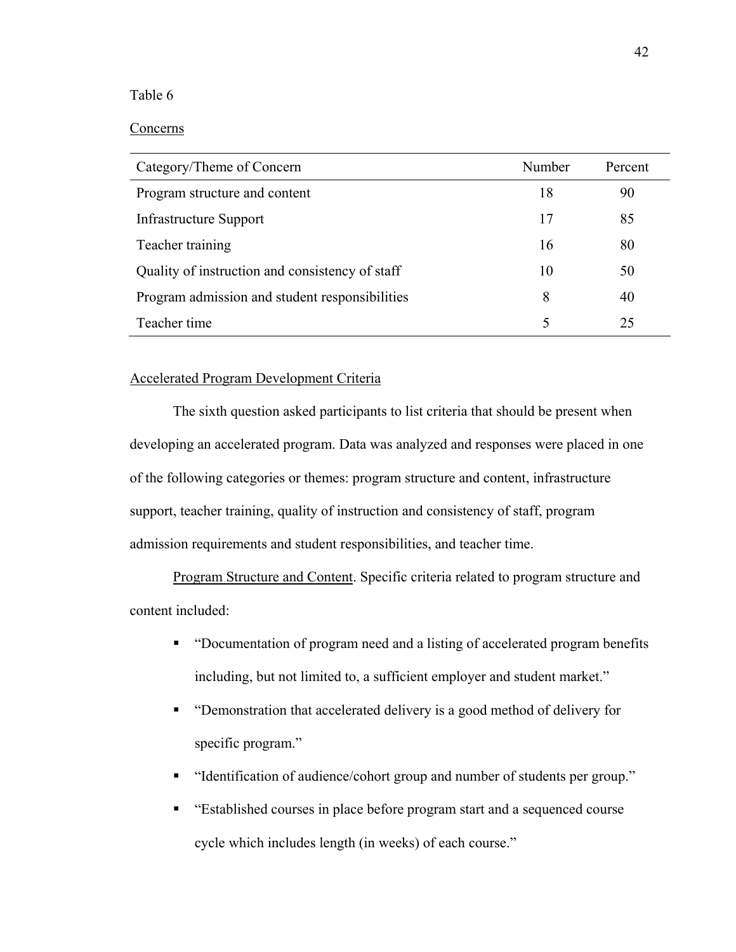# Table 6

# Concerns

| Category/Theme of Concern                       | Number | Percent |
|-------------------------------------------------|--------|---------|
| Program structure and content                   | 18     | 90      |
| Infrastructure Support                          | 17     | 85      |
| Teacher training                                | 16     | 80      |
| Quality of instruction and consistency of staff | 10     | 50      |
| Program admission and student responsibilities  | 8      | 40      |
| Teacher time                                    | 5      | 25      |

# Accelerated Program Development Criteria

The sixth question asked participants to list criteria that should be present when developing an accelerated program. Data was analyzed and responses were placed in one of the following categories or themes: program structure and content, infrastructure support, teacher training, quality of instruction and consistency of staff, program admission requirements and student responsibilities, and teacher time.

Program Structure and Content. Specific criteria related to program structure and content included:

- "Documentation of program need and a listing of accelerated program benefits including, but not limited to, a sufficient employer and student market."
- "Demonstration that accelerated delivery is a good method of delivery for specific program."
- "Identification of audience/cohort group and number of students per group."
- "Established courses in place before program start and a sequenced course cycle which includes length (in weeks) of each course."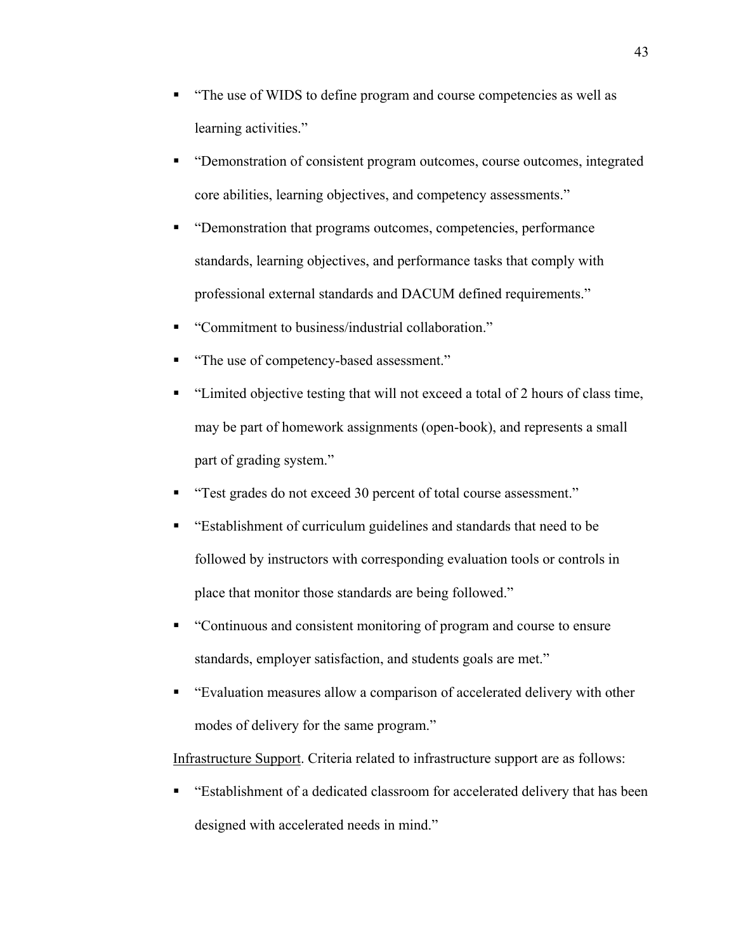- "The use of WIDS to define program and course competencies as well as learning activities."
- "Demonstration of consistent program outcomes, course outcomes, integrated core abilities, learning objectives, and competency assessments."
- "Demonstration that programs outcomes, competencies, performance standards, learning objectives, and performance tasks that comply with professional external standards and DACUM defined requirements."
- "Commitment to business/industrial collaboration."
- "The use of competency-based assessment."
- "Limited objective testing that will not exceed a total of 2 hours of class time, may be part of homework assignments (open-book), and represents a small part of grading system."
- "Test grades do not exceed 30 percent of total course assessment."
- "Establishment of curriculum guidelines and standards that need to be followed by instructors with corresponding evaluation tools or controls in place that monitor those standards are being followed."
- "Continuous and consistent monitoring of program and course to ensure standards, employer satisfaction, and students goals are met."
- "Evaluation measures allow a comparison of accelerated delivery with other modes of delivery for the same program."

Infrastructure Support. Criteria related to infrastructure support are as follows:

 "Establishment of a dedicated classroom for accelerated delivery that has been designed with accelerated needs in mind."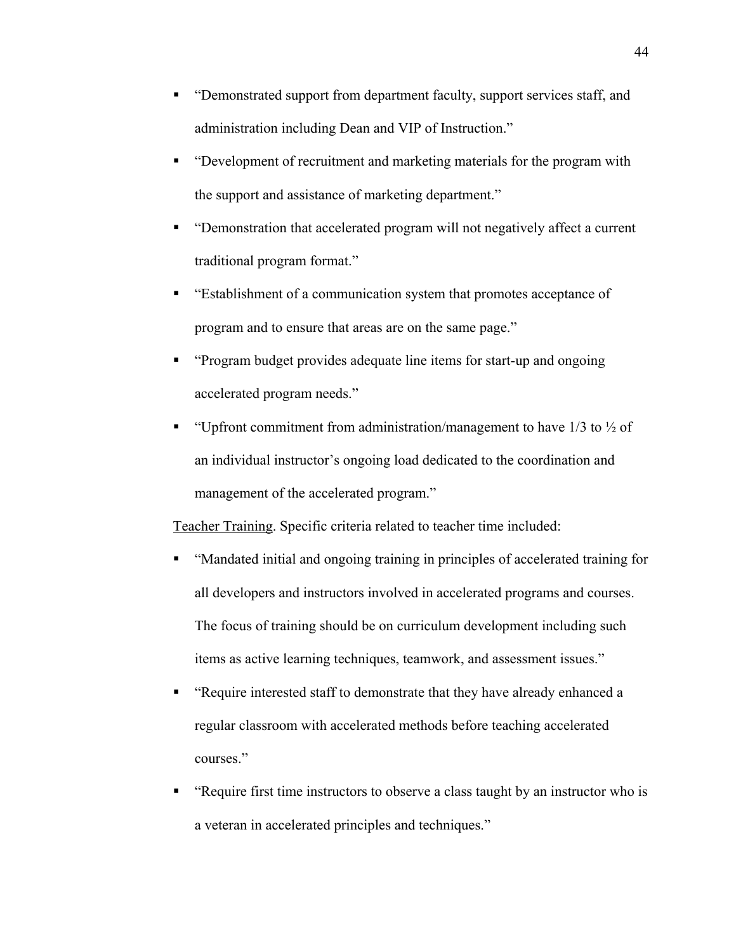- "Demonstrated support from department faculty, support services staff, and administration including Dean and VIP of Instruction."
- "Development of recruitment and marketing materials for the program with the support and assistance of marketing department."
- "Demonstration that accelerated program will not negatively affect a current traditional program format."
- "Establishment of a communication system that promotes acceptance of program and to ensure that areas are on the same page."
- "Program budget provides adequate line items for start-up and ongoing accelerated program needs."
- " "Upfront commitment from administration/management to have  $1/3$  to  $\frac{1}{2}$  of an individual instructor's ongoing load dedicated to the coordination and management of the accelerated program."

Teacher Training. Specific criteria related to teacher time included:

- "Mandated initial and ongoing training in principles of accelerated training for all developers and instructors involved in accelerated programs and courses. The focus of training should be on curriculum development including such items as active learning techniques, teamwork, and assessment issues."
- "Require interested staff to demonstrate that they have already enhanced a regular classroom with accelerated methods before teaching accelerated courses."
- "Require first time instructors to observe a class taught by an instructor who is a veteran in accelerated principles and techniques."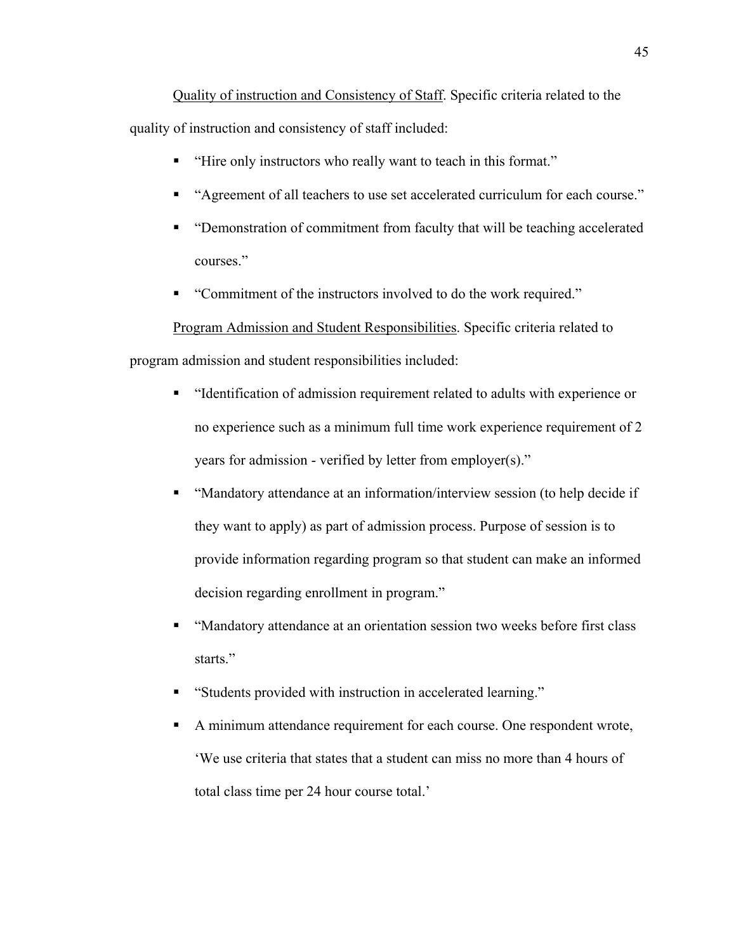Quality of instruction and Consistency of Staff. Specific criteria related to the quality of instruction and consistency of staff included:

- "Hire only instructors who really want to teach in this format."
- "Agreement of all teachers to use set accelerated curriculum for each course."
- "Demonstration of commitment from faculty that will be teaching accelerated courses."
- "Commitment of the instructors involved to do the work required."

Program Admission and Student Responsibilities. Specific criteria related to program admission and student responsibilities included:

- "Identification of admission requirement related to adults with experience or no experience such as a minimum full time work experience requirement of 2 years for admission - verified by letter from employer(s)."
- "Mandatory attendance at an information/interview session (to help decide if they want to apply) as part of admission process. Purpose of session is to provide information regarding program so that student can make an informed decision regarding enrollment in program."
- "Mandatory attendance at an orientation session two weeks before first class starts."
- "Students provided with instruction in accelerated learning."
- A minimum attendance requirement for each course. One respondent wrote, 'We use criteria that states that a student can miss no more than 4 hours of total class time per 24 hour course total.'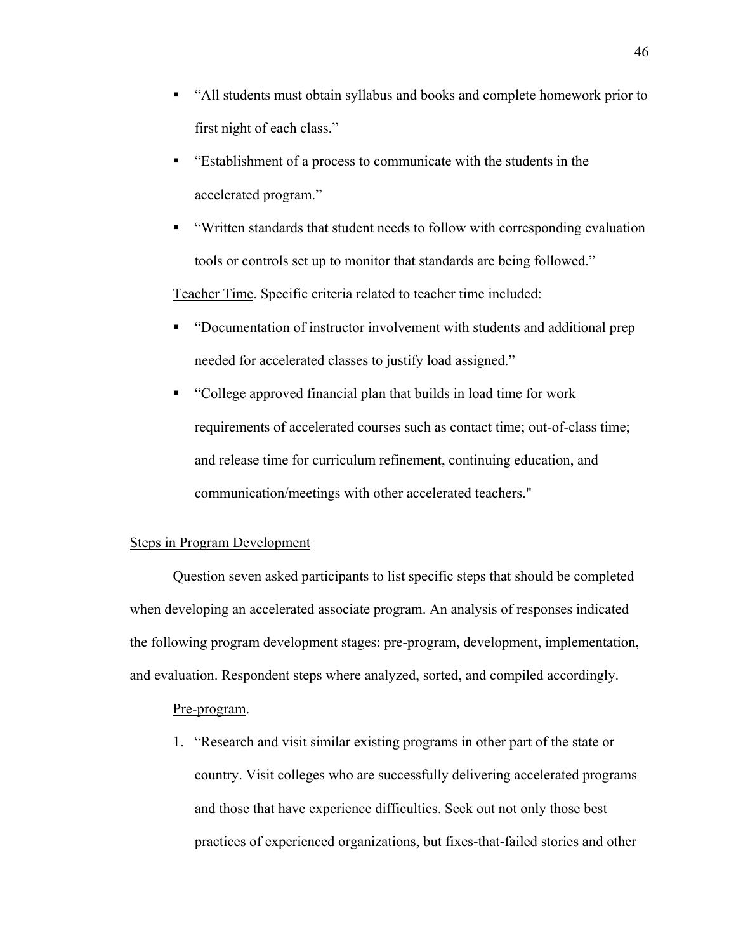- "All students must obtain syllabus and books and complete homework prior to first night of each class."
- "Establishment of a process to communicate with the students in the accelerated program."
- "Written standards that student needs to follow with corresponding evaluation tools or controls set up to monitor that standards are being followed."

Teacher Time. Specific criteria related to teacher time included:

- "Documentation of instructor involvement with students and additional prep needed for accelerated classes to justify load assigned."
- "College approved financial plan that builds in load time for work requirements of accelerated courses such as contact time; out-of-class time; and release time for curriculum refinement, continuing education, and communication/meetings with other accelerated teachers."

## Steps in Program Development

Question seven asked participants to list specific steps that should be completed when developing an accelerated associate program. An analysis of responses indicated the following program development stages: pre-program, development, implementation, and evaluation. Respondent steps where analyzed, sorted, and compiled accordingly.

## Pre-program.

1. "Research and visit similar existing programs in other part of the state or country. Visit colleges who are successfully delivering accelerated programs and those that have experience difficulties. Seek out not only those best practices of experienced organizations, but fixes-that-failed stories and other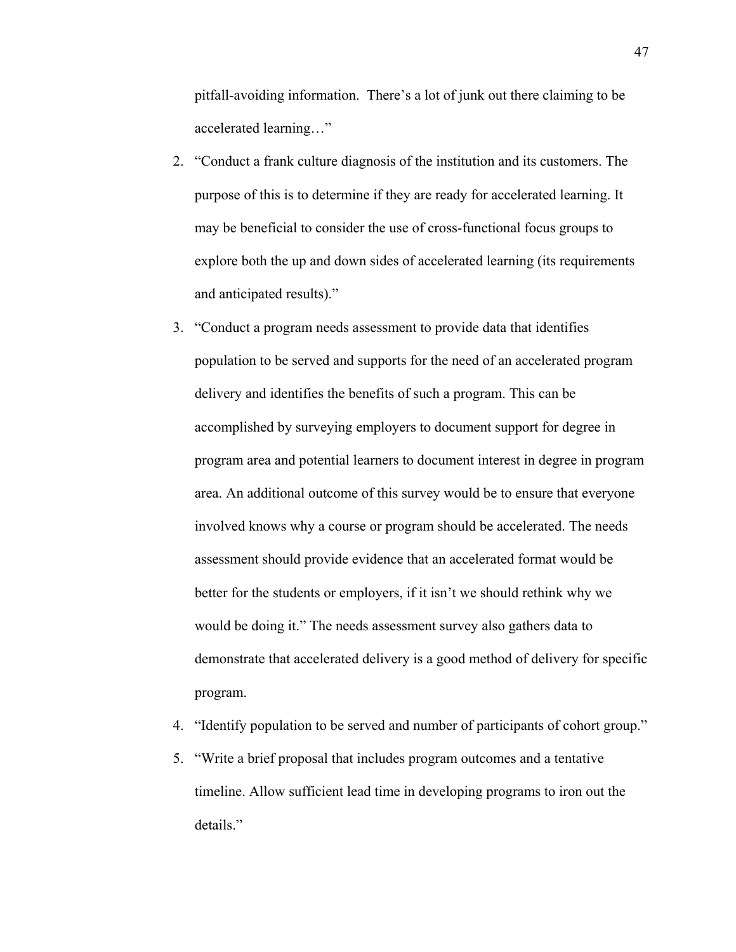pitfall-avoiding information. There's a lot of junk out there claiming to be accelerated learning…"

- 2. "Conduct a frank culture diagnosis of the institution and its customers. The purpose of this is to determine if they are ready for accelerated learning. It may be beneficial to consider the use of cross-functional focus groups to explore both the up and down sides of accelerated learning (its requirements and anticipated results)."
- 3. "Conduct a program needs assessment to provide data that identifies population to be served and supports for the need of an accelerated program delivery and identifies the benefits of such a program. This can be accomplished by surveying employers to document support for degree in program area and potential learners to document interest in degree in program area. An additional outcome of this survey would be to ensure that everyone involved knows why a course or program should be accelerated. The needs assessment should provide evidence that an accelerated format would be better for the students or employers, if it isn't we should rethink why we would be doing it." The needs assessment survey also gathers data to demonstrate that accelerated delivery is a good method of delivery for specific program.
- 4. "Identify population to be served and number of participants of cohort group."
- 5. "Write a brief proposal that includes program outcomes and a tentative timeline. Allow sufficient lead time in developing programs to iron out the details."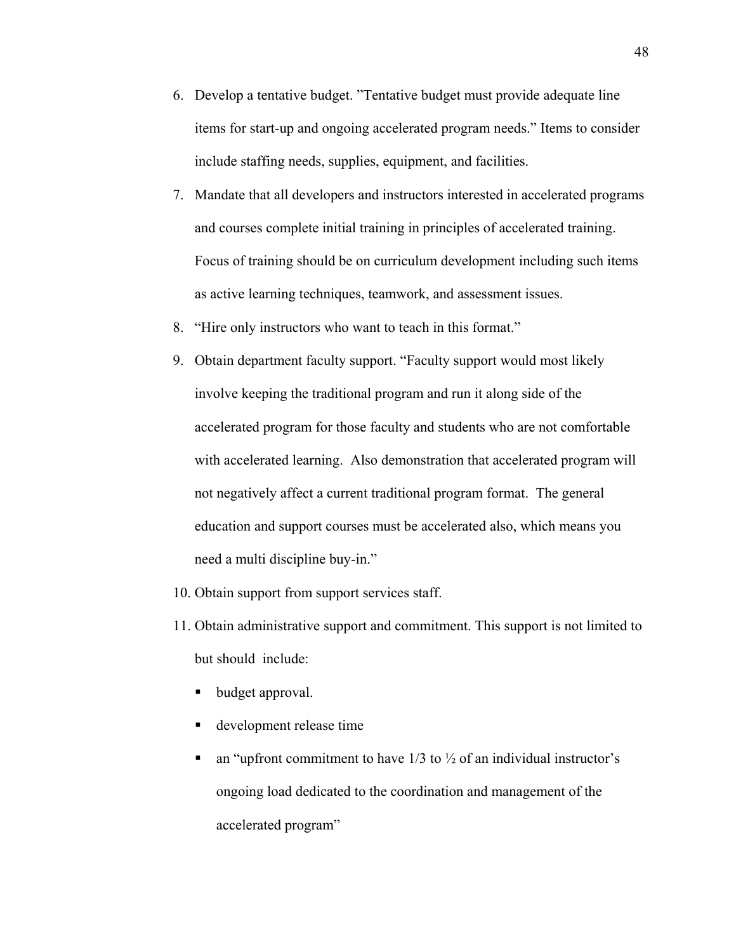- 6. Develop a tentative budget. "Tentative budget must provide adequate line items for start-up and ongoing accelerated program needs." Items to consider include staffing needs, supplies, equipment, and facilities.
- 7. Mandate that all developers and instructors interested in accelerated programs and courses complete initial training in principles of accelerated training. Focus of training should be on curriculum development including such items as active learning techniques, teamwork, and assessment issues.
- 8. "Hire only instructors who want to teach in this format."
- 9. Obtain department faculty support. "Faculty support would most likely involve keeping the traditional program and run it along side of the accelerated program for those faculty and students who are not comfortable with accelerated learning. Also demonstration that accelerated program will not negatively affect a current traditional program format. The general education and support courses must be accelerated also, which means you need a multi discipline buy-in."
- 10. Obtain support from support services staff.
- 11. Obtain administrative support and commitment. This support is not limited to but should include:
	- budget approval.
	- development release time
	- an "upfront commitment to have  $1/3$  to  $\frac{1}{2}$  of an individual instructor's ongoing load dedicated to the coordination and management of the accelerated program"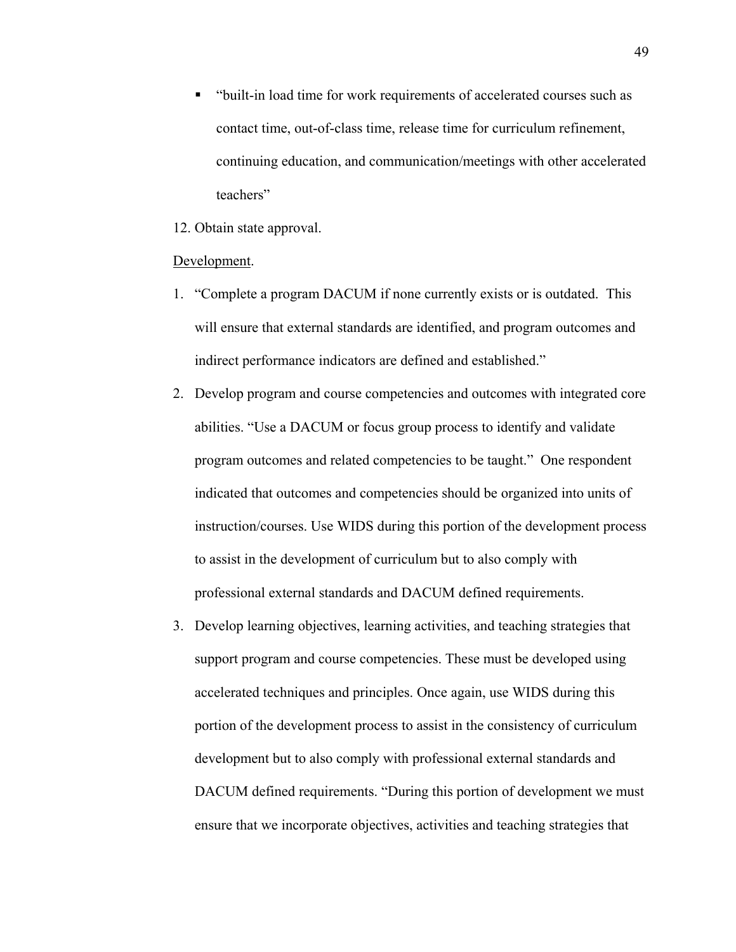"built-in load time for work requirements of accelerated courses such as contact time, out-of-class time, release time for curriculum refinement, continuing education, and communication/meetings with other accelerated teachers"

12. Obtain state approval.

#### Development.

- 1. "Complete a program DACUM if none currently exists or is outdated. This will ensure that external standards are identified, and program outcomes and indirect performance indicators are defined and established."
- 2. Develop program and course competencies and outcomes with integrated core abilities. "Use a DACUM or focus group process to identify and validate program outcomes and related competencies to be taught." One respondent indicated that outcomes and competencies should be organized into units of instruction/courses. Use WIDS during this portion of the development process to assist in the development of curriculum but to also comply with professional external standards and DACUM defined requirements.
- 3. Develop learning objectives, learning activities, and teaching strategies that support program and course competencies. These must be developed using accelerated techniques and principles. Once again, use WIDS during this portion of the development process to assist in the consistency of curriculum development but to also comply with professional external standards and DACUM defined requirements. "During this portion of development we must ensure that we incorporate objectives, activities and teaching strategies that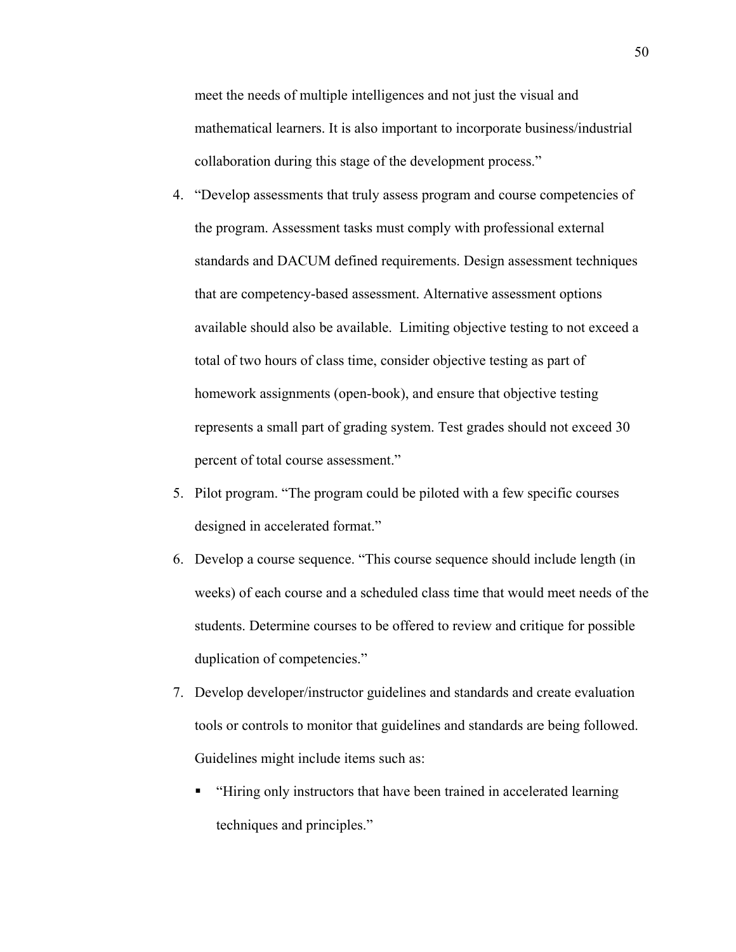meet the needs of multiple intelligences and not just the visual and mathematical learners. It is also important to incorporate business/industrial collaboration during this stage of the development process."

- 4. "Develop assessments that truly assess program and course competencies of the program. Assessment tasks must comply with professional external standards and DACUM defined requirements. Design assessment techniques that are competency-based assessment. Alternative assessment options available should also be available. Limiting objective testing to not exceed a total of two hours of class time, consider objective testing as part of homework assignments (open-book), and ensure that objective testing represents a small part of grading system. Test grades should not exceed 30 percent of total course assessment."
- 5. Pilot program. "The program could be piloted with a few specific courses designed in accelerated format."
- 6. Develop a course sequence. "This course sequence should include length (in weeks) of each course and a scheduled class time that would meet needs of the students. Determine courses to be offered to review and critique for possible duplication of competencies."
- 7. Develop developer/instructor guidelines and standards and create evaluation tools or controls to monitor that guidelines and standards are being followed. Guidelines might include items such as:
	- "Hiring only instructors that have been trained in accelerated learning techniques and principles."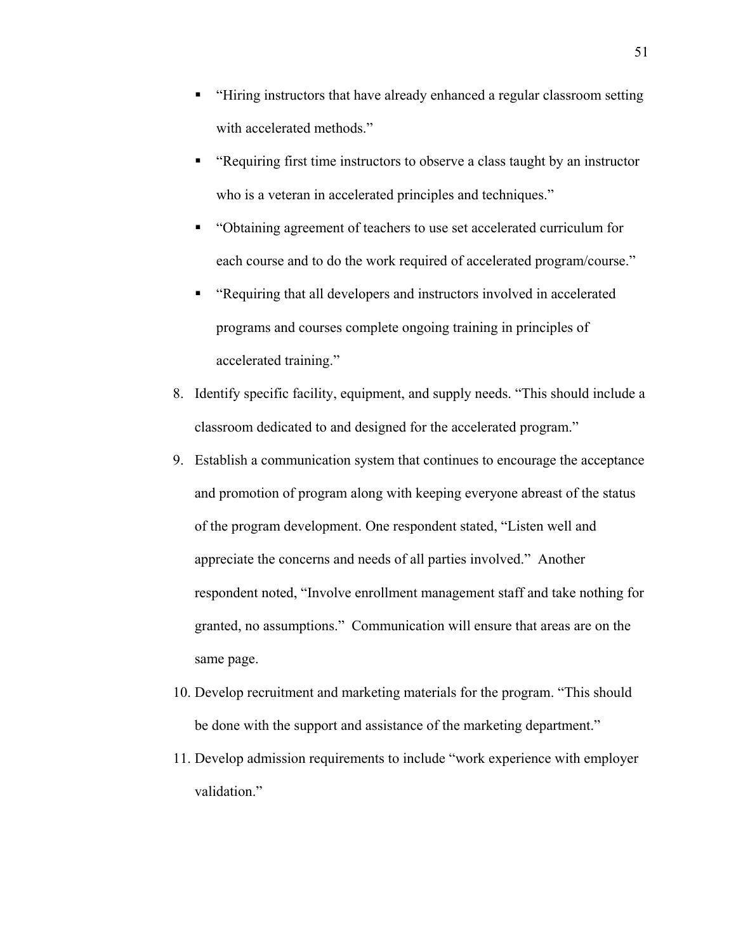- "Hiring instructors that have already enhanced a regular classroom setting with accelerated methods."
- "Requiring first time instructors to observe a class taught by an instructor who is a veteran in accelerated principles and techniques."
- "Obtaining agreement of teachers to use set accelerated curriculum for each course and to do the work required of accelerated program/course."
- "Requiring that all developers and instructors involved in accelerated programs and courses complete ongoing training in principles of accelerated training."
- 8. Identify specific facility, equipment, and supply needs. "This should include a classroom dedicated to and designed for the accelerated program."
- 9. Establish a communication system that continues to encourage the acceptance and promotion of program along with keeping everyone abreast of the status of the program development. One respondent stated, "Listen well and appreciate the concerns and needs of all parties involved." Another respondent noted, "Involve enrollment management staff and take nothing for granted, no assumptions." Communication will ensure that areas are on the same page.
- 10. Develop recruitment and marketing materials for the program. "This should be done with the support and assistance of the marketing department."
- 11. Develop admission requirements to include "work experience with employer validation."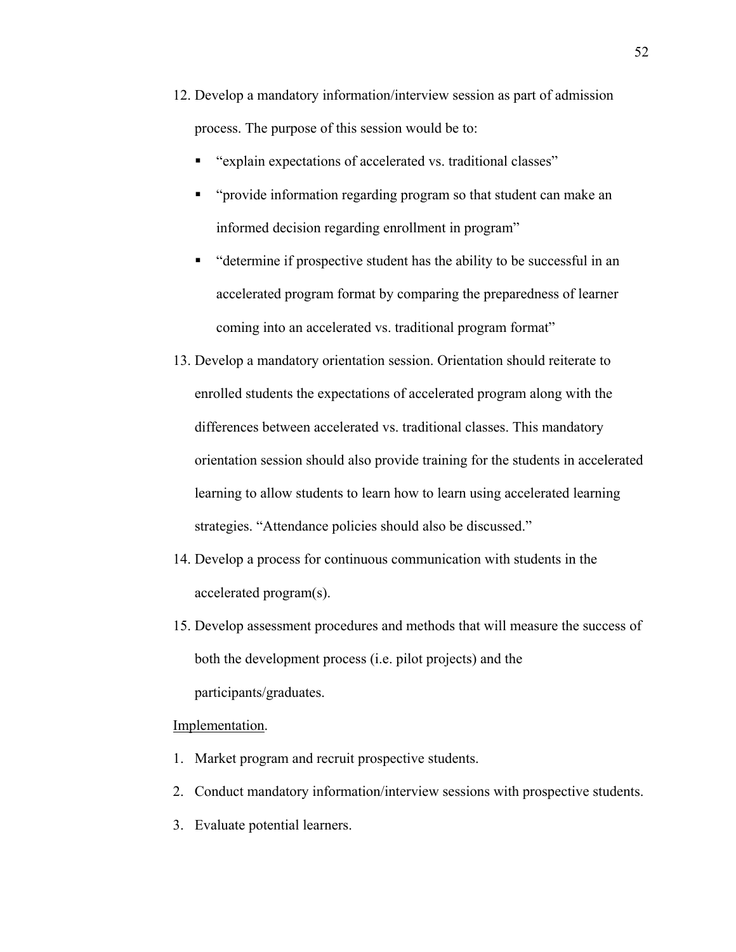- 12. Develop a mandatory information/interview session as part of admission process. The purpose of this session would be to:
	- "explain expectations of accelerated vs. traditional classes"
	- "provide information regarding program so that student can make an informed decision regarding enrollment in program"
	- "determine if prospective student has the ability to be successful in an accelerated program format by comparing the preparedness of learner coming into an accelerated vs. traditional program format"
- 13. Develop a mandatory orientation session. Orientation should reiterate to enrolled students the expectations of accelerated program along with the differences between accelerated vs. traditional classes. This mandatory orientation session should also provide training for the students in accelerated learning to allow students to learn how to learn using accelerated learning strategies. "Attendance policies should also be discussed."
- 14. Develop a process for continuous communication with students in the accelerated program(s).
- 15. Develop assessment procedures and methods that will measure the success of both the development process (i.e. pilot projects) and the participants/graduates.

## Implementation.

- 1. Market program and recruit prospective students.
- 2. Conduct mandatory information/interview sessions with prospective students.
- 3. Evaluate potential learners.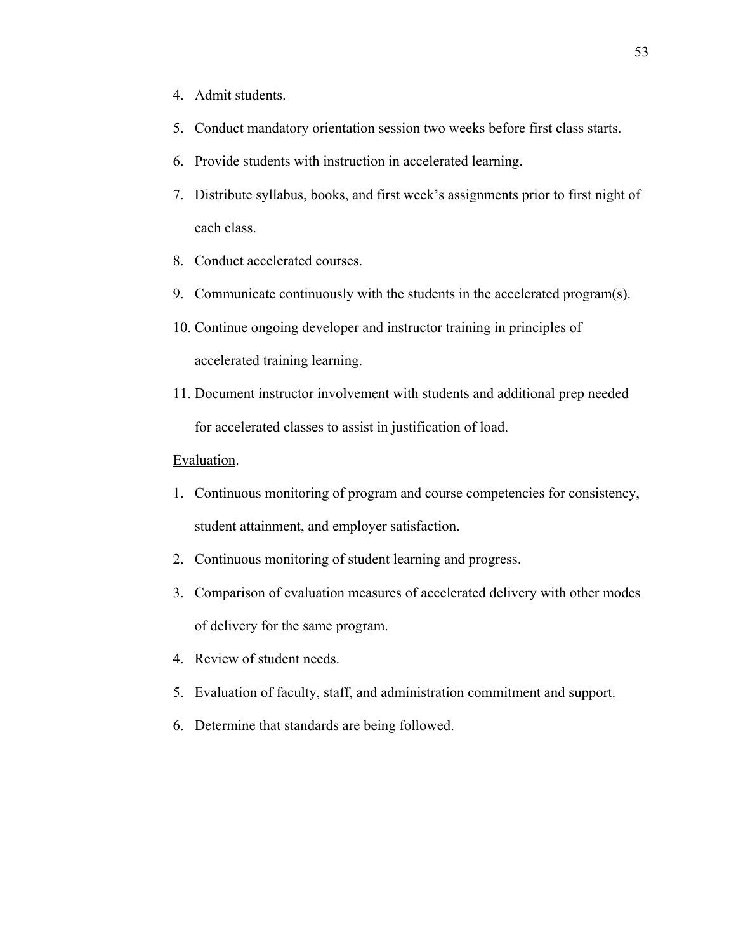- 4. Admit students.
- 5. Conduct mandatory orientation session two weeks before first class starts.
- 6. Provide students with instruction in accelerated learning.
- 7. Distribute syllabus, books, and first week's assignments prior to first night of each class.
- 8. Conduct accelerated courses.
- 9. Communicate continuously with the students in the accelerated program(s).
- 10. Continue ongoing developer and instructor training in principles of accelerated training learning.
- 11. Document instructor involvement with students and additional prep needed for accelerated classes to assist in justification of load.

## Evaluation.

- 1. Continuous monitoring of program and course competencies for consistency, student attainment, and employer satisfaction.
- 2. Continuous monitoring of student learning and progress.
- 3. Comparison of evaluation measures of accelerated delivery with other modes of delivery for the same program.
- 4. Review of student needs.
- 5. Evaluation of faculty, staff, and administration commitment and support.
- 6. Determine that standards are being followed.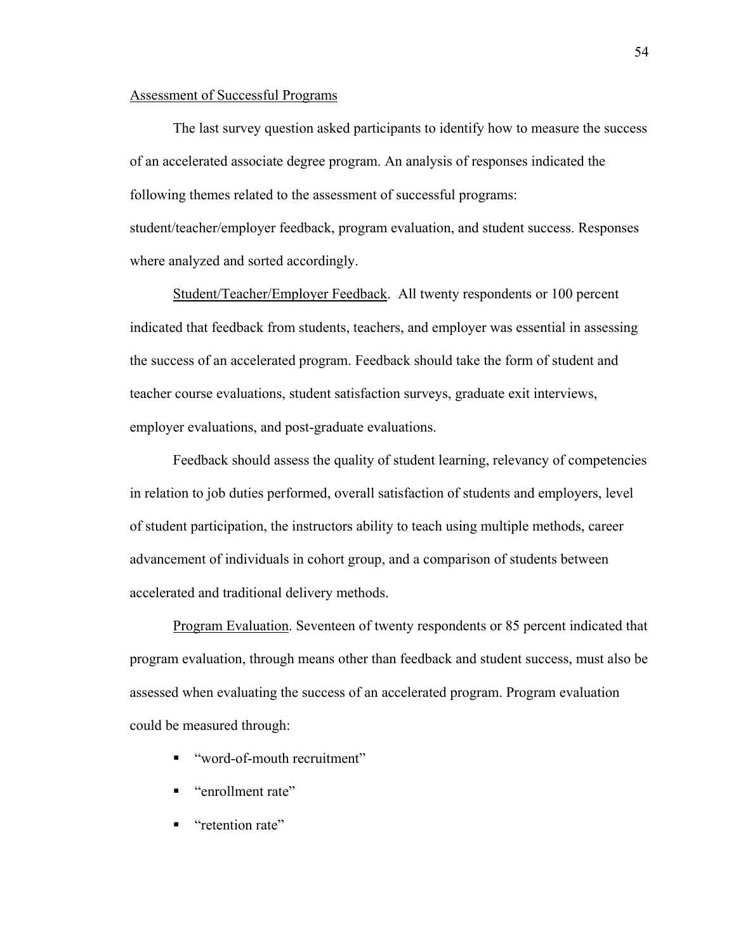## Assessment of Successful Programs

The last survey question asked participants to identify how to measure the success of an accelerated associate degree program. An analysis of responses indicated the following themes related to the assessment of successful programs: student/teacher/employer feedback, program evaluation, and student success. Responses where analyzed and sorted accordingly.

Student/Teacher/Employer Feedback. All twenty respondents or 100 percent indicated that feedback from students, teachers, and employer was essential in assessing the success of an accelerated program. Feedback should take the form of student and teacher course evaluations, student satisfaction surveys, graduate exit interviews, employer evaluations, and post-graduate evaluations.

Feedback should assess the quality of student learning, relevancy of competencies in relation to job duties performed, overall satisfaction of students and employers, level of student participation, the instructors ability to teach using multiple methods, career advancement of individuals in cohort group, and a comparison of students between accelerated and traditional delivery methods.

Program Evaluation. Seventeen of twenty respondents or 85 percent indicated that program evaluation, through means other than feedback and student success, must also be assessed when evaluating the success of an accelerated program. Program evaluation could be measured through:

- "word-of-mouth recruitment"
- " "enrollment rate"
- **"** "retention rate"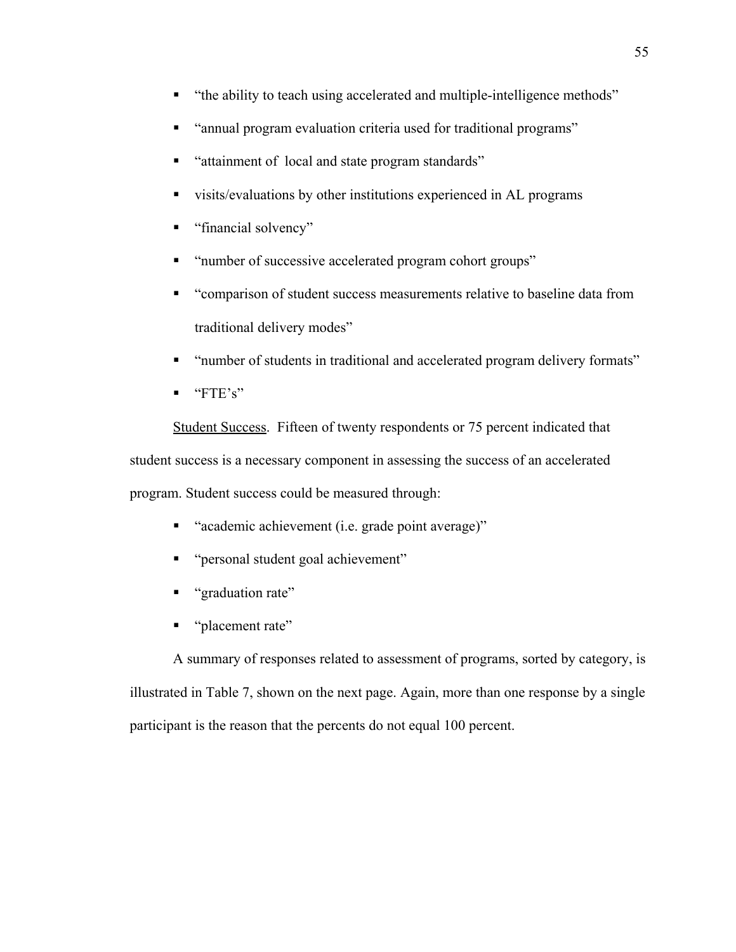- "the ability to teach using accelerated and multiple-intelligence methods"
- "annual program evaluation criteria used for traditional programs"
- "attainment of local and state program standards"
- visits/evaluations by other institutions experienced in AL programs
- "financial solvency"
- "number of successive accelerated program cohort groups"
- "comparison of student success measurements relative to baseline data from traditional delivery modes"
- "number of students in traditional and accelerated program delivery formats"
- $\blacksquare$  "FTE's"

Student Success. Fifteen of twenty respondents or 75 percent indicated that student success is a necessary component in assessing the success of an accelerated program. Student success could be measured through:

- "academic achievement (i.e. grade point average)"
- "personal student goal achievement"
- " "graduation rate"
- " "placement rate"

A summary of responses related to assessment of programs, sorted by category, is illustrated in Table 7, shown on the next page. Again, more than one response by a single participant is the reason that the percents do not equal 100 percent.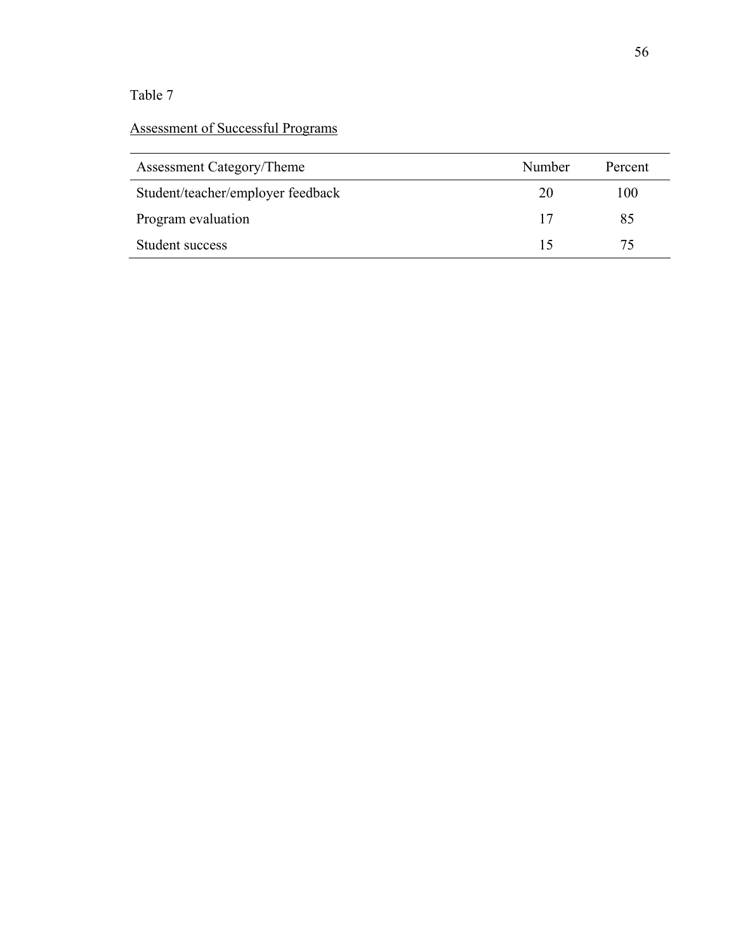# Table 7

# Assessment of Successful Programs

| Assessment Category/Theme         | Number | Percent |
|-----------------------------------|--------|---------|
| Student/teacher/employer feedback | 20     | 100     |
| Program evaluation                | 17     | 85      |
| Student success                   |        | 75      |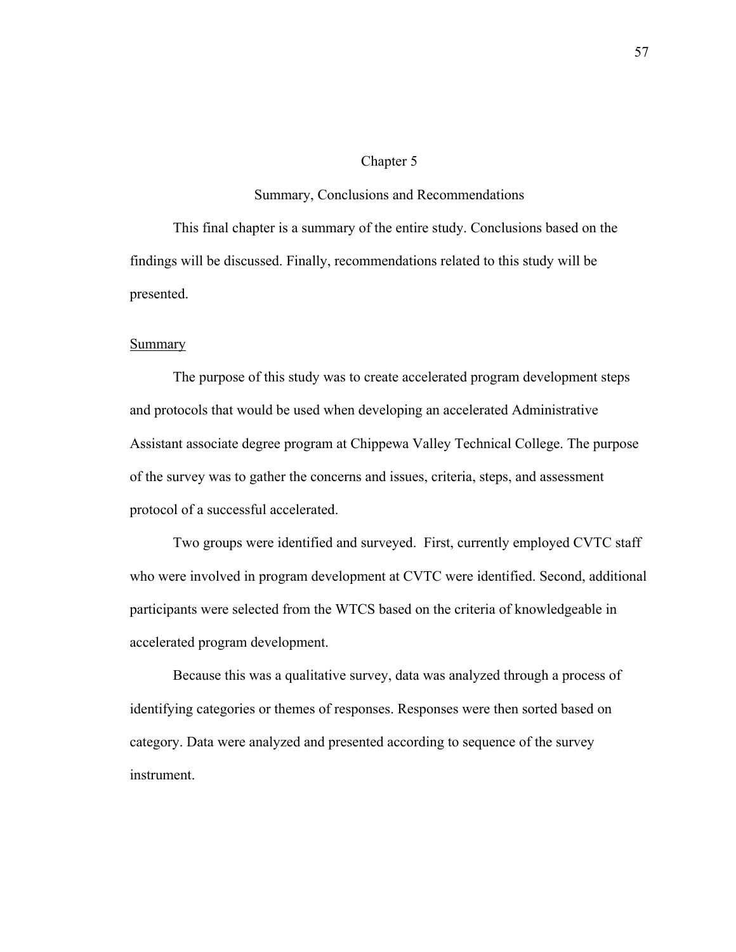#### Chapter 5

#### Summary, Conclusions and Recommendations

This final chapter is a summary of the entire study. Conclusions based on the findings will be discussed. Finally, recommendations related to this study will be presented.

#### **Summary**

The purpose of this study was to create accelerated program development steps and protocols that would be used when developing an accelerated Administrative Assistant associate degree program at Chippewa Valley Technical College. The purpose of the survey was to gather the concerns and issues, criteria, steps, and assessment protocol of a successful accelerated.

Two groups were identified and surveyed. First, currently employed CVTC staff who were involved in program development at CVTC were identified. Second, additional participants were selected from the WTCS based on the criteria of knowledgeable in accelerated program development.

Because this was a qualitative survey, data was analyzed through a process of identifying categories or themes of responses. Responses were then sorted based on category. Data were analyzed and presented according to sequence of the survey instrument.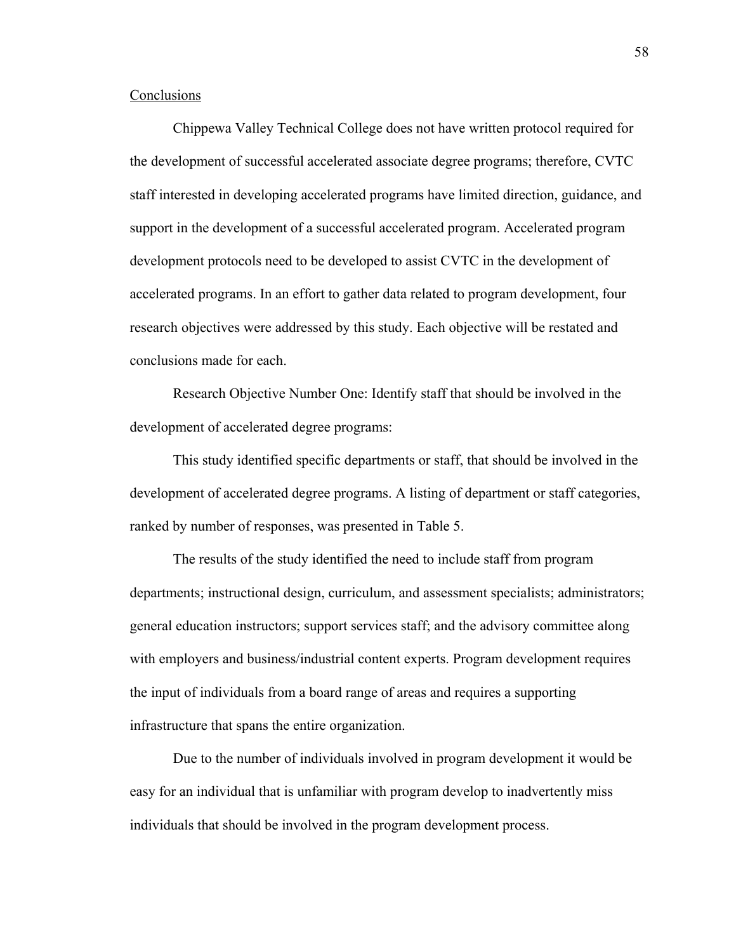## **Conclusions**

Chippewa Valley Technical College does not have written protocol required for the development of successful accelerated associate degree programs; therefore, CVTC staff interested in developing accelerated programs have limited direction, guidance, and support in the development of a successful accelerated program. Accelerated program development protocols need to be developed to assist CVTC in the development of accelerated programs. In an effort to gather data related to program development, four research objectives were addressed by this study. Each objective will be restated and conclusions made for each.

Research Objective Number One: Identify staff that should be involved in the development of accelerated degree programs:

This study identified specific departments or staff, that should be involved in the development of accelerated degree programs. A listing of department or staff categories, ranked by number of responses, was presented in Table 5.

The results of the study identified the need to include staff from program departments; instructional design, curriculum, and assessment specialists; administrators; general education instructors; support services staff; and the advisory committee along with employers and business/industrial content experts. Program development requires the input of individuals from a board range of areas and requires a supporting infrastructure that spans the entire organization.

Due to the number of individuals involved in program development it would be easy for an individual that is unfamiliar with program develop to inadvertently miss individuals that should be involved in the program development process.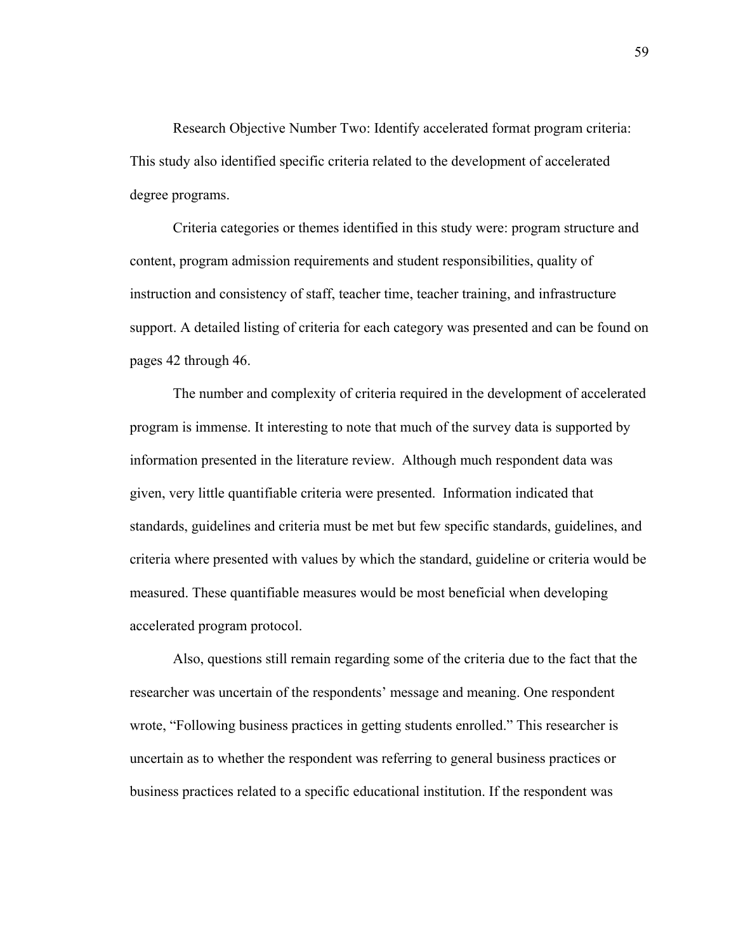Research Objective Number Two: Identify accelerated format program criteria: This study also identified specific criteria related to the development of accelerated degree programs.

Criteria categories or themes identified in this study were: program structure and content, program admission requirements and student responsibilities, quality of instruction and consistency of staff, teacher time, teacher training, and infrastructure support. A detailed listing of criteria for each category was presented and can be found on pages 42 through 46.

The number and complexity of criteria required in the development of accelerated program is immense. It interesting to note that much of the survey data is supported by information presented in the literature review. Although much respondent data was given, very little quantifiable criteria were presented. Information indicated that standards, guidelines and criteria must be met but few specific standards, guidelines, and criteria where presented with values by which the standard, guideline or criteria would be measured. These quantifiable measures would be most beneficial when developing accelerated program protocol.

Also, questions still remain regarding some of the criteria due to the fact that the researcher was uncertain of the respondents' message and meaning. One respondent wrote, "Following business practices in getting students enrolled." This researcher is uncertain as to whether the respondent was referring to general business practices or business practices related to a specific educational institution. If the respondent was

59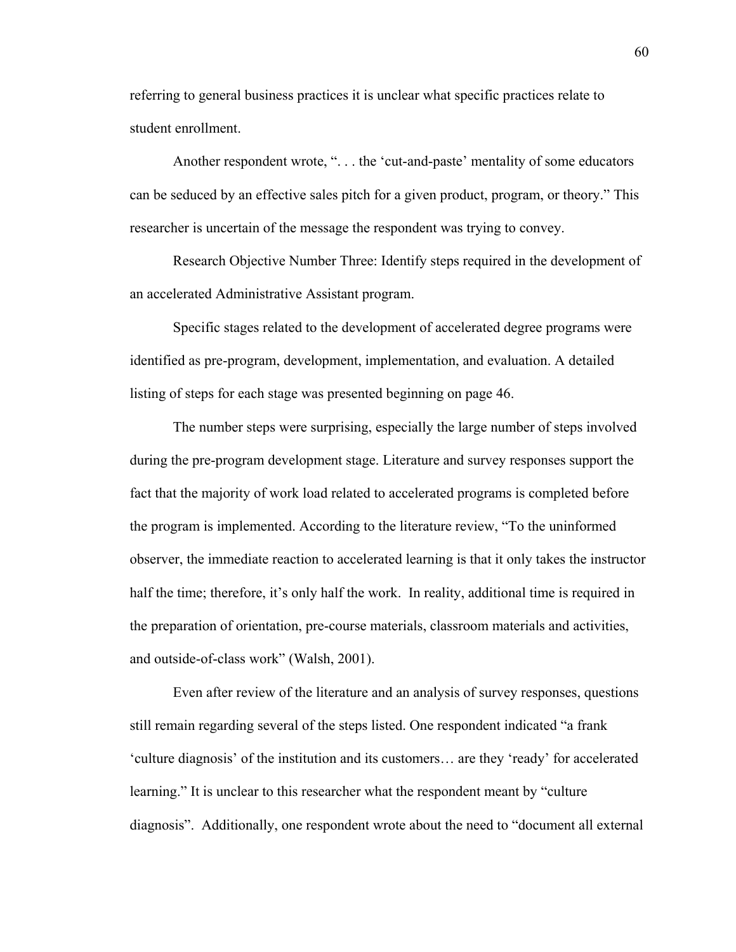referring to general business practices it is unclear what specific practices relate to student enrollment.

Another respondent wrote, ". . . the 'cut-and-paste' mentality of some educators can be seduced by an effective sales pitch for a given product, program, or theory." This researcher is uncertain of the message the respondent was trying to convey.

Research Objective Number Three: Identify steps required in the development of an accelerated Administrative Assistant program.

Specific stages related to the development of accelerated degree programs were identified as pre-program, development, implementation, and evaluation. A detailed listing of steps for each stage was presented beginning on page 46.

The number steps were surprising, especially the large number of steps involved during the pre-program development stage. Literature and survey responses support the fact that the majority of work load related to accelerated programs is completed before the program is implemented. According to the literature review, "To the uninformed observer, the immediate reaction to accelerated learning is that it only takes the instructor half the time; therefore, it's only half the work. In reality, additional time is required in the preparation of orientation, pre-course materials, classroom materials and activities, and outside-of-class work" (Walsh, 2001).

Even after review of the literature and an analysis of survey responses, questions still remain regarding several of the steps listed. One respondent indicated "a frank 'culture diagnosis' of the institution and its customers… are they 'ready' for accelerated learning." It is unclear to this researcher what the respondent meant by "culture diagnosis". Additionally, one respondent wrote about the need to "document all external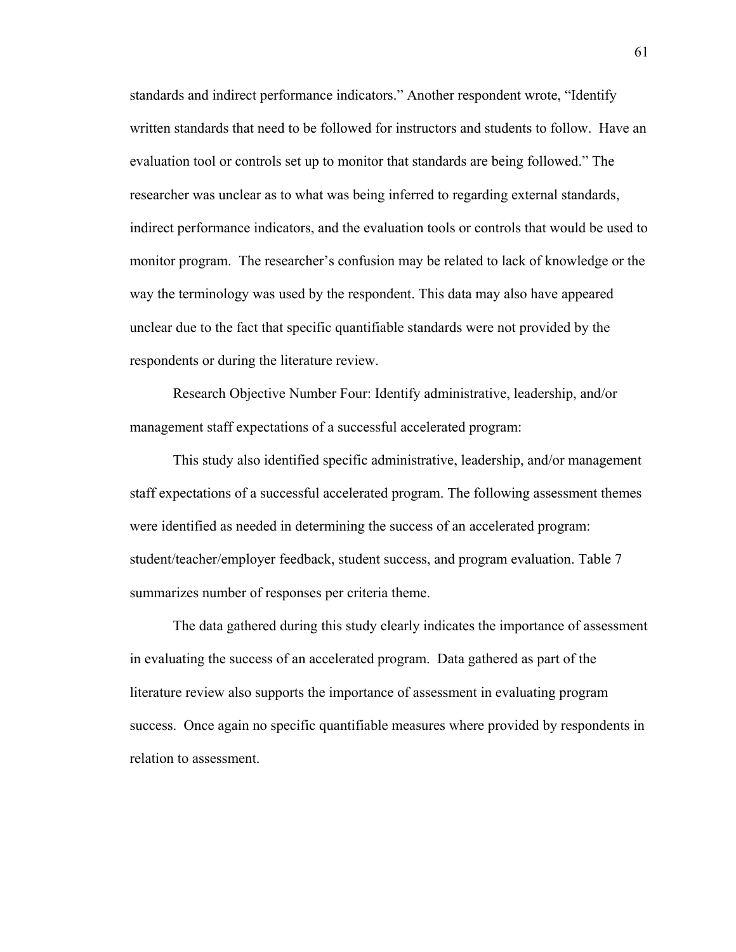standards and indirect performance indicators." Another respondent wrote, "Identify written standards that need to be followed for instructors and students to follow. Have an evaluation tool or controls set up to monitor that standards are being followed." The researcher was unclear as to what was being inferred to regarding external standards, indirect performance indicators, and the evaluation tools or controls that would be used to monitor program. The researcher's confusion may be related to lack of knowledge or the way the terminology was used by the respondent. This data may also have appeared unclear due to the fact that specific quantifiable standards were not provided by the respondents or during the literature review.

Research Objective Number Four: Identify administrative, leadership, and/or management staff expectations of a successful accelerated program:

This study also identified specific administrative, leadership, and/or management staff expectations of a successful accelerated program. The following assessment themes were identified as needed in determining the success of an accelerated program: student/teacher/employer feedback, student success, and program evaluation. Table 7 summarizes number of responses per criteria theme.

The data gathered during this study clearly indicates the importance of assessment in evaluating the success of an accelerated program. Data gathered as part of the literature review also supports the importance of assessment in evaluating program success. Once again no specific quantifiable measures where provided by respondents in relation to assessment.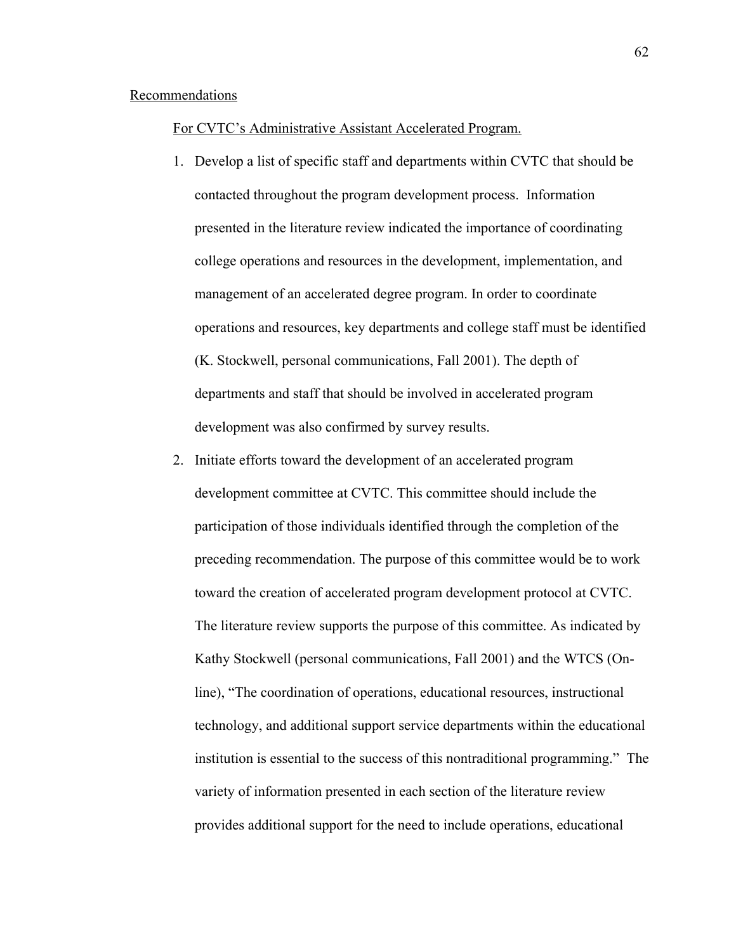#### Recommendations

#### For CVTC's Administrative Assistant Accelerated Program.

- 1. Develop a list of specific staff and departments within CVTC that should be contacted throughout the program development process. Information presented in the literature review indicated the importance of coordinating college operations and resources in the development, implementation, and management of an accelerated degree program. In order to coordinate operations and resources, key departments and college staff must be identified (K. Stockwell, personal communications, Fall 2001). The depth of departments and staff that should be involved in accelerated program development was also confirmed by survey results.
- 2. Initiate efforts toward the development of an accelerated program development committee at CVTC. This committee should include the participation of those individuals identified through the completion of the preceding recommendation. The purpose of this committee would be to work toward the creation of accelerated program development protocol at CVTC. The literature review supports the purpose of this committee. As indicated by Kathy Stockwell (personal communications, Fall 2001) and the WTCS (Online), "The coordination of operations, educational resources, instructional technology, and additional support service departments within the educational institution is essential to the success of this nontraditional programming." The variety of information presented in each section of the literature review provides additional support for the need to include operations, educational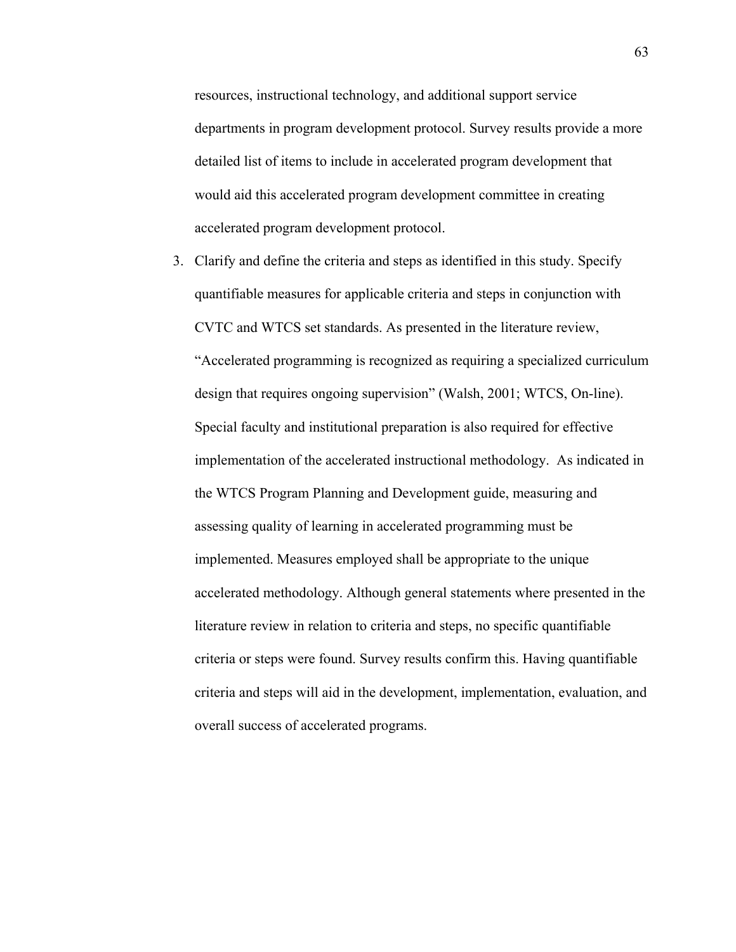resources, instructional technology, and additional support service departments in program development protocol. Survey results provide a more detailed list of items to include in accelerated program development that would aid this accelerated program development committee in creating accelerated program development protocol.

3. Clarify and define the criteria and steps as identified in this study. Specify quantifiable measures for applicable criteria and steps in conjunction with CVTC and WTCS set standards. As presented in the literature review, "Accelerated programming is recognized as requiring a specialized curriculum design that requires ongoing supervision" (Walsh, 2001; WTCS, On-line). Special faculty and institutional preparation is also required for effective implementation of the accelerated instructional methodology. As indicated in the WTCS Program Planning and Development guide, measuring and assessing quality of learning in accelerated programming must be implemented. Measures employed shall be appropriate to the unique accelerated methodology. Although general statements where presented in the literature review in relation to criteria and steps, no specific quantifiable criteria or steps were found. Survey results confirm this. Having quantifiable criteria and steps will aid in the development, implementation, evaluation, and overall success of accelerated programs.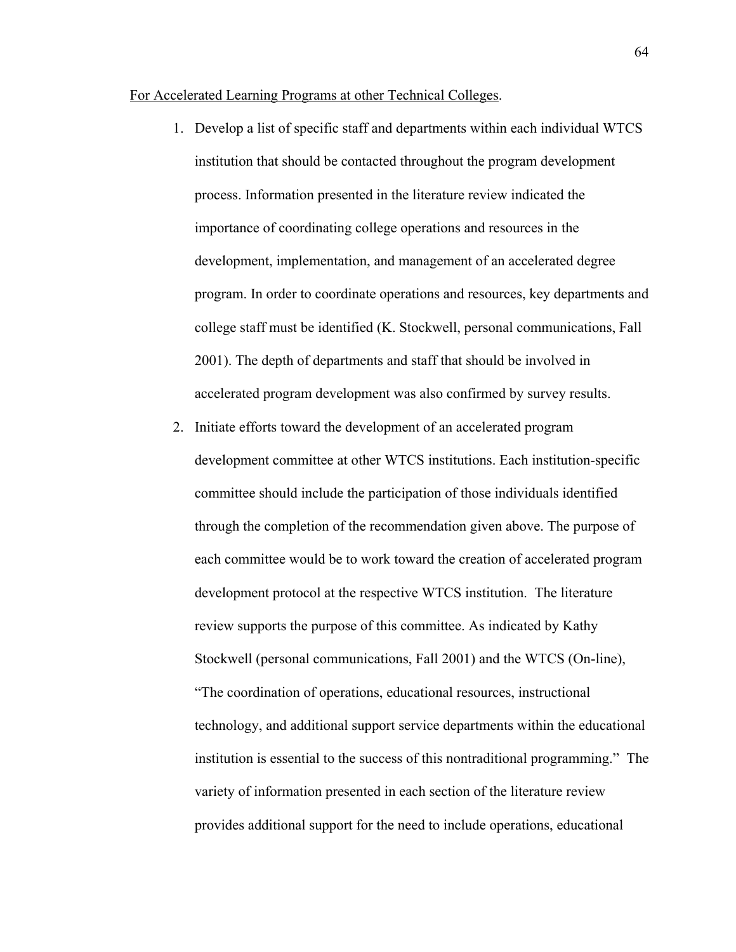#### For Accelerated Learning Programs at other Technical Colleges.

- 1. Develop a list of specific staff and departments within each individual WTCS institution that should be contacted throughout the program development process. Information presented in the literature review indicated the importance of coordinating college operations and resources in the development, implementation, and management of an accelerated degree program. In order to coordinate operations and resources, key departments and college staff must be identified (K. Stockwell, personal communications, Fall 2001). The depth of departments and staff that should be involved in accelerated program development was also confirmed by survey results.
- 2. Initiate efforts toward the development of an accelerated program development committee at other WTCS institutions. Each institution-specific committee should include the participation of those individuals identified through the completion of the recommendation given above. The purpose of each committee would be to work toward the creation of accelerated program development protocol at the respective WTCS institution. The literature review supports the purpose of this committee. As indicated by Kathy Stockwell (personal communications, Fall 2001) and the WTCS (On-line), "The coordination of operations, educational resources, instructional technology, and additional support service departments within the educational institution is essential to the success of this nontraditional programming." The variety of information presented in each section of the literature review provides additional support for the need to include operations, educational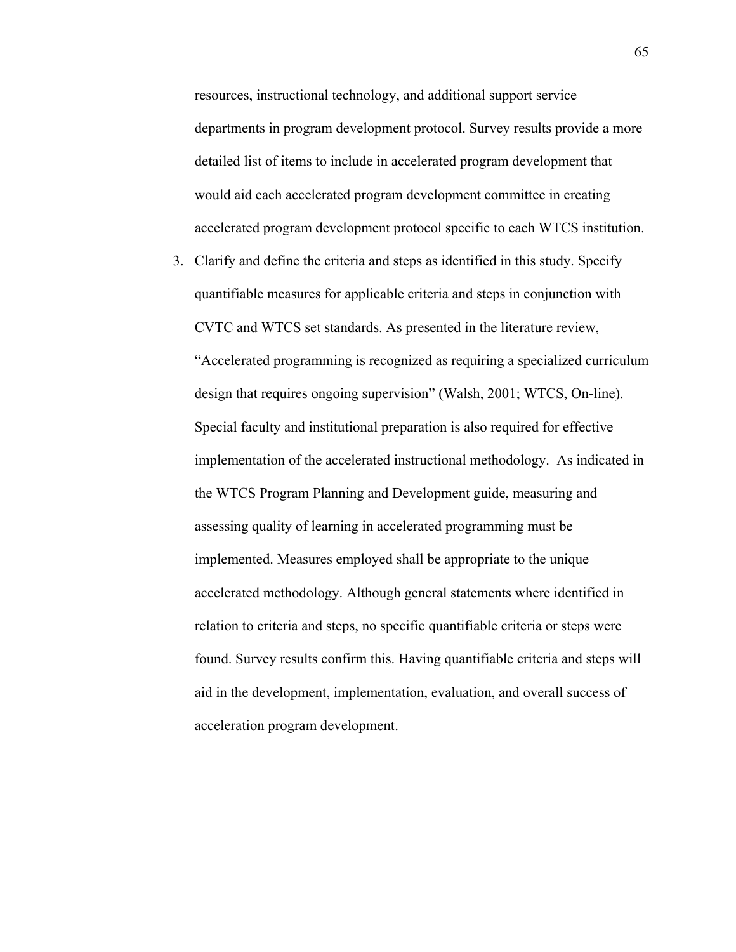resources, instructional technology, and additional support service departments in program development protocol. Survey results provide a more detailed list of items to include in accelerated program development that would aid each accelerated program development committee in creating accelerated program development protocol specific to each WTCS institution.

3. Clarify and define the criteria and steps as identified in this study. Specify quantifiable measures for applicable criteria and steps in conjunction with CVTC and WTCS set standards. As presented in the literature review, "Accelerated programming is recognized as requiring a specialized curriculum design that requires ongoing supervision" (Walsh, 2001; WTCS, On-line). Special faculty and institutional preparation is also required for effective implementation of the accelerated instructional methodology. As indicated in the WTCS Program Planning and Development guide, measuring and assessing quality of learning in accelerated programming must be implemented. Measures employed shall be appropriate to the unique accelerated methodology. Although general statements where identified in relation to criteria and steps, no specific quantifiable criteria or steps were found. Survey results confirm this. Having quantifiable criteria and steps will aid in the development, implementation, evaluation, and overall success of acceleration program development.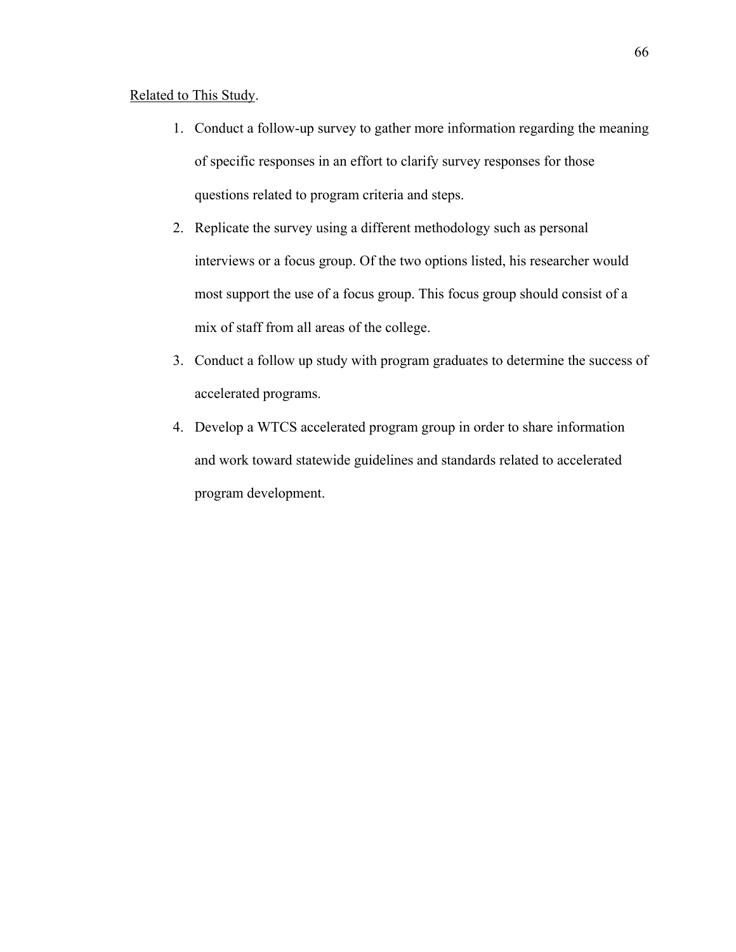### Related to This Study.

- 1. Conduct a follow-up survey to gather more information regarding the meaning of specific responses in an effort to clarify survey responses for those questions related to program criteria and steps.
- 2. Replicate the survey using a different methodology such as personal interviews or a focus group. Of the two options listed, his researcher would most support the use of a focus group. This focus group should consist of a mix of staff from all areas of the college.
- 3. Conduct a follow up study with program graduates to determine the success of accelerated programs.
- 4. Develop a WTCS accelerated program group in order to share information and work toward statewide guidelines and standards related to accelerated program development.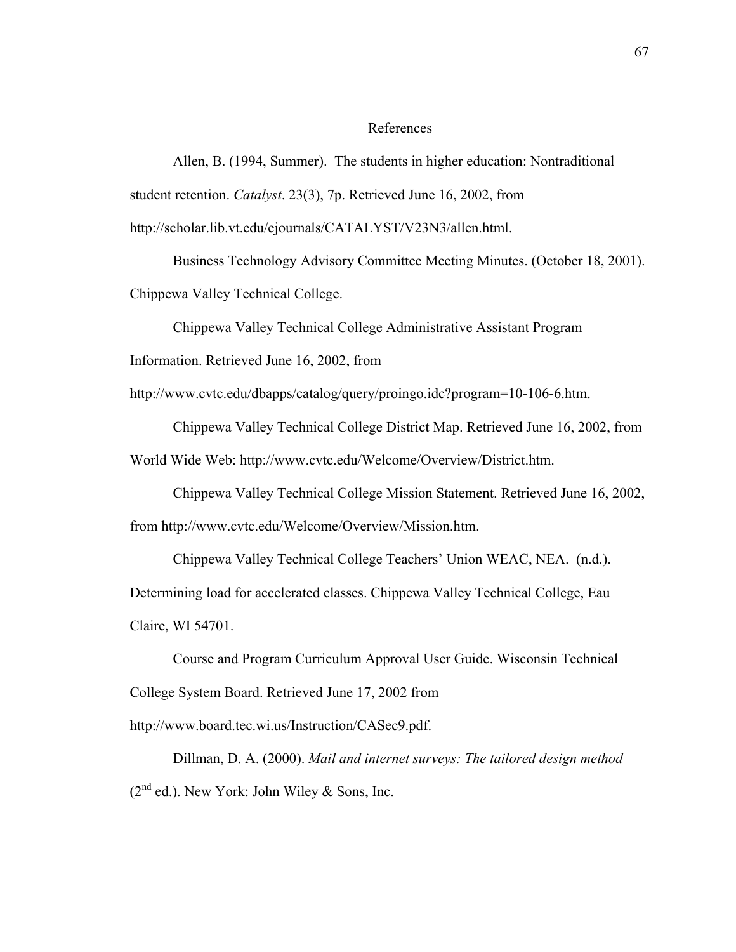#### References

Allen, B. (1994, Summer). The students in higher education: Nontraditional student retention. *Catalyst*. 23(3), 7p. Retrieved June 16, 2002, from <http://scholar.lib.vt.edu/ejournals/CATALYST/V23N3/allen.html>.

Business Technology Advisory Committee Meeting Minutes. (October 18, 2001). Chippewa Valley Technical College.

Chippewa Valley Technical College Administrative Assistant Program

Information. Retrieved June 16, 2002, from

[http://www.cvtc.edu/dbapps/catalog/query/proingo.idc?program=10-106-6.htm.](http://www.cvtc.edu/dbapps/catalog/query/proingo.idc?program=10-106-6.htm)

Chippewa Valley Technical College District Map. Retrieved June 16, 2002, from

World Wide Web: [http://www.cvtc.edu/Welcome/Overview/District.htm.](http://www.cvtc.edu/Welcome/Overview/District.htm)

Chippewa Valley Technical College Mission Statement. Retrieved June 16, 2002, from <http://www.cvtc.edu/Welcome/Overview/Mission.htm>.

Chippewa Valley Technical College Teachers' Union WEAC, NEA. (n.d.).

Determining load for accelerated classes. Chippewa Valley Technical College, Eau Claire, WI 54701.

Course and Program Curriculum Approval User Guide. Wisconsin Technical College System Board. Retrieved June 17, 2002 from <http://www.board.tec.wi.us/Instruction/CASec9.pdf>.

Dillman, D. A. (2000). *Mail and internet surveys: The tailored design method*  $(2^{nd}$  ed.). New York: John Wiley & Sons, Inc.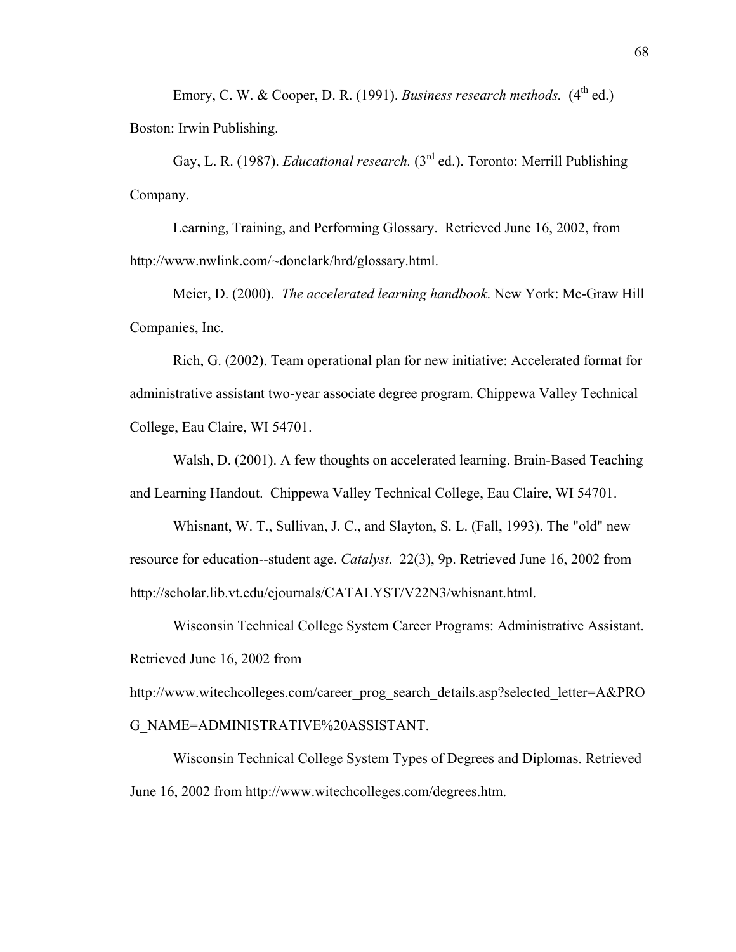Emory, C. W. & Cooper, D. R. (1991). *Business research methods.* (4<sup>th</sup> ed.) Boston: Irwin Publishing.

Gay, L. R. (1987). *Educational research.* (3rd ed.). Toronto: Merrill Publishing Company.

Learning, Training, and Performing Glossary. Retrieved June 16, 2002, from <http://www.nwlink.com/~donclark/hrd/glossary.html>.

Meier, D. (2000). *The accelerated learning handbook*. New York: Mc-Graw Hill Companies, Inc.

Rich, G. (2002). Team operational plan for new initiative: Accelerated format for administrative assistant two-year associate degree program. Chippewa Valley Technical College, Eau Claire, WI 54701.

Walsh, D. (2001). A few thoughts on accelerated learning. Brain-Based Teaching and Learning Handout. Chippewa Valley Technical College, Eau Claire, WI 54701.

Whisnant, W. T., Sullivan, J. C., and Slayton, S. L. (Fall, 1993). The "old" new resource for education--student age. *Catalyst*. 22(3), 9p. Retrieved June 16, 2002 from http://scholar.lib.vt.edu/ejournals/CATALYST/V22N3/whisnant.html.

Wisconsin Technical College System Career Programs: Administrative Assistant. Retrieved June 16, 2002 from

[http://www.witechcolleges.com/career\\_prog\\_search\\_details.asp?selected\\_letter=A&PRO](http://www.witechcolleges.com/career_prog_search_details.asp?selected_letter=A&PROG_NAME=ADMINISTRATIVE%20ASSISTANT) [G\\_NAME=ADMINISTRATIVE%20ASSISTANT](http://www.witechcolleges.com/career_prog_search_details.asp?selected_letter=A&PROG_NAME=ADMINISTRATIVE%20ASSISTANT).

Wisconsin Technical College System Types of Degrees and Diplomas. Retrieved June 16, 2002 from [http://www.witechcolleges.com/degrees.htm.](http://www.witechcolleges.com/degrees.htm)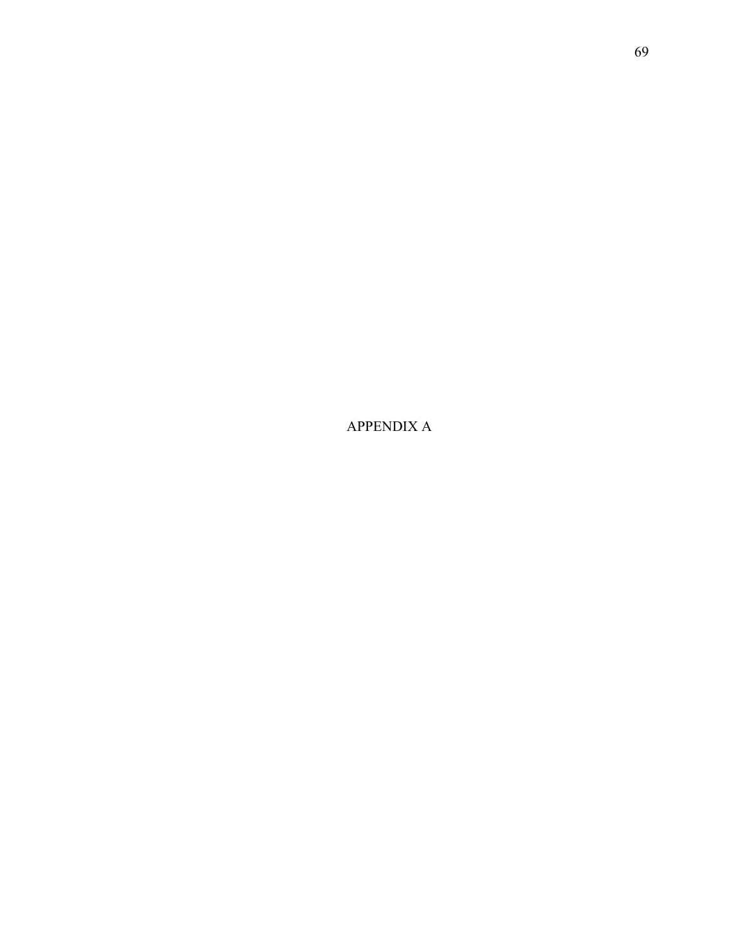APPENDIX A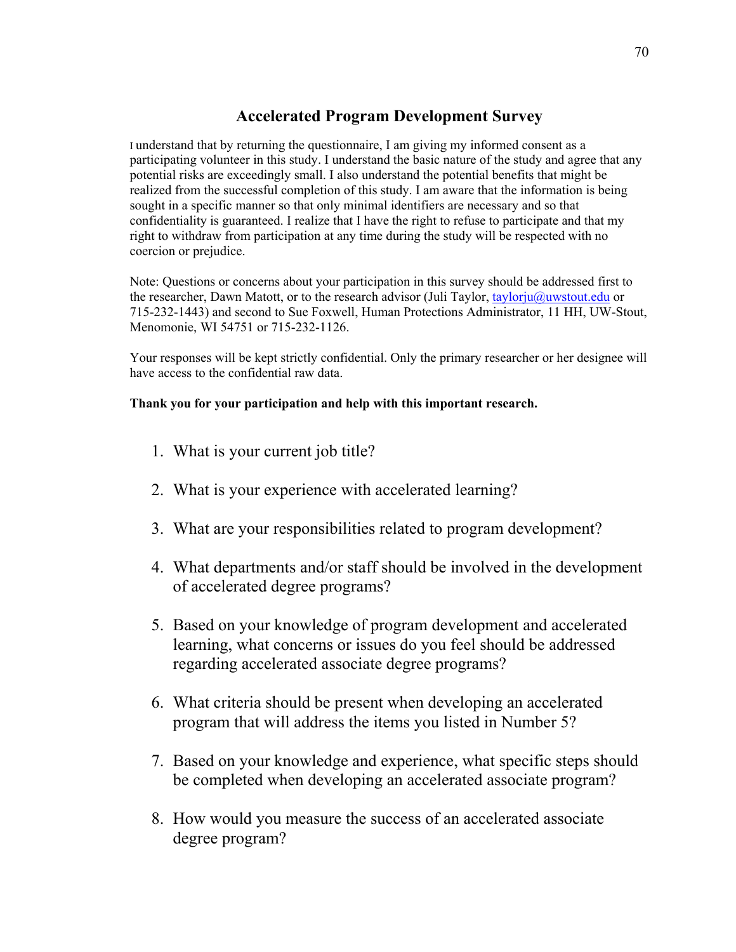# **Accelerated Program Development Survey**

I understand that by returning the questionnaire, I am giving my informed consent as a participating volunteer in this study. I understand the basic nature of the study and agree that any potential risks are exceedingly small. I also understand the potential benefits that might be realized from the successful completion of this study. I am aware that the information is being sought in a specific manner so that only minimal identifiers are necessary and so that confidentiality is guaranteed. I realize that I have the right to refuse to participate and that my right to withdraw from participation at any time during the study will be respected with no coercion or prejudice.

Note: Questions or concerns about your participation in this survey should be addressed first to the researcher, Dawn Matott, or to the research advisor (Juli Taylor, [taylorju@uwstout.edu](mailto:taylorju@uwstout.edu) or 715-232-1443) and second to Sue Foxwell, Human Protections Administrator, 11 HH, UW-Stout, Menomonie, WI 54751 or 715-232-1126.

Your responses will be kept strictly confidential. Only the primary researcher or her designee will have access to the confidential raw data.

### **Thank you for your participation and help with this important research.**

- 1. What is your current job title?
- 2. What is your experience with accelerated learning?
- 3. What are your responsibilities related to program development?
- 4. What departments and/or staff should be involved in the development of accelerated degree programs?
- 5. Based on your knowledge of program development and accelerated learning, what concerns or issues do you feel should be addressed regarding accelerated associate degree programs?
- 6. What criteria should be present when developing an accelerated program that will address the items you listed in Number 5?
- 7. Based on your knowledge and experience, what specific steps should be completed when developing an accelerated associate program?
- 8. How would you measure the success of an accelerated associate degree program?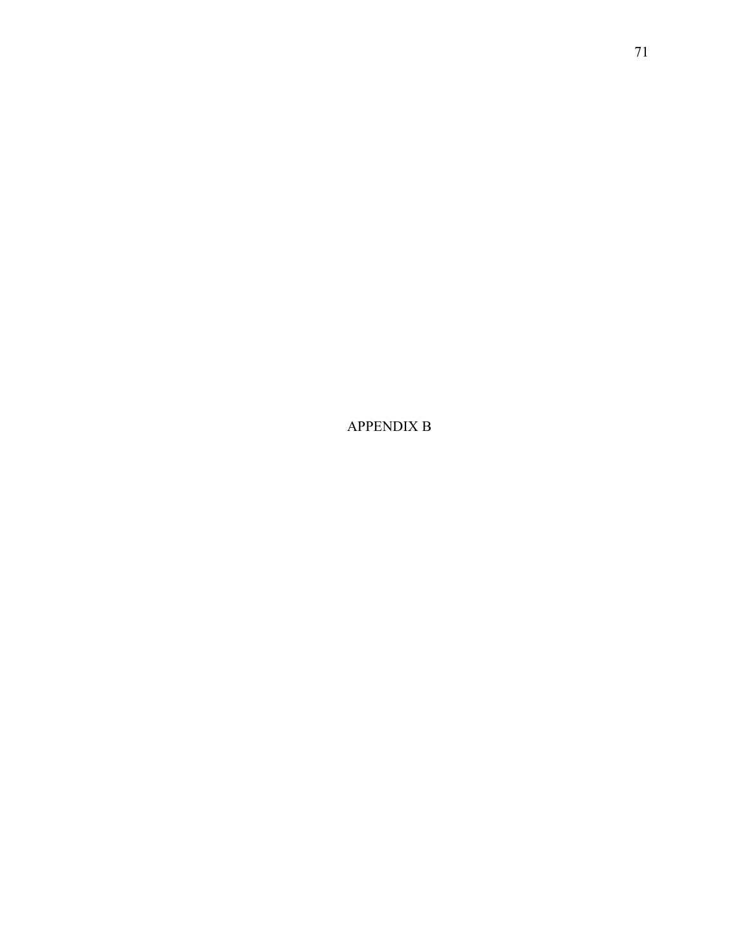APPENDIX B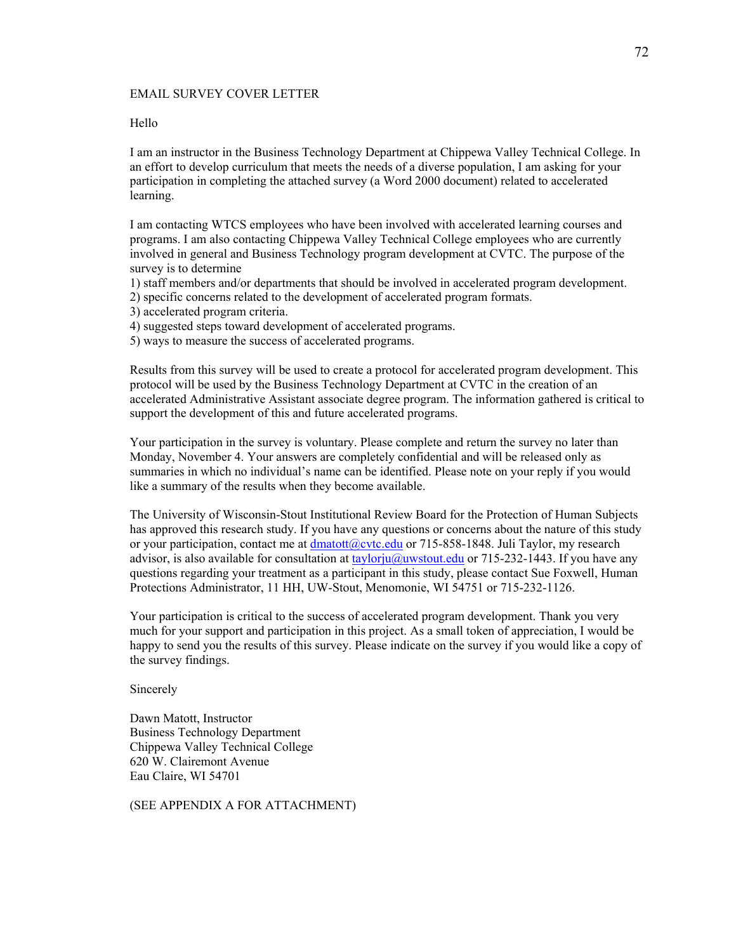#### EMAIL SURVEY COVER LETTER

#### Hello

I am an instructor in the Business Technology Department at Chippewa Valley Technical College. In an effort to develop curriculum that meets the needs of a diverse population, I am asking for your participation in completing the attached survey (a Word 2000 document) related to accelerated learning.

I am contacting WTCS employees who have been involved with accelerated learning courses and programs. I am also contacting Chippewa Valley Technical College employees who are currently involved in general and Business Technology program development at CVTC. The purpose of the survey is to determine

1) staff members and/or departments that should be involved in accelerated program development.

2) specific concerns related to the development of accelerated program formats.

3) accelerated program criteria.

- 4) suggested steps toward development of accelerated programs.
- 5) ways to measure the success of accelerated programs.

Results from this survey will be used to create a protocol for accelerated program development. This protocol will be used by the Business Technology Department at CVTC in the creation of an accelerated Administrative Assistant associate degree program. The information gathered is critical to support the development of this and future accelerated programs.

Your participation in the survey is voluntary. Please complete and return the survey no later than Monday, November 4. Your answers are completely confidential and will be released only as summaries in which no individual's name can be identified. Please note on your reply if you would like a summary of the results when they become available.

The University of Wisconsin-Stout Institutional Review Board for the Protection of Human Subjects has approved this research study. If you have any questions or concerns about the nature of this study or your participation, contact me at  $d$ matott@cvtc.edu or 715-858-1848. Juli Taylor, my research advisor, is also available for consultation at  $\frac{\text{taylor}(\hat{a}_u\hat{a}_u\hat{b}_u)}{\text{d}u}$  or 715-232-1443. If you have any questions regarding your treatment as a participant in this study, please contact Sue Foxwell, Human Protections Administrator, 11 HH, UW-Stout, Menomonie, WI 54751 or 715-232-1126.

Your participation is critical to the success of accelerated program development. Thank you very much for your support and participation in this project. As a small token of appreciation, I would be happy to send you the results of this survey. Please indicate on the survey if you would like a copy of the survey findings.

Sincerely

Dawn Matott, Instructor Business Technology Department Chippewa Valley Technical College 620 W. Clairemont Avenue Eau Claire, WI 54701

(SEE APPENDIX A FOR ATTACHMENT)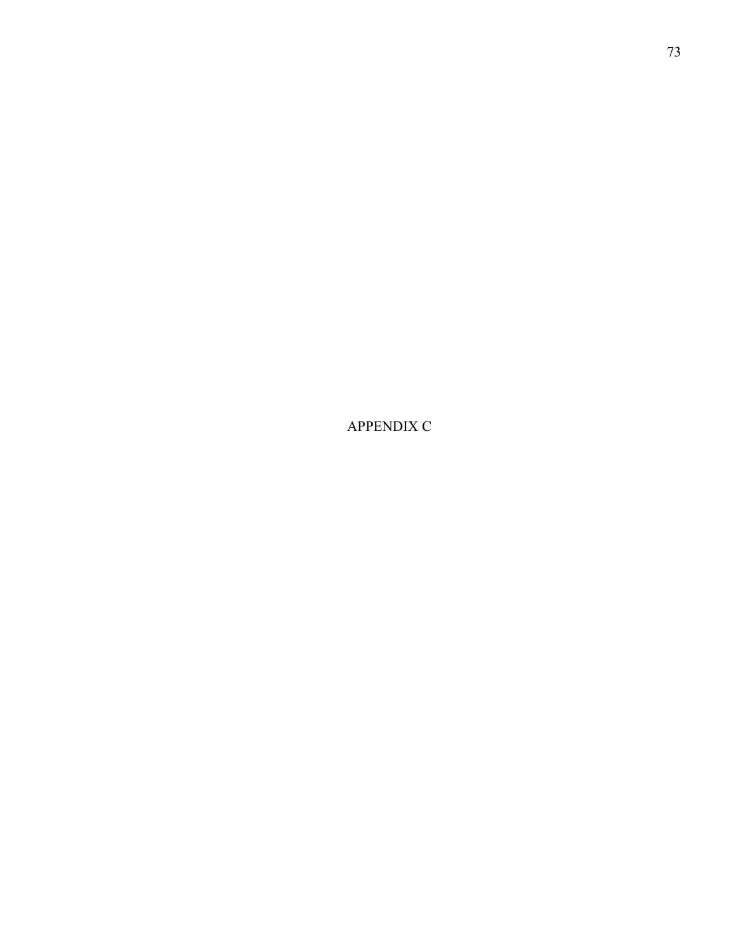APPENDIX C